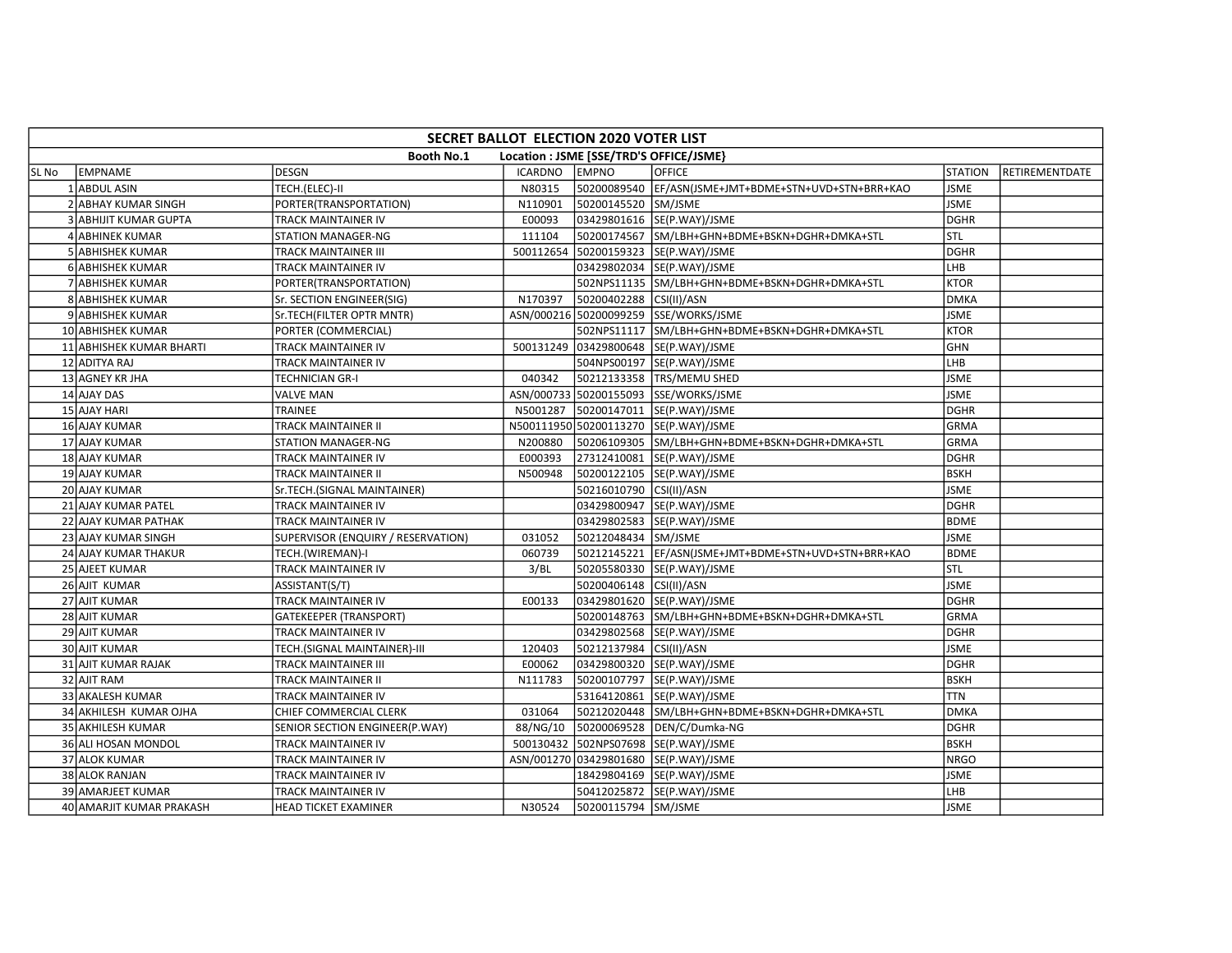|       | SECRET BALLOT ELECTION 2020 VOTER LIST |                                    |                |                                         |                                                      |                |                |  |  |  |
|-------|----------------------------------------|------------------------------------|----------------|-----------------------------------------|------------------------------------------------------|----------------|----------------|--|--|--|
|       |                                        | <b>Booth No.1</b>                  |                | Location : JSME [SSE/TRD'S OFFICE/JSME} |                                                      |                |                |  |  |  |
| SL No | EMPNAME                                | <b>DESGN</b>                       | <b>ICARDNO</b> | <b>EMPNO</b>                            | <b>OFFICE</b>                                        | <b>STATION</b> | RETIREMENTDATE |  |  |  |
|       | 1 ABDUL ASIN                           | TECH.(ELEC)-II                     | N80315         |                                         | 50200089540 EF/ASN(JSME+JMT+BDME+STN+UVD+STN+BRR+KAO | <b>JSME</b>    |                |  |  |  |
|       | 2 ABHAY KUMAR SINGH                    | PORTER(TRANSPORTATION)             | N110901        | 50200145520 SM/JSME                     |                                                      | <b>JSME</b>    |                |  |  |  |
|       | 3 ABHIJIT KUMAR GUPTA                  | <b>TRACK MAINTAINER IV</b>         | E00093         |                                         | 03429801616 SE(P.WAY)/JSME                           | <b>DGHR</b>    |                |  |  |  |
|       | 4 ABHINEK KUMAR                        | <b>STATION MANAGER-NG</b>          | 111104         |                                         | 50200174567 SM/LBH+GHN+BDME+BSKN+DGHR+DMKA+STL       | Istl           |                |  |  |  |
|       | <b>5 ABHISHEK KUMAR</b>                | <b>TRACK MAINTAINER III</b>        |                |                                         | 500112654 50200159323 SE(P.WAY)/JSME                 | DGHR           |                |  |  |  |
|       | 6 ABHISHEK KUMAR                       | TRACK MAINTAINER IV                |                |                                         | 03429802034 SE(P.WAY)/JSME                           | LHB            |                |  |  |  |
|       | 7 ABHISHEK KUMAR                       | PORTER(TRANSPORTATION)             |                |                                         | 502NPS11135 SM/LBH+GHN+BDME+BSKN+DGHR+DMKA+STL       | <b>KTOR</b>    |                |  |  |  |
|       | <b>8 ABHISHEK KUMAR</b>                | Sr. SECTION ENGINEER(SIG)          | N170397        | 50200402288 CSI(II)/ASN                 |                                                      | <b>DMKA</b>    |                |  |  |  |
|       | 9 ABHISHEK KUMAR                       | Sr.TECH(FILTER OPTR MNTR)          |                |                                         | ASN/000216 50200099259 SSE/WORKS/JSME                | <b>JSME</b>    |                |  |  |  |
|       | 10 ABHISHEK KUMAR                      | PORTER (COMMERCIAL)                |                |                                         | 502NPS11117 SM/LBH+GHN+BDME+BSKN+DGHR+DMKA+STL       | <b>KTOR</b>    |                |  |  |  |
|       | 11 ABHISHEK KUMAR BHARTI               | TRACK MAINTAINER IV                |                |                                         | 500131249 03429800648 SE(P.WAY)/JSME                 | GHN            |                |  |  |  |
|       | 12 ADITYA RAJ                          | <b>TRACK MAINTAINER IV</b>         |                |                                         | 504NPS00197 SE(P.WAY)/JSME                           | LHB            |                |  |  |  |
|       | 13 AGNEY KR JHA                        | <b>TECHNICIAN GR-I</b>             | 040342         |                                         | 50212133358 TRS/MEMU SHED                            | <b>JSME</b>    |                |  |  |  |
|       | 14 AJAY DAS                            | <b>VALVE MAN</b>                   |                |                                         | ASN/000733 50200155093 SSE/WORKS/JSME                | <b>JSME</b>    |                |  |  |  |
|       | 15 AJAY HARI                           | TRAINEE                            | N5001287       |                                         | 50200147011 SE(P.WAY)/JSME                           | DGHR           |                |  |  |  |
|       | 16 AJAY KUMAR                          | <b>TRACK MAINTAINER II</b>         |                |                                         | N500111950 50200113270 SE(P.WAY)/JSME                | <b>GRMA</b>    |                |  |  |  |
|       | 17 AJAY KUMAR                          | STATION MANAGER-NG                 | N200880        |                                         | 50206109305 SM/LBH+GHN+BDME+BSKN+DGHR+DMKA+STL       | <b>GRMA</b>    |                |  |  |  |
|       | 18 AJAY KUMAR                          | TRACK MAINTAINER IV                | E000393        |                                         | 27312410081 SE(P.WAY)/JSME                           | <b>DGHR</b>    |                |  |  |  |
|       | 19 AJAY KUMAR                          | <b>TRACK MAINTAINER II</b>         | N500948        |                                         | 50200122105  SE(P.WAY)/JSME                          | <b>BSKH</b>    |                |  |  |  |
|       | 20 AJAY KUMAR                          | Sr.TECH.(SIGNAL MAINTAINER)        |                | 50216010790 CSI(II)/ASN                 |                                                      | <b>JSME</b>    |                |  |  |  |
|       | 21 AJAY KUMAR PATEL                    | TRACK MAINTAINER IV                |                |                                         | 03429800947 SE(P.WAY)/JSME                           | <b>DGHR</b>    |                |  |  |  |
|       | 22 AJAY KUMAR PATHAK                   | TRACK MAINTAINER IV                |                |                                         | 03429802583 SE(P.WAY)/JSME                           | <b>BDME</b>    |                |  |  |  |
|       | 23 AJAY KUMAR SINGH                    | SUPERVISOR (ENQUIRY / RESERVATION) | 031052         | 50212048434 SM/JSME                     |                                                      | <b>JSME</b>    |                |  |  |  |
|       | 24 AJAY KUMAR THAKUR                   | TECH.(WIREMAN)-I                   | 060739         | 50212145221                             | EF/ASN(JSME+JMT+BDME+STN+UVD+STN+BRR+KAO             | <b>BDME</b>    |                |  |  |  |
|       | 25 AJEET KUMAR                         | TRACK MAINTAINER IV                | 3/BL           |                                         | 50205580330 SE(P.WAY)/JSME                           | stl            |                |  |  |  |
|       | 26 AJIT KUMAR                          | ASSISTANT(S/T)                     |                | 50200406148 CSI(II)/ASN                 |                                                      | <b>JSME</b>    |                |  |  |  |
|       | 27 AJIT KUMAR                          | TRACK MAINTAINER IV                | E00133         |                                         | 03429801620 SE(P.WAY)/JSME                           | <b>DGHR</b>    |                |  |  |  |
|       | 28 AJIT KUMAR                          | <b>GATEKEEPER (TRANSPORT)</b>      |                |                                         | 50200148763 SM/LBH+GHN+BDME+BSKN+DGHR+DMKA+STL       | <b>GRMA</b>    |                |  |  |  |
|       | 29 AJIT KUMAR                          | TRACK MAINTAINER IV                |                |                                         | 03429802568 SE(P.WAY)/JSME                           | <b>DGHR</b>    |                |  |  |  |
|       | 30 AJIT KUMAR                          | TECH.(SIGNAL MAINTAINER)-III       | 120403         | 50212137984 CSI(II)/ASN                 |                                                      | <b>JSME</b>    |                |  |  |  |
|       | 31 AJIT KUMAR RAJAK                    | <b>TRACK MAINTAINER III</b>        | E00062         |                                         | 03429800320 SE(P.WAY)/JSME                           | <b>DGHR</b>    |                |  |  |  |
|       | 32 AJIT RAM                            | <b>TRACK MAINTAINER II</b>         | N111783        |                                         | 50200107797 SE(P.WAY)/JSME                           | <b>BSKH</b>    |                |  |  |  |
|       | 33 AKALESH KUMAR                       | TRACK MAINTAINER IV                |                |                                         | 53164120861 SE(P.WAY)/JSME                           | <b>TTN</b>     |                |  |  |  |
|       | 34 AKHILESH KUMAR OJHA                 | CHIEF COMMERCIAL CLERK             | 031064         |                                         | 50212020448 SM/LBH+GHN+BDME+BSKN+DGHR+DMKA+STL       | <b>DMKA</b>    |                |  |  |  |
|       | 35 AKHILESH KUMAR                      | SENIOR SECTION ENGINEER(P.WAY)     | 88/NG/10       |                                         | 50200069528 DEN/C/Dumka-NG                           | <b>DGHR</b>    |                |  |  |  |
|       | 36 ALI HOSAN MONDOL                    | TRACK MAINTAINER IV                |                |                                         | 500130432 502NPS07698 SE(P.WAY)/JSME                 | <b>BSKH</b>    |                |  |  |  |
|       | 37 ALOK KUMAR                          | <b>TRACK MAINTAINER IV</b>         |                |                                         | ASN/001270 03429801680 SE(P.WAY)/JSME                | <b>NRGO</b>    |                |  |  |  |
|       | 38 ALOK RANJAN                         | TRACK MAINTAINER IV                |                |                                         | 18429804169 SE(P.WAY)/JSME                           | <b>JSME</b>    |                |  |  |  |
|       | 39 AMARJEET KUMAR                      | <b>TRACK MAINTAINER IV</b>         |                |                                         | 50412025872 SE(P.WAY)/JSME                           | LHB            |                |  |  |  |
|       | 40 AMARJIT KUMAR PRAKASH               | HEAD TICKET EXAMINER               | N30524         | 50200115794 SM/JSME                     |                                                      | <b>JSME</b>    |                |  |  |  |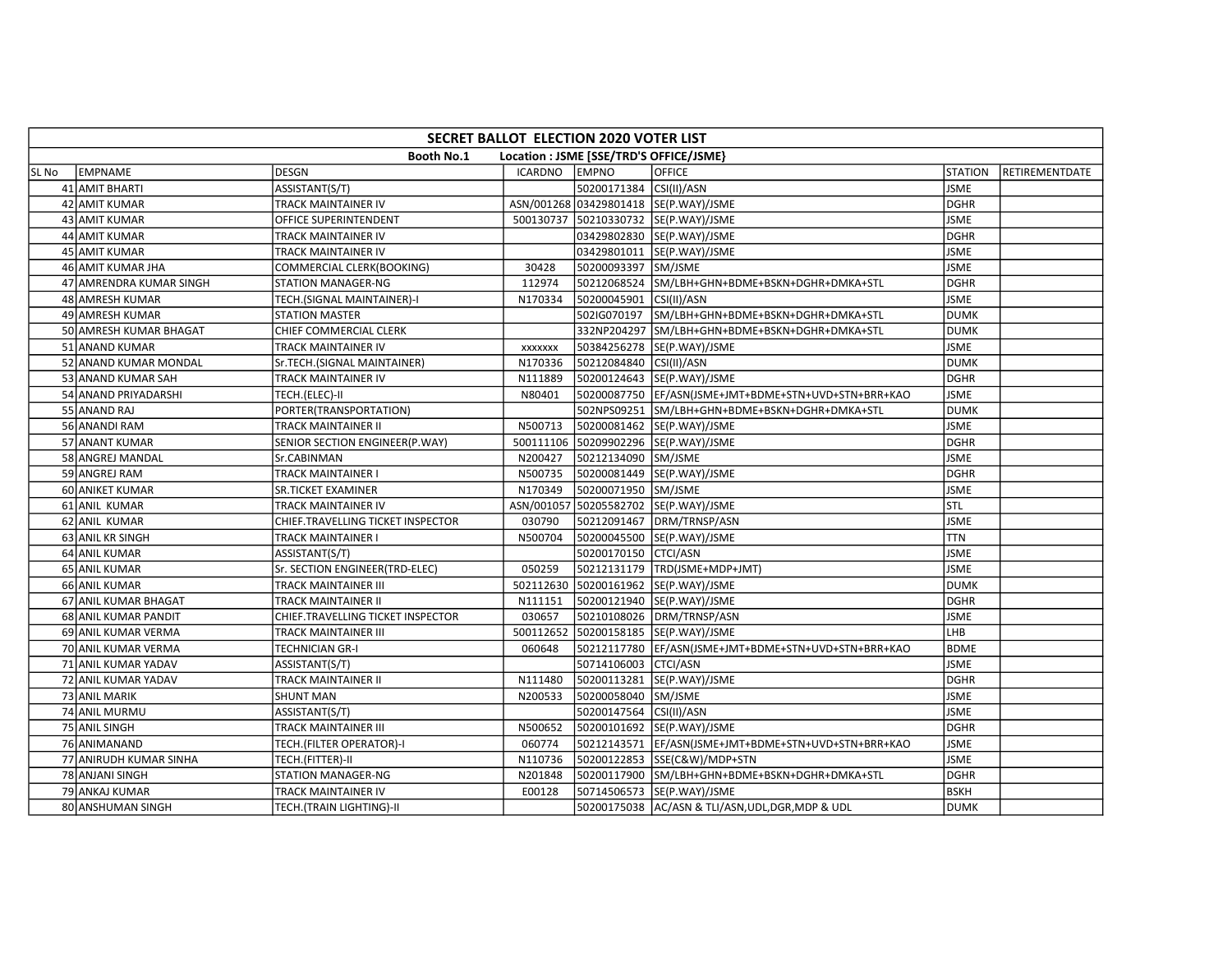|        | SECRET BALLOT ELECTION 2020 VOTER LIST |                                   |                |                         |                                                       |                |                |  |  |  |
|--------|----------------------------------------|-----------------------------------|----------------|-------------------------|-------------------------------------------------------|----------------|----------------|--|--|--|
|        |                                        | <b>Booth No.1</b>                 |                |                         | Location : JSME [SSE/TRD'S OFFICE/JSME}               |                |                |  |  |  |
| lSL No | EMPNAME                                | DESGN                             | <b>ICARDNO</b> | <b>EMPNO</b>            | <b>OFFICE</b>                                         | <b>STATION</b> | RETIREMENTDATE |  |  |  |
|        | 41 AMIT BHARTI                         | ASSISTANT(S/T)                    |                | 50200171384 CSI(II)/ASN |                                                       | <b>JSME</b>    |                |  |  |  |
|        | 42 AMIT KUMAR                          | TRACK MAINTAINER IV               |                |                         | ASN/001268 03429801418 SE(P.WAY)/JSME                 | <b>DGHR</b>    |                |  |  |  |
|        | 43 AMIT KUMAR                          | OFFICE SUPERINTENDENT             |                |                         | 500130737 50210330732 SE(P.WAY)/JSME                  | <b>JSME</b>    |                |  |  |  |
|        | 44 AMIT KUMAR                          | TRACK MAINTAINER IV               |                |                         | 03429802830 SE(P.WAY)/JSME                            | <b>DGHR</b>    |                |  |  |  |
|        | 45 AMIT KUMAR                          | TRACK MAINTAINER IV               |                |                         | 03429801011 SE(P.WAY)/JSME                            | <b>JSME</b>    |                |  |  |  |
|        | 46 AMIT KUMAR JHA                      | COMMERCIAL CLERK(BOOKING)         | 30428          | 50200093397 SM/JSME     |                                                       | <b>JSME</b>    |                |  |  |  |
|        | 47 AMRENDRA KUMAR SINGH                | STATION MANAGER-NG                | 112974         |                         | 50212068524 SM/LBH+GHN+BDME+BSKN+DGHR+DMKA+STL        | <b>DGHR</b>    |                |  |  |  |
|        | 48 AMRESH KUMAR                        | TECH.(SIGNAL MAINTAINER)-I        | N170334        | 50200045901 CSI(II)/ASN |                                                       | <b>JSME</b>    |                |  |  |  |
|        | 49 AMRESH KUMAR                        | <b>STATION MASTER</b>             |                | 502IG070197             | SM/LBH+GHN+BDME+BSKN+DGHR+DMKA+STL                    | <b>DUMK</b>    |                |  |  |  |
|        | 50 AMRESH KUMAR BHAGAT                 | CHIEF COMMERCIAL CLERK            |                |                         | 332NP204297 SM/LBH+GHN+BDME+BSKN+DGHR+DMKA+STL        | <b>DUMK</b>    |                |  |  |  |
|        | 51 ANAND KUMAR                         | TRACK MAINTAINER IV               | <b>XXXXXXX</b> |                         | 50384256278 SE(P.WAY)/JSME                            | <b>JSME</b>    |                |  |  |  |
|        | 52 ANAND KUMAR MONDAL                  | Sr.TECH.(SIGNAL MAINTAINER)       | N170336        | 50212084840 CSI(II)/ASN |                                                       | <b>DUMK</b>    |                |  |  |  |
|        | 53 ANAND KUMAR SAH                     | TRACK MAINTAINER IV               | N111889        |                         | 50200124643 SE(P.WAY)/JSME                            | <b>DGHR</b>    |                |  |  |  |
|        | 54 ANAND PRIYADARSHI                   | TECH.(ELEC)-II                    | N80401         |                         | 50200087750 EF/ASN(JSME+JMT+BDME+STN+UVD+STN+BRR+KAO  | <b>JSME</b>    |                |  |  |  |
|        | 55 ANAND RAJ                           | PORTER(TRANSPORTATION)            |                |                         | 502NPS09251 SM/LBH+GHN+BDME+BSKN+DGHR+DMKA+STL        | <b>DUMK</b>    |                |  |  |  |
|        | 56 ANANDI RAM                          | <b>TRACK MAINTAINER II</b>        | N500713        |                         | 50200081462 SE(P.WAY)/JSME                            | <b>JSME</b>    |                |  |  |  |
|        | 57 ANANT KUMAR                         | SENIOR SECTION ENGINEER(P.WAY)    |                |                         | 500111106 50209902296 SE(P.WAY)/JSME                  | <b>DGHR</b>    |                |  |  |  |
|        | 58 ANGREJ MANDAL                       | Sr.CABINMAN                       | N200427        | 50212134090 SM/JSME     |                                                       | <b>JSME</b>    |                |  |  |  |
|        | 59 ANGREJ RAM                          | <b>TRACK MAINTAINER I</b>         | N500735        |                         | 50200081449 SE(P.WAY)/JSME                            | <b>DGHR</b>    |                |  |  |  |
|        | 60 ANIKET KUMAR                        | <b>SR.TICKET EXAMINER</b>         | N170349        | 50200071950 SM/JSME     |                                                       | <b>JSME</b>    |                |  |  |  |
|        | 61 ANIL KUMAR                          | <b>TRACK MAINTAINER IV</b>        |                |                         | ASN/001057 50205582702 SE(P.WAY)/JSME                 | STL            |                |  |  |  |
|        | 62 ANIL KUMAR                          | CHIEF.TRAVELLING TICKET INSPECTOR | 030790         |                         | 50212091467 DRM/TRNSP/ASN                             | <b>JSME</b>    |                |  |  |  |
|        | 63 ANIL KR SINGH                       | <b>TRACK MAINTAINER I</b>         | N500704        |                         | 50200045500 SE(P.WAY)/JSME                            | <b>TTN</b>     |                |  |  |  |
|        | 64 ANIL KUMAR                          | ASSISTANT(S/T)                    |                | 50200170150 CTCI/ASN    |                                                       | <b>JSME</b>    |                |  |  |  |
|        | 65 ANIL KUMAR                          | Sr. SECTION ENGINEER(TRD-ELEC)    | 050259         |                         | 50212131179  TRD(JSME+MDP+JMT)                        | <b>JSME</b>    |                |  |  |  |
|        | 66 ANIL KUMAR                          | <b>TRACK MAINTAINER III</b>       |                |                         | 502112630 50200161962 SE(P.WAY)/JSME                  | <b>DUMK</b>    |                |  |  |  |
|        | 67 ANIL KUMAR BHAGAT                   | <b>TRACK MAINTAINER II</b>        | N111151        |                         | 50200121940 SE(P.WAY)/JSME                            | <b>DGHR</b>    |                |  |  |  |
|        | 68 ANIL KUMAR PANDIT                   | CHIEF.TRAVELLING TICKET INSPECTOR | 030657         |                         | 50210108026 DRM/TRNSP/ASN                             | <b>JSME</b>    |                |  |  |  |
|        | 69 ANIL KUMAR VERMA                    | TRACK MAINTAINER III              |                |                         | 500112652 50200158185 SE(P.WAY)/JSME                  | <b>LHB</b>     |                |  |  |  |
|        | 70 ANIL KUMAR VERMA                    | <b>TECHNICIAN GR-I</b>            | 060648         |                         | 50212117780 EF/ASN(JSME+JMT+BDME+STN+UVD+STN+BRR+KAO  | <b>BDME</b>    |                |  |  |  |
|        | 71 ANIL KUMAR YADAV                    | ASSISTANT(S/T)                    |                | 50714106003 CTCI/ASN    |                                                       | <b>JSME</b>    |                |  |  |  |
|        | 72 ANIL KUMAR YADAV                    | TRACK MAINTAINER II               | N111480        |                         | 50200113281  SE(P.WAY)/JSME                           | <b>DGHR</b>    |                |  |  |  |
|        | 73 ANIL MARIK                          | <b>SHUNT MAN</b>                  | N200533        | 50200058040 SM/JSME     |                                                       | <b>JSME</b>    |                |  |  |  |
|        | 74 ANIL MURMU                          | ASSISTANT(S/T)                    |                | 50200147564 CSI(II)/ASN |                                                       | <b>JSME</b>    |                |  |  |  |
|        | 75 ANIL SINGH                          | <b>TRACK MAINTAINER III</b>       | N500652        |                         | 50200101692 SE(P.WAY)/JSME                            | <b>DGHR</b>    |                |  |  |  |
|        | 76 ANIMANAND                           | TECH. (FILTER OPERATOR)-I         | 060774         |                         | 50212143571  EF/ASN(JSME+JMT+BDME+STN+UVD+STN+BRR+KAO | <b>JSME</b>    |                |  |  |  |
|        | 77 ANIRUDH KUMAR SINHA                 | TECH.(FITTER)-II                  | N110736        |                         | 50200122853 SSE(C&W)/MDP+STN                          | <b>JSME</b>    |                |  |  |  |
|        | 78 ANJANI SINGH                        | STATION MANAGER-NG                | N201848        |                         | 50200117900 SM/LBH+GHN+BDME+BSKN+DGHR+DMKA+STL        | <b>DGHR</b>    |                |  |  |  |
|        | 79 ANKAJ KUMAR                         | TRACK MAINTAINER IV               | E00128         |                         | 50714506573 SE(P.WAY)/JSME                            | <b>BSKH</b>    |                |  |  |  |
|        | 80 ANSHUMAN SINGH                      | TECH.(TRAIN LIGHTING)-II          |                |                         | 50200175038 AC/ASN & TLI/ASN, UDL, DGR, MDP & UDL     | <b>DUMK</b>    |                |  |  |  |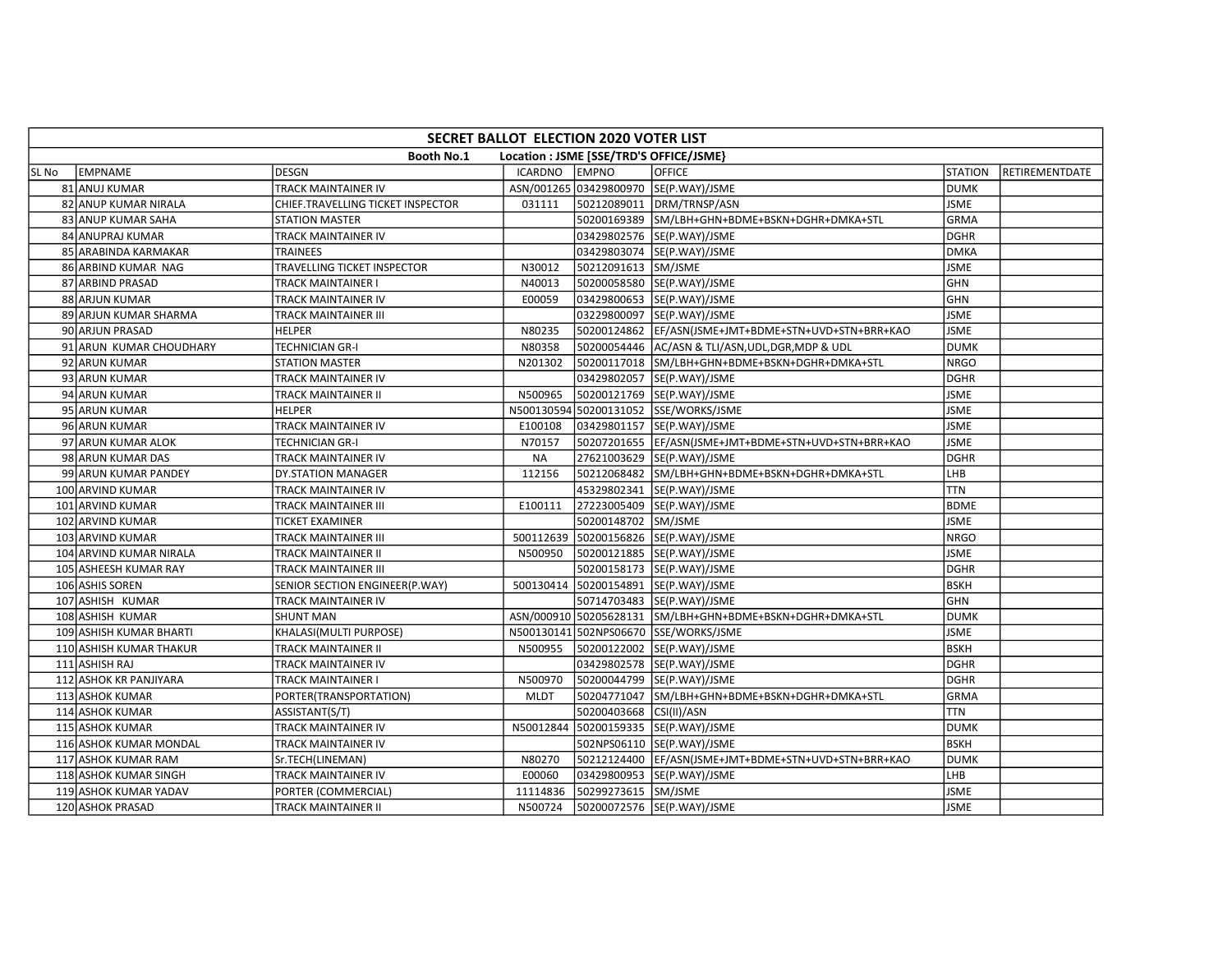|       | SECRET BALLOT ELECTION 2020 VOTER LIST                       |                                   |               |                         |                                                           |                |                |  |  |  |  |
|-------|--------------------------------------------------------------|-----------------------------------|---------------|-------------------------|-----------------------------------------------------------|----------------|----------------|--|--|--|--|
|       | <b>Booth No.1</b><br>Location : JSME [SSE/TRD'S OFFICE/JSME} |                                   |               |                         |                                                           |                |                |  |  |  |  |
| SL No | EMPNAME                                                      | <b>DESGN</b>                      | ICARDNO EMPNO |                         | OFFICE                                                    | <b>STATION</b> | RETIREMENTDATE |  |  |  |  |
|       | 81 ANUJ KUMAR                                                | <b>TRACK MAINTAINER IV</b>        |               |                         | ASN/001265 03429800970 SE(P.WAY)/JSME                     | <b>DUMK</b>    |                |  |  |  |  |
|       | 82 ANUP KUMAR NIRALA                                         | CHIEF.TRAVELLING TICKET INSPECTOR | 031111        |                         | 50212089011 DRM/TRNSP/ASN                                 | <b>JSME</b>    |                |  |  |  |  |
|       | 83 ANUP KUMAR SAHA                                           | <b>STATION MASTER</b>             |               |                         | 50200169389 SM/LBH+GHN+BDME+BSKN+DGHR+DMKA+STL            | <b>GRMA</b>    |                |  |  |  |  |
|       | 84 ANUPRAJ KUMAR                                             | <b>TRACK MAINTAINER IV</b>        |               |                         | 03429802576 SE(P.WAY)/JSME                                | DGHR           |                |  |  |  |  |
|       | 85 ARABINDA KARMAKAR                                         | <b>TRAINEES</b>                   |               |                         | 03429803074 SE(P.WAY)/JSME                                | <b>DMKA</b>    |                |  |  |  |  |
|       | 86 ARBIND KUMAR NAG                                          | TRAVELLING TICKET INSPECTOR       | N30012        | 50212091613 SM/JSME     |                                                           | <b>JSME</b>    |                |  |  |  |  |
|       | 87 ARBIND PRASAD                                             | <b>TRACK MAINTAINER I</b>         | N40013        |                         | 50200058580 SE(P.WAY)/JSME                                | <b>GHN</b>     |                |  |  |  |  |
|       | 88 ARJUN KUMAR                                               | <b>TRACK MAINTAINER IV</b>        | E00059        |                         | 03429800653 SE(P.WAY)/JSME                                | <b>GHN</b>     |                |  |  |  |  |
|       | 89 ARJUN KUMAR SHARMA                                        | <b>TRACK MAINTAINER III</b>       |               |                         | 03229800097 SE(P.WAY)/JSME                                | <b>JSME</b>    |                |  |  |  |  |
|       | 90 ARJUN PRASAD                                              | <b>HELPER</b>                     | N80235        |                         | 50200124862  EF/ASN(JSME+JMT+BDME+STN+UVD+STN+BRR+KAO     | <b>JSME</b>    |                |  |  |  |  |
|       | 91 ARUN KUMAR CHOUDHARY                                      | <b>TECHNICIAN GR-I</b>            | N80358        |                         | 50200054446 AC/ASN & TLI/ASN, UDL, DGR, MDP & UDL         | <b>DUMK</b>    |                |  |  |  |  |
|       | 92 ARUN KUMAR                                                | <b>STATION MASTER</b>             | N201302       |                         | 50200117018 SM/LBH+GHN+BDME+BSKN+DGHR+DMKA+STL            | <b>NRGO</b>    |                |  |  |  |  |
|       | 93 ARUN KUMAR                                                | TRACK MAINTAINER IV               |               |                         | 03429802057 SE(P.WAY)/JSME                                | <b>DGHR</b>    |                |  |  |  |  |
|       | 94 ARUN KUMAR                                                | <b>TRACK MAINTAINER II</b>        | N500965       |                         | 50200121769 SE(P.WAY)/JSME                                | <b>JSME</b>    |                |  |  |  |  |
|       | 95 ARUN KUMAR                                                | <b>HELPER</b>                     |               |                         | N500130594 50200131052 SSE/WORKS/JSME                     | <b>JSME</b>    |                |  |  |  |  |
|       | 96 ARUN KUMAR                                                | TRACK MAINTAINER IV               | E100108       |                         | 03429801157  SE(P.WAY)/JSME                               | <b>JSME</b>    |                |  |  |  |  |
|       | 97 ARUN KUMAR ALOK                                           | <b>TECHNICIAN GR-I</b>            | N70157        |                         | 50207201655 EF/ASN(JSME+JMT+BDME+STN+UVD+STN+BRR+KAO      | <b>JSME</b>    |                |  |  |  |  |
|       | 98 ARUN KUMAR DAS                                            | TRACK MAINTAINER IV               | <b>NA</b>     |                         | 27621003629 SE(P.WAY)/JSME                                | <b>DGHR</b>    |                |  |  |  |  |
|       | 99 ARUN KUMAR PANDEY                                         | DY.STATION MANAGER                | 112156        |                         | 50212068482 SM/LBH+GHN+BDME+BSKN+DGHR+DMKA+STL            | LHB            |                |  |  |  |  |
|       | 100 ARVIND KUMAR                                             | TRACK MAINTAINER IV               |               |                         | 45329802341 SE(P.WAY)/JSME                                | <b>TTN</b>     |                |  |  |  |  |
|       | 101 ARVIND KUMAR                                             | <b>TRACK MAINTAINER III</b>       | E100111       |                         | 27223005409 SE(P.WAY)/JSME                                | <b>BDME</b>    |                |  |  |  |  |
|       | 102 ARVIND KUMAR                                             | <b>TICKET EXAMINER</b>            |               | 50200148702 SM/JSME     |                                                           | <b>JSME</b>    |                |  |  |  |  |
|       | 103 ARVIND KUMAR                                             | TRACK MAINTAINER III              |               |                         | 500112639 50200156826 SE(P.WAY)/JSME                      | <b>NRGO</b>    |                |  |  |  |  |
|       | 104 ARVIND KUMAR NIRALA                                      | <b>TRACK MAINTAINER II</b>        | N500950       |                         | 50200121885 SE(P.WAY)/JSME                                | <b>JSME</b>    |                |  |  |  |  |
|       | 105 ASHEESH KUMAR RAY                                        | TRACK MAINTAINER III              |               |                         | 50200158173 SE(P.WAY)/JSME                                | <b>DGHR</b>    |                |  |  |  |  |
|       | 106 ASHIS SOREN                                              | SENIOR SECTION ENGINEER(P.WAY)    |               |                         | 500130414 50200154891 SE(P.WAY)/JSME                      | <b>BSKH</b>    |                |  |  |  |  |
|       | 107 ASHISH KUMAR                                             | TRACK MAINTAINER IV               |               |                         | 50714703483 SE(P.WAY)/JSME                                | <b>GHN</b>     |                |  |  |  |  |
|       | 108 ASHISH KUMAR                                             | <b>SHUNT MAN</b>                  |               |                         | ASN/000910 50205628131 SM/LBH+GHN+BDME+BSKN+DGHR+DMKA+STL | <b>DUMK</b>    |                |  |  |  |  |
|       | 109 ASHISH KUMAR BHARTI                                      | KHALASI(MULTI PURPOSE)            |               |                         | N500130141 502NPS06670 SSE/WORKS/JSME                     | <b>JSME</b>    |                |  |  |  |  |
|       | 110 ASHISH KUMAR THAKUR                                      | <b>TRACK MAINTAINER II</b>        | N500955       |                         | 50200122002 SE(P.WAY)/JSME                                | <b>BSKH</b>    |                |  |  |  |  |
|       | 111 ASHISH RAJ                                               | TRACK MAINTAINER IV               |               |                         | 03429802578 SE(P.WAY)/JSME                                | <b>DGHR</b>    |                |  |  |  |  |
|       | 112 ASHOK KR PANJIYARA                                       | TRACK MAINTAINER I                | N500970       |                         | 50200044799 SE(P.WAY)/JSME                                | <b>DGHR</b>    |                |  |  |  |  |
|       | 113 ASHOK KUMAR                                              | PORTER(TRANSPORTATION)            | <b>MLDT</b>   |                         | 50204771047 SM/LBH+GHN+BDME+BSKN+DGHR+DMKA+STL            | <b>GRMA</b>    |                |  |  |  |  |
|       | 114 ASHOK KUMAR                                              | ASSISTANT(S/T)                    |               | 50200403668 CSI(II)/ASN |                                                           | <b>TTN</b>     |                |  |  |  |  |
|       | 115 ASHOK KUMAR                                              | <b>TRACK MAINTAINER IV</b>        |               |                         | N50012844 50200159335 SE(P.WAY)/JSME                      | <b>DUMK</b>    |                |  |  |  |  |
|       | 116 ASHOK KUMAR MONDAL                                       | TRACK MAINTAINER IV               |               |                         | 502NPS06110 SE(P.WAY)/JSME                                | <b>BSKH</b>    |                |  |  |  |  |
|       | 117 ASHOK KUMAR RAM                                          | Sr.TECH(LINEMAN)                  | N80270        |                         | 50212124400   EF/ASN(JSME+JMT+BDME+STN+UVD+STN+BRR+KAO    | <b>DUMK</b>    |                |  |  |  |  |
|       | 118 ASHOK KUMAR SINGH                                        | TRACK MAINTAINER IV               | E00060        |                         | 03429800953 SE(P.WAY)/JSME                                | LHB            |                |  |  |  |  |
|       | 119 ASHOK KUMAR YADAV                                        | PORTER (COMMERCIAL)               | 11114836      | 50299273615 SM/JSME     |                                                           | <b>JSME</b>    |                |  |  |  |  |
|       | 120 ASHOK PRASAD                                             | <b>TRACK MAINTAINER II</b>        | N500724       |                         | 50200072576 SE(P.WAY)/JSME                                | <b>JSME</b>    |                |  |  |  |  |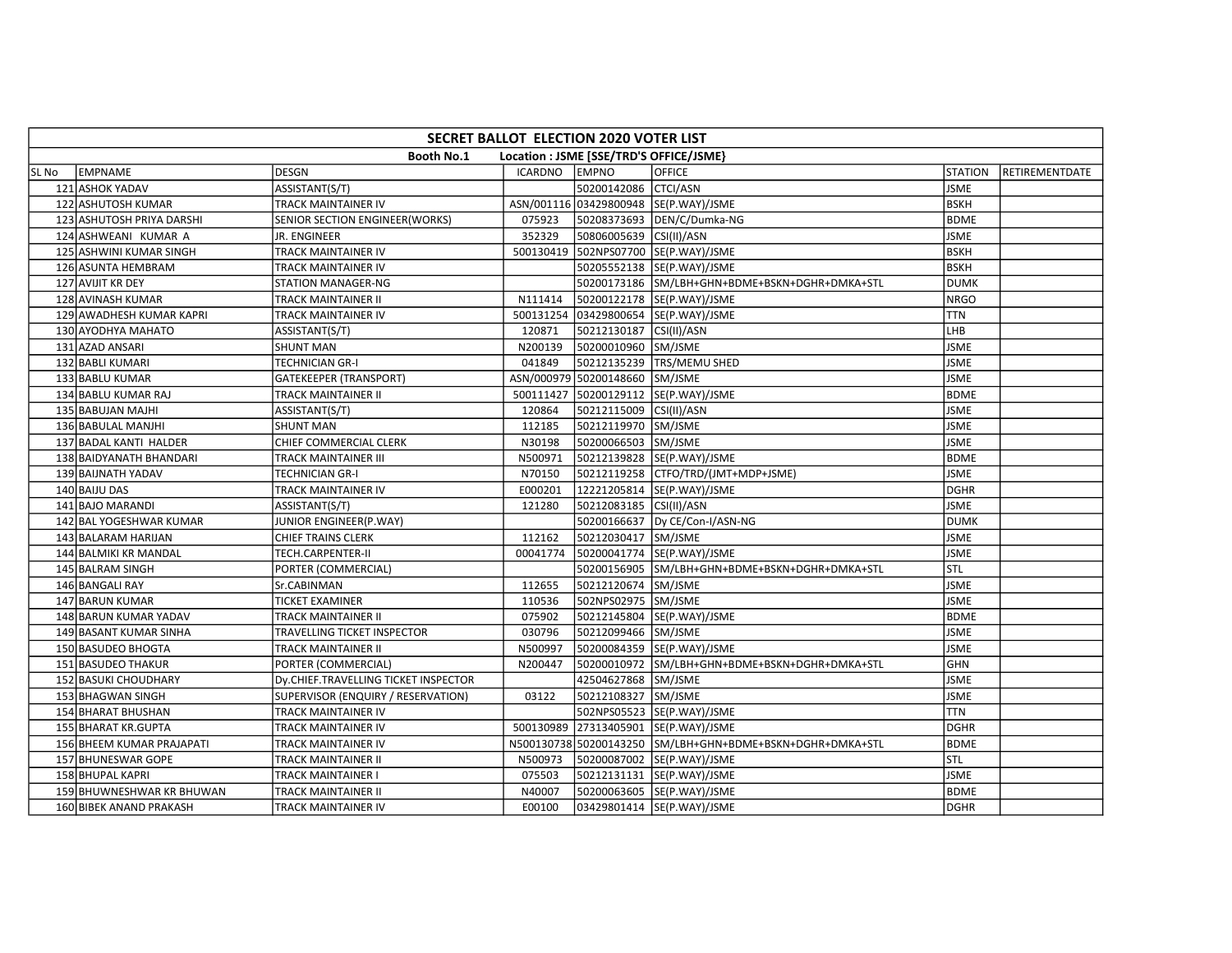|       | SECRET BALLOT ELECTION 2020 VOTER LIST                |                                      |                |                                |                                                           |                |                |  |  |  |  |
|-------|-------------------------------------------------------|--------------------------------------|----------------|--------------------------------|-----------------------------------------------------------|----------------|----------------|--|--|--|--|
|       | Booth No.1<br>Location : JSME [SSE/TRD'S OFFICE/JSME} |                                      |                |                                |                                                           |                |                |  |  |  |  |
| SL No | EMPNAME                                               | <b>DESGN</b>                         | <b>ICARDNO</b> | <b>EMPNO</b>                   | <b>OFFICE</b>                                             | <b>STATION</b> | RETIREMENTDATE |  |  |  |  |
|       | 121 ASHOK YADAV                                       | ASSISTANT(S/T)                       |                | 50200142086 CTCI/ASN           |                                                           | <b>JSME</b>    |                |  |  |  |  |
|       | 122 ASHUTOSH KUMAR                                    | TRACK MAINTAINER IV                  |                |                                | ASN/001116 03429800948 SE(P.WAY)/JSME                     | <b>BSKH</b>    |                |  |  |  |  |
|       | 123 ASHUTOSH PRIYA DARSHI                             | SENIOR SECTION ENGINEER(WORKS)       | 075923         |                                | 50208373693  DEN/C/Dumka-NG                               | <b>BDME</b>    |                |  |  |  |  |
|       | 124 ASHWEANI KUMAR A                                  | JR. ENGINEER                         | 352329         | 50806005639 CSI(II)/ASN        |                                                           | <b>JSME</b>    |                |  |  |  |  |
|       | 125 ASHWINI KUMAR SINGH                               | TRACK MAINTAINER IV                  |                |                                | 500130419 502NPS07700 SE(P.WAY)/JSME                      | <b>BSKH</b>    |                |  |  |  |  |
|       | 126 ASUNTA HEMBRAM                                    | TRACK MAINTAINER IV                  |                |                                | 50205552138 SE(P.WAY)/JSME                                | <b>BSKH</b>    |                |  |  |  |  |
|       | 127 AVIJIT KR DEY                                     | STATION MANAGER-NG                   |                |                                | 50200173186 SM/LBH+GHN+BDME+BSKN+DGHR+DMKA+STL            | <b>DUMK</b>    |                |  |  |  |  |
|       | 128 AVINASH KUMAR                                     | TRACK MAINTAINER II                  | N111414        |                                | 50200122178 SE(P.WAY)/JSME                                | <b>NRGO</b>    |                |  |  |  |  |
|       | 129 AWADHESH KUMAR KAPRI                              | <b>TRACK MAINTAINER IV</b>           | 500131254      |                                | 03429800654 SE(P.WAY)/JSME                                | <b>TTN</b>     |                |  |  |  |  |
|       | 130 AYODHYA MAHATO                                    | ASSISTANT(S/T)                       | 120871         | 50212130187 CSI(II)/ASN        |                                                           | LHB            |                |  |  |  |  |
|       | 131 AZAD ANSARI                                       | <b>SHUNT MAN</b>                     | N200139        | 50200010960 SM/JSME            |                                                           | <b>JSME</b>    |                |  |  |  |  |
|       | 132 BABLI KUMARI                                      | <b>TECHNICIAN GR-I</b>               | 041849         |                                | 50212135239 TRS/MEMU SHED                                 | <b>JSME</b>    |                |  |  |  |  |
|       | 133 BABLU KUMAR                                       | <b>GATEKEEPER (TRANSPORT)</b>        |                | ASN/000979 50200148660 SM/JSME |                                                           | <b>JSME</b>    |                |  |  |  |  |
|       | 134 BABLU KUMAR RAJ                                   | TRACK MAINTAINER II                  |                |                                | 500111427 50200129112 SE(P.WAY)/JSME                      | <b>BDME</b>    |                |  |  |  |  |
|       | 135 BABUJAN MAJHI                                     | ASSISTANT(S/T)                       | 120864         | 50212115009 CSI(II)/ASN        |                                                           | <b>JSME</b>    |                |  |  |  |  |
|       | 136 BABULAL MANJHI                                    | <b>SHUNT MAN</b>                     | 112185         | 50212119970 SM/JSME            |                                                           | <b>JSME</b>    |                |  |  |  |  |
|       | 137 BADAL KANTI HALDER                                | CHIEF COMMERCIAL CLERK               | N30198         | 50200066503 SM/JSME            |                                                           | <b>JSME</b>    |                |  |  |  |  |
|       | 138 BAIDYANATH BHANDARI                               | TRACK MAINTAINER III                 | N500971        |                                | 50212139828 SE(P.WAY)/JSME                                | <b>BDME</b>    |                |  |  |  |  |
|       | 139 BAIJNATH YADAV                                    | <b>TECHNICIAN GR-I</b>               | N70150         |                                | 50212119258 CTFO/TRD/(JMT+MDP+JSME)                       | <b>JSME</b>    |                |  |  |  |  |
|       | 140 BAIJU DAS                                         | TRACK MAINTAINER IV                  | E000201        |                                | 12221205814 SE(P.WAY)/JSME                                | <b>DGHR</b>    |                |  |  |  |  |
|       | 141 BAJO MARANDI                                      | ASSISTANT(S/T)                       | 121280         | 50212083185 CSI(II)/ASN        |                                                           | <b>JSME</b>    |                |  |  |  |  |
|       | 142 BAL YOGESHWAR KUMAR                               | JUNIOR ENGINEER(P.WAY)               |                |                                | 50200166637  Dy CE/Con-I/ASN-NG                           | <b>DUMK</b>    |                |  |  |  |  |
|       | 143 BALARAM HARIJAN                                   | <b>CHIEF TRAINS CLERK</b>            | 112162         | 50212030417 SM/JSME            |                                                           | <b>JSME</b>    |                |  |  |  |  |
|       | 144 BALMIKI KR MANDAL                                 | TECH.CARPENTER-II                    | 00041774       |                                | 50200041774 SE(P.WAY)/JSME                                | <b>JSME</b>    |                |  |  |  |  |
|       | 145 BALRAM SINGH                                      | PORTER (COMMERCIAL)                  |                |                                | 50200156905 SM/LBH+GHN+BDME+BSKN+DGHR+DMKA+STL            | <b>STL</b>     |                |  |  |  |  |
|       | 146 BANGALI RAY                                       | Sr.CABINMAN                          | 112655         | 50212120674 SM/JSME            |                                                           | <b>JSME</b>    |                |  |  |  |  |
|       | 147 BARUN KUMAR                                       | <b>TICKET EXAMINER</b>               | 110536         | 502NPS02975 SM/JSME            |                                                           | <b>JSME</b>    |                |  |  |  |  |
|       | 148 BARUN KUMAR YADAV                                 | TRACK MAINTAINER II                  | 075902         |                                | 50212145804 SE(P.WAY)/JSME                                | <b>BDME</b>    |                |  |  |  |  |
|       | 149 BASANT KUMAR SINHA                                | TRAVELLING TICKET INSPECTOR          | 030796         | 50212099466 SM/JSME            |                                                           | <b>JSME</b>    |                |  |  |  |  |
|       | 150 BASUDEO BHOGTA                                    | <b>TRACK MAINTAINER II</b>           | N500997        |                                | 50200084359 SE(P.WAY)/JSME                                | <b>JSME</b>    |                |  |  |  |  |
|       | 151 BASUDEO THAKUR                                    | PORTER (COMMERCIAL)                  | N200447        |                                | 50200010972 SM/LBH+GHN+BDME+BSKN+DGHR+DMKA+STL            | <b>GHN</b>     |                |  |  |  |  |
|       | 152 BASUKI CHOUDHARY                                  | Dy.CHIEF.TRAVELLING TICKET INSPECTOR |                | 42504627868 SM/JSME            |                                                           | <b>JSME</b>    |                |  |  |  |  |
|       | 153 BHAGWAN SINGH                                     | SUPERVISOR (ENQUIRY / RESERVATION)   | 03122          | 50212108327 SM/JSME            |                                                           | <b>JSME</b>    |                |  |  |  |  |
|       | 154 BHARAT BHUSHAN                                    | TRACK MAINTAINER IV                  |                |                                | 502NPS05523 SE(P.WAY)/JSME                                | <b>TTN</b>     |                |  |  |  |  |
|       | 155 BHARAT KR.GUPTA                                   | TRACK MAINTAINER IV                  |                |                                | 500130989 27313405901 SE(P.WAY)/JSME                      | <b>DGHR</b>    |                |  |  |  |  |
|       | 156 BHEEM KUMAR PRAJAPATI                             | TRACK MAINTAINER IV                  |                |                                | N500130738 50200143250 SM/LBH+GHN+BDME+BSKN+DGHR+DMKA+STL | <b>BDME</b>    |                |  |  |  |  |
|       | 157 BHUNESWAR GOPE                                    | TRACK MAINTAINER II                  | N500973        |                                | 50200087002 SE(P.WAY)/JSME                                | STL            |                |  |  |  |  |
|       | 158 BHUPAL KAPRI                                      | TRACK MAINTAINER I                   | 075503         |                                | 50212131131 SE(P.WAY)/JSME                                | <b>JSME</b>    |                |  |  |  |  |
|       | 159 BHUWNESHWAR KR BHUWAN                             | TRACK MAINTAINER II                  | N40007         |                                | 50200063605 SE(P.WAY)/JSME                                | <b>BDME</b>    |                |  |  |  |  |
|       | 160 BIBEK ANAND PRAKASH                               | TRACK MAINTAINER IV                  | E00100         |                                | 03429801414 SE(P.WAY)/JSME                                | DGHR           |                |  |  |  |  |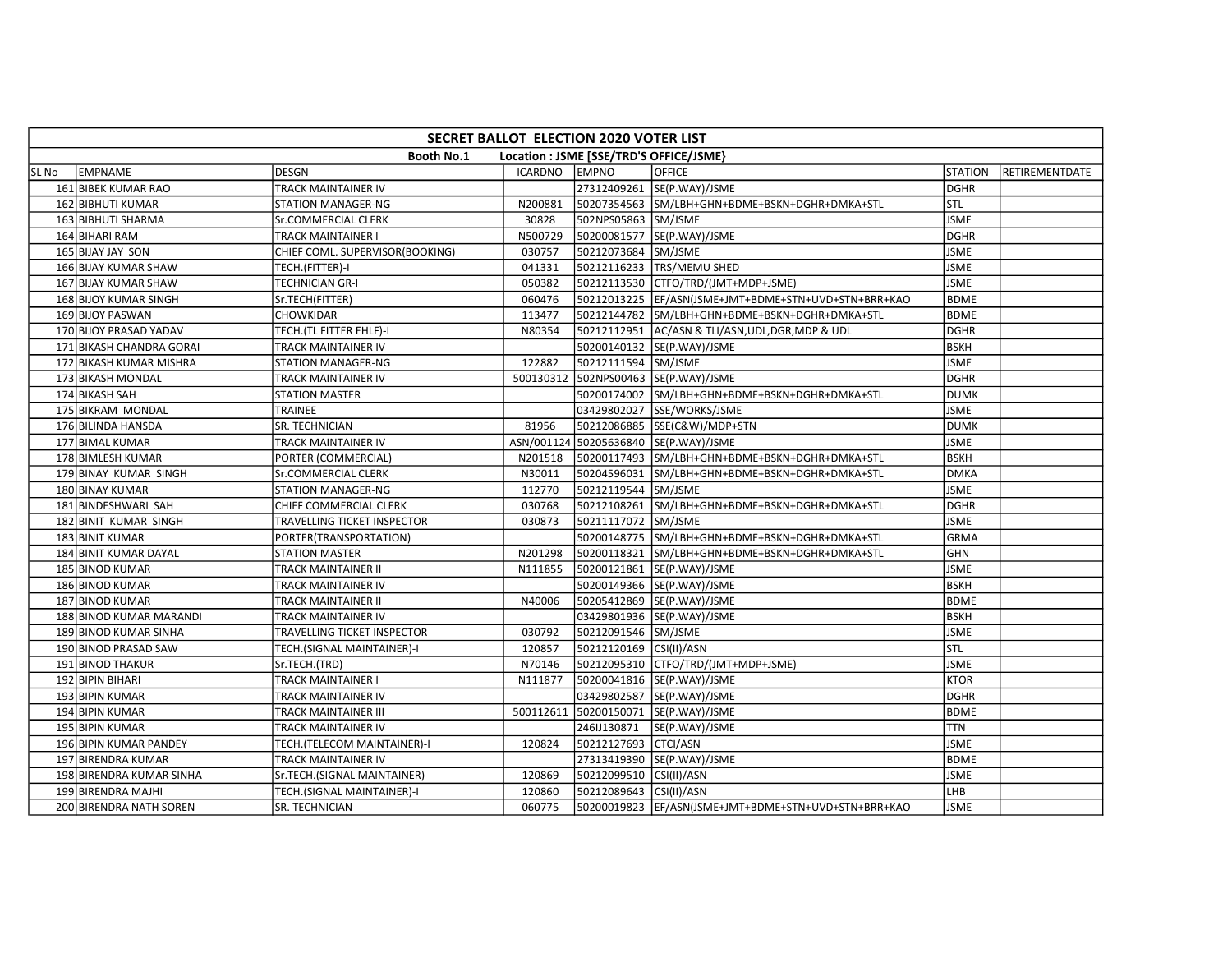|       | SECRET BALLOT ELECTION 2020 VOTER LIST                       |                                 |           |                         |                                                       |                |                |  |  |  |
|-------|--------------------------------------------------------------|---------------------------------|-----------|-------------------------|-------------------------------------------------------|----------------|----------------|--|--|--|
|       | <b>Booth No.1</b><br>Location : JSME [SSE/TRD'S OFFICE/JSME} |                                 |           |                         |                                                       |                |                |  |  |  |
| SL No | EMPNAME                                                      | <b>DESGN</b>                    | ICARDNO   | <b>EMPNO</b>            | <b>OFFICE</b>                                         | <b>STATION</b> | RETIREMENTDATE |  |  |  |
|       | 161 BIBEK KUMAR RAO                                          | TRACK MAINTAINER IV             |           |                         | 27312409261 SE(P.WAY)/JSME                            | <b>DGHR</b>    |                |  |  |  |
|       | 162 BIBHUTI KUMAR                                            | <b>STATION MANAGER-NG</b>       | N200881   |                         | 50207354563 SM/LBH+GHN+BDME+BSKN+DGHR+DMKA+STL        | <b>STL</b>     |                |  |  |  |
|       | 163 BIBHUTI SHARMA                                           | <b>Sr.COMMERCIAL CLERK</b>      | 30828     | 502NPS05863 SM/JSME     |                                                       | <b>JSME</b>    |                |  |  |  |
|       | 164 BIHARI RAM                                               | TRACK MAINTAINER I              | N500729   |                         | 50200081577 SE(P.WAY)/JSME                            | DGHR           |                |  |  |  |
|       | 165 BIJAY JAY SON                                            | CHIEF COML. SUPERVISOR(BOOKING) | 030757    | 50212073684 SM/JSME     |                                                       | <b>JSME</b>    |                |  |  |  |
|       | 166 BIJAY KUMAR SHAW                                         | TECH.(FITTER)-I                 | 041331    |                         | 50212116233   TRS/MEMU SHED                           | <b>JSME</b>    |                |  |  |  |
|       | 167 BIJAY KUMAR SHAW                                         | TECHNICIAN GR-I                 | 050382    |                         | 50212113530 CTFO/TRD/(JMT+MDP+JSME)                   | <b>JSME</b>    |                |  |  |  |
|       | 168 BIJOY KUMAR SINGH                                        | Sr.TECH(FITTER)                 | 060476    |                         | 50212013225  EF/ASN(JSME+JMT+BDME+STN+UVD+STN+BRR+KAO | <b>BDME</b>    |                |  |  |  |
|       | 169 BIJOY PASWAN                                             | CHOWKIDAR                       | 113477    | 50212144782             | SM/LBH+GHN+BDME+BSKN+DGHR+DMKA+STL                    | <b>BDME</b>    |                |  |  |  |
|       | 170 BIJOY PRASAD YADAV                                       | TECH. (TL FITTER EHLF)-I        | N80354    |                         | 50212112951 AC/ASN & TLI/ASN, UDL, DGR, MDP & UDL     | <b>DGHR</b>    |                |  |  |  |
|       | 171 BIKASH CHANDRA GORAI                                     | TRACK MAINTAINER IV             |           |                         | 50200140132  SE(P.WAY)/JSME                           | <b>BSKH</b>    |                |  |  |  |
|       | 172 BIKASH KUMAR MISHRA                                      | STATION MANAGER-NG              | 122882    | 50212111594 SM/JSME     |                                                       | <b>JSME</b>    |                |  |  |  |
|       | 173 BIKASH MONDAL                                            | TRACK MAINTAINER IV             | 500130312 |                         | 502NPS00463 SE(P.WAY)/JSME                            | <b>DGHR</b>    |                |  |  |  |
|       | 174 BIKASH SAH                                               | <b>STATION MASTER</b>           |           |                         | 50200174002 SM/LBH+GHN+BDME+BSKN+DGHR+DMKA+STL        | <b>DUMK</b>    |                |  |  |  |
|       | 175 BIKRAM MONDAL                                            | <b>TRAINEE</b>                  |           |                         | 03429802027 SSE/WORKS/JSME                            | <b>JSME</b>    |                |  |  |  |
|       | 176 BILINDA HANSDA                                           | SR. TECHNICIAN                  | 81956     |                         | 50212086885 SSE(C&W)/MDP+STN                          | <b>DUMK</b>    |                |  |  |  |
|       | 177 BIMAL KUMAR                                              | TRACK MAINTAINER IV             |           |                         | ASN/001124 50205636840 SE(P.WAY)/JSME                 | JSME           |                |  |  |  |
|       | 178 BIMLESH KUMAR                                            | PORTER (COMMERCIAL)             | N201518   |                         | 50200117493 SM/LBH+GHN+BDME+BSKN+DGHR+DMKA+STL        | <b>BSKH</b>    |                |  |  |  |
|       | 179 BINAY KUMAR SINGH                                        | Sr.COMMERCIAL CLERK             | N30011    |                         | 50204596031 SM/LBH+GHN+BDME+BSKN+DGHR+DMKA+STL        | <b>DMKA</b>    |                |  |  |  |
|       | 180 BINAY KUMAR                                              | <b>STATION MANAGER-NG</b>       | 112770    | 50212119544 SM/JSME     |                                                       | <b>JSME</b>    |                |  |  |  |
|       | 181 BINDESHWARI SAH                                          | CHIEF COMMERCIAL CLERK          | 030768    |                         | 50212108261 SM/LBH+GHN+BDME+BSKN+DGHR+DMKA+STL        | <b>DGHR</b>    |                |  |  |  |
|       | 182 BINIT KUMAR SINGH                                        | TRAVELLING TICKET INSPECTOR     | 030873    | 50211117072 SM/JSME     |                                                       | <b>JSME</b>    |                |  |  |  |
|       | 183 BINIT KUMAR                                              | PORTER(TRANSPORTATION)          |           |                         | 50200148775 SM/LBH+GHN+BDME+BSKN+DGHR+DMKA+STL        | <b>GRMA</b>    |                |  |  |  |
|       | 184 BINIT KUMAR DAYAL                                        | <b>STATION MASTER</b>           | N201298   |                         | 50200118321 SM/LBH+GHN+BDME+BSKN+DGHR+DMKA+STL        | <b>GHN</b>     |                |  |  |  |
|       | 185 BINOD KUMAR                                              | TRACK MAINTAINER II             | N111855   |                         | 50200121861 SE(P.WAY)/JSME                            | <b>JSME</b>    |                |  |  |  |
|       | 186 BINOD KUMAR                                              | TRACK MAINTAINER IV             |           |                         | 50200149366 SE(P.WAY)/JSME                            | <b>BSKH</b>    |                |  |  |  |
|       | 187 BINOD KUMAR                                              | TRACK MAINTAINER II             | N40006    |                         | 50205412869 SE(P.WAY)/JSME                            | <b>BDME</b>    |                |  |  |  |
|       | 188 BINOD KUMAR MARANDI                                      | TRACK MAINTAINER IV             |           |                         | 03429801936 SE(P.WAY)/JSME                            | <b>BSKH</b>    |                |  |  |  |
|       | 189 BINOD KUMAR SINHA                                        | TRAVELLING TICKET INSPECTOR     | 030792    | 50212091546 SM/JSME     |                                                       | <b>JSME</b>    |                |  |  |  |
|       | 190 BINOD PRASAD SAW                                         | TECH.(SIGNAL MAINTAINER)-I      | 120857    | 50212120169 CSI(II)/ASN |                                                       | STL            |                |  |  |  |
|       | 191 BINOD THAKUR                                             | Sr.TECH.(TRD)                   | N70146    |                         | 50212095310 CTFO/TRD/(JMT+MDP+JSME)                   | <b>JSME</b>    |                |  |  |  |
|       | 192 BIPIN BIHARI                                             | TRACK MAINTAINER I              | N111877   |                         | 50200041816 SE(P.WAY)/JSME                            | <b>KTOR</b>    |                |  |  |  |
|       | 193 BIPIN KUMAR                                              | TRACK MAINTAINER IV             |           |                         | 03429802587  SE(P.WAY)/JSME                           | <b>DGHR</b>    |                |  |  |  |
|       | 194 BIPIN KUMAR                                              | TRACK MAINTAINER III            | 500112611 |                         | 50200150071 SE(P.WAY)/JSME                            | <b>BDME</b>    |                |  |  |  |
|       | 195 BIPIN KUMAR                                              | TRACK MAINTAINER IV             |           | 246IJ130871             | SE(P.WAY)/JSME                                        | <b>TTN</b>     |                |  |  |  |
|       | 196 BIPIN KUMAR PANDEY                                       | TECH.(TELECOM MAINTAINER)-I     | 120824    | 50212127693 CTCI/ASN    |                                                       | <b>JSME</b>    |                |  |  |  |
|       | 197 BIRENDRA KUMAR                                           | <b>TRACK MAINTAINER IV</b>      |           |                         | 27313419390 SE(P.WAY)/JSME                            | <b>BDME</b>    |                |  |  |  |
|       | 198 BIRENDRA KUMAR SINHA                                     | Sr.TECH.(SIGNAL MAINTAINER)     | 120869    | 50212099510 CSI(II)/ASN |                                                       | <b>JSME</b>    |                |  |  |  |
|       | 199 BIRENDRA MAJHI                                           | TECH.(SIGNAL MAINTAINER)-I      | 120860    | 50212089643 CSI(II)/ASN |                                                       | LHB            |                |  |  |  |
|       | 200 BIRENDRA NATH SOREN                                      | SR. TECHNICIAN                  | 060775    |                         | 50200019823  EF/ASN(JSME+JMT+BDME+STN+UVD+STN+BRR+KAO | <b>JSME</b>    |                |  |  |  |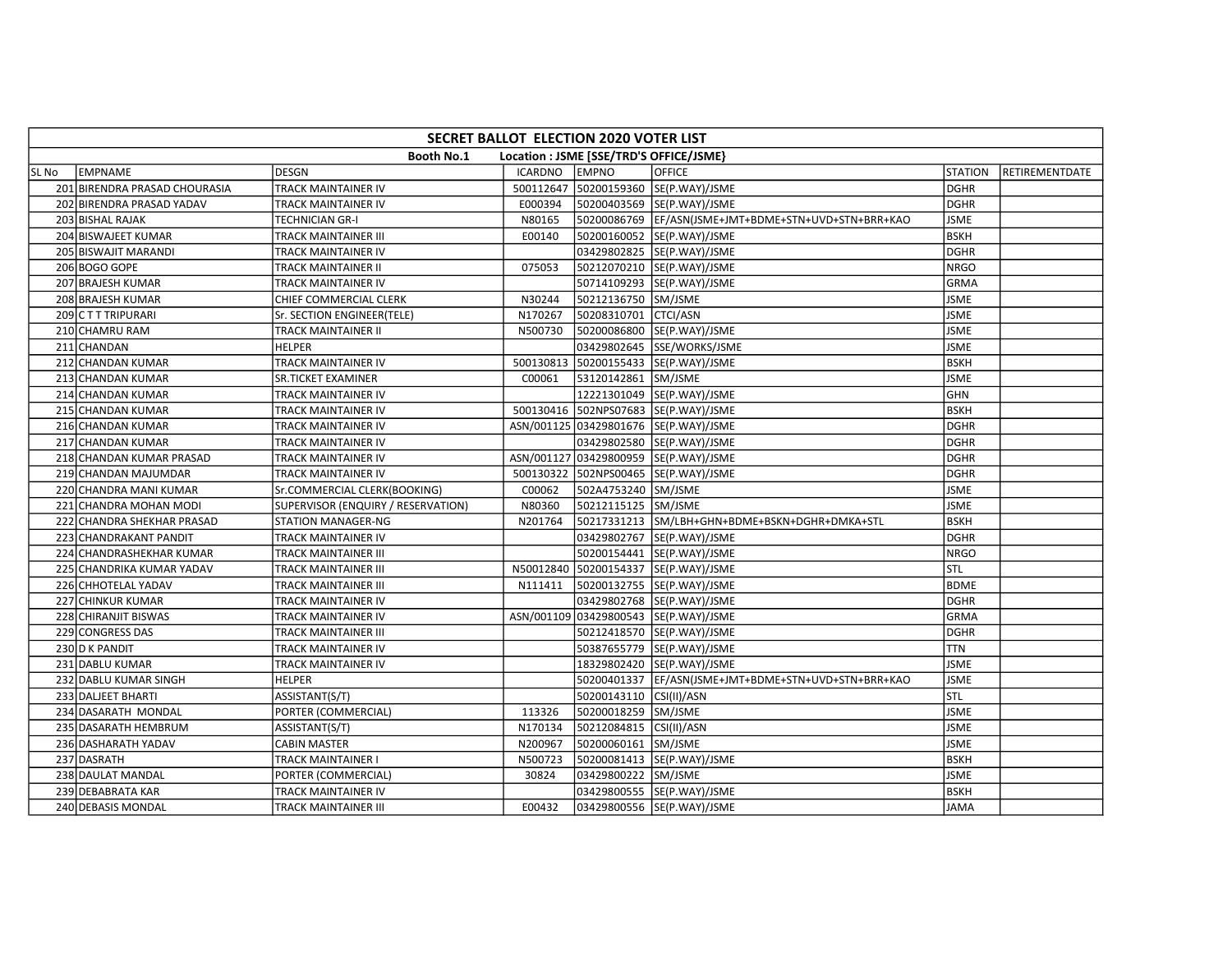|       | SECRET BALLOT ELECTION 2020 VOTER LIST                       |                                    |                |                         |                                                       |                |                |  |  |  |
|-------|--------------------------------------------------------------|------------------------------------|----------------|-------------------------|-------------------------------------------------------|----------------|----------------|--|--|--|
|       | <b>Booth No.1</b><br>Location : JSME [SSE/TRD'S OFFICE/JSME} |                                    |                |                         |                                                       |                |                |  |  |  |
| SL No | <b>EMPNAME</b>                                               | <b>DESGN</b>                       | <b>ICARDNO</b> | <b>EMPNO</b>            | <b>OFFICE</b>                                         | <b>STATION</b> | RETIREMENTDATE |  |  |  |
|       | 201 BIRENDRA PRASAD CHOURASIA                                | TRACK MAINTAINER IV                |                |                         | 500112647 50200159360 SE(P.WAY)/JSME                  | <b>DGHR</b>    |                |  |  |  |
|       | 202 BIRENDRA PRASAD YADAV                                    | TRACK MAINTAINER IV                | E000394        |                         | 50200403569 SE(P.WAY)/JSME                            | <b>DGHR</b>    |                |  |  |  |
|       | 203 BISHAL RAJAK                                             | TECHNICIAN GR-I                    | N80165         |                         | 50200086769 EF/ASN(JSME+JMT+BDME+STN+UVD+STN+BRR+KAO  | <b>JSME</b>    |                |  |  |  |
|       | 204 BISWAJEET KUMAR                                          | TRACK MAINTAINER III               | E00140         |                         | 50200160052 SE(P.WAY)/JSME                            | <b>BSKH</b>    |                |  |  |  |
|       | 205 BISWAJIT MARANDI                                         | TRACK MAINTAINER IV                |                |                         | 03429802825 SE(P.WAY)/JSME                            | <b>DGHR</b>    |                |  |  |  |
|       | 206 BOGO GOPE                                                | TRACK MAINTAINER II                | 075053         |                         | 50212070210 SE(P.WAY)/JSME                            | <b>NRGO</b>    |                |  |  |  |
|       | 207 BRAJESH KUMAR                                            | TRACK MAINTAINER IV                |                |                         | 50714109293 SE(P.WAY)/JSME                            | GRMA           |                |  |  |  |
|       | 208 BRAJESH KUMAR                                            | CHIEF COMMERCIAL CLERK             | N30244         | 50212136750 SM/JSME     |                                                       | <b>JSME</b>    |                |  |  |  |
|       | 209 CTTTRIPURARI                                             | Sr. SECTION ENGINEER(TELE)         | N170267        | 50208310701 CTCI/ASN    |                                                       | <b>JSME</b>    |                |  |  |  |
|       | 210 CHAMRU RAM                                               | TRACK MAINTAINER II                | N500730        |                         | 50200086800 SE(P.WAY)/JSME                            | <b>JSME</b>    |                |  |  |  |
|       | 211 CHANDAN                                                  | HELPER                             |                |                         | 03429802645 SSE/WORKS/JSME                            | <b>JSME</b>    |                |  |  |  |
|       | 212 CHANDAN KUMAR                                            | TRACK MAINTAINER IV                |                |                         | 500130813 50200155433 SE(P.WAY)/JSME                  | <b>BSKH</b>    |                |  |  |  |
|       | 213 CHANDAN KUMAR                                            | SR.TICKET EXAMINER                 | C00061         | 53120142861 SM/JSME     |                                                       | <b>JSME</b>    |                |  |  |  |
|       | 214 CHANDAN KUMAR                                            | TRACK MAINTAINER IV                |                |                         | 12221301049 SE(P.WAY)/JSME                            | <b>GHN</b>     |                |  |  |  |
|       | 215 CHANDAN KUMAR                                            | TRACK MAINTAINER IV                |                |                         | 500130416 502NPS07683 SE(P.WAY)/JSME                  | <b>BSKH</b>    |                |  |  |  |
|       | 216 CHANDAN KUMAR                                            | TRACK MAINTAINER IV                |                |                         | ASN/001125 03429801676 SE(P.WAY)/JSME                 | <b>DGHR</b>    |                |  |  |  |
|       | 217 CHANDAN KUMAR                                            | TRACK MAINTAINER IV                |                |                         | 03429802580 SE(P.WAY)/JSME                            | <b>DGHR</b>    |                |  |  |  |
|       | 218 CHANDAN KUMAR PRASAD                                     | TRACK MAINTAINER IV                |                |                         | ASN/001127 03429800959 SE(P.WAY)/JSME                 | <b>DGHR</b>    |                |  |  |  |
|       | 219 CHANDAN MAJUMDAR                                         | TRACK MAINTAINER IV                |                |                         | 500130322 502NPS00465 SE(P.WAY)/JSME                  | <b>DGHR</b>    |                |  |  |  |
|       | 220 CHANDRA MANI KUMAR                                       | Sr.COMMERCIAL CLERK(BOOKING)       | C00062         | 502A4753240 SM/JSME     |                                                       | <b>JSME</b>    |                |  |  |  |
|       | 221 CHANDRA MOHAN MODI                                       | SUPERVISOR (ENQUIRY / RESERVATION) | N80360         | 50212115125 SM/JSME     |                                                       | <b>JSME</b>    |                |  |  |  |
|       | 222 CHANDRA SHEKHAR PRASAD                                   | STATION MANAGER-NG                 | N201764        |                         | 50217331213 SM/LBH+GHN+BDME+BSKN+DGHR+DMKA+STL        | <b>BSKH</b>    |                |  |  |  |
|       | 223 CHANDRAKANT PANDIT                                       | TRACK MAINTAINER IV                |                |                         | 03429802767 SE(P.WAY)/JSME                            | DGHR           |                |  |  |  |
|       | 224 CHANDRASHEKHAR KUMAR                                     | TRACK MAINTAINER III               |                |                         | 50200154441 SE(P.WAY)/JSME                            | <b>NRGO</b>    |                |  |  |  |
|       | 225 CHANDRIKA KUMAR YADAV                                    | TRACK MAINTAINER III               |                |                         | N50012840 50200154337 SE(P.WAY)/JSME                  | STL            |                |  |  |  |
|       | 226 CHHOTELAL YADAV                                          | TRACK MAINTAINER III               | N111411        |                         | 50200132755 SE(P.WAY)/JSME                            | <b>BDME</b>    |                |  |  |  |
|       | 227 CHINKUR KUMAR                                            | TRACK MAINTAINER IV                |                |                         | 03429802768 SE(P.WAY)/JSME                            | <b>DGHR</b>    |                |  |  |  |
|       | 228 CHIRANJIT BISWAS                                         | TRACK MAINTAINER IV                |                |                         | ASN/001109 03429800543 SE(P.WAY)/JSME                 | <b>GRMA</b>    |                |  |  |  |
|       | 229 CONGRESS DAS                                             | TRACK MAINTAINER III               |                |                         | 50212418570 SE(P.WAY)/JSME                            | DGHR           |                |  |  |  |
|       | 230 D K PANDIT                                               | TRACK MAINTAINER IV                |                |                         | 50387655779 SE(P.WAY)/JSME                            | <b>TTN</b>     |                |  |  |  |
|       | 231 DABLU KUMAR                                              | TRACK MAINTAINER IV                |                |                         | 18329802420 SE(P.WAY)/JSME                            | <b>JSME</b>    |                |  |  |  |
|       | 232 DABLU KUMAR SINGH                                        | <b>HELPER</b>                      |                |                         | 50200401337  EF/ASN(JSME+JMT+BDME+STN+UVD+STN+BRR+KAO | <b>JSME</b>    |                |  |  |  |
|       | 233 DALJEET BHARTI                                           | ASSISTANT(S/T)                     |                | 50200143110 CSI(II)/ASN |                                                       | lstl           |                |  |  |  |
|       | 234 DASARATH MONDAL                                          | PORTER (COMMERCIAL)                | 113326         | 50200018259 SM/JSME     |                                                       | <b>JSME</b>    |                |  |  |  |
|       | 235 DASARATH HEMBRUM                                         | ASSISTANT(S/T)                     | N170134        | 50212084815             | CSI(II)/ASN                                           | <b>JSME</b>    |                |  |  |  |
|       | 236 DASHARATH YADAV                                          | <b>CABIN MASTER</b>                | N200967        | 50200060161 SM/JSME     |                                                       | <b>JSME</b>    |                |  |  |  |
|       | 237 DASRATH                                                  | TRACK MAINTAINER I                 | N500723        |                         | 50200081413  SE(P.WAY)/JSME                           | <b>BSKH</b>    |                |  |  |  |
|       | 238 DAULAT MANDAL                                            | PORTER (COMMERCIAL)                | 30824          | 03429800222 SM/JSME     |                                                       | <b>JSME</b>    |                |  |  |  |
|       | 239 DEBABRATA KAR                                            | TRACK MAINTAINER IV                |                |                         | 03429800555 SE(P.WAY)/JSME                            | <b>BSKH</b>    |                |  |  |  |
|       | 240 DEBASIS MONDAL                                           | TRACK MAINTAINER III               | E00432         |                         | 03429800556 SE(P.WAY)/JSME                            | <b>JAMA</b>    |                |  |  |  |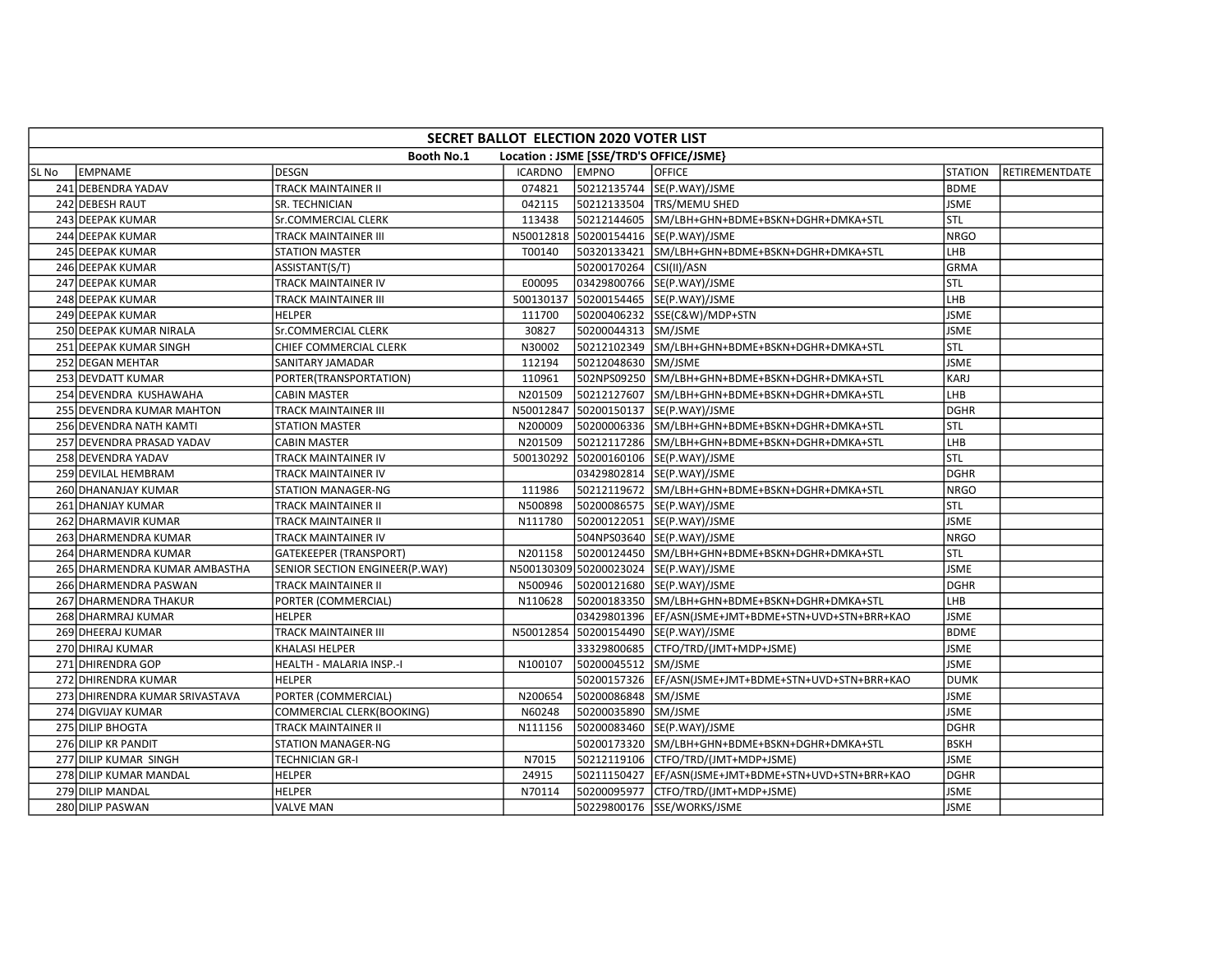|       | SECRET BALLOT ELECTION 2020 VOTER LIST                       |                                |                |                         |                                                       |                |                |  |  |  |  |
|-------|--------------------------------------------------------------|--------------------------------|----------------|-------------------------|-------------------------------------------------------|----------------|----------------|--|--|--|--|
|       | <b>Booth No.1</b><br>Location : JSME [SSE/TRD'S OFFICE/JSME} |                                |                |                         |                                                       |                |                |  |  |  |  |
| SL No | <b>EMPNAME</b>                                               | DESGN                          | <b>ICARDNO</b> | <b>EMPNO</b>            | <b>OFFICE</b>                                         | <b>STATION</b> | RETIREMENTDATE |  |  |  |  |
|       | 241 DEBENDRA YADAV                                           | <b>TRACK MAINTAINER II</b>     | 074821         |                         | 50212135744 SE(P.WAY)/JSME                            | <b>BDME</b>    |                |  |  |  |  |
|       | 242 DEBESH RAUT                                              | SR. TECHNICIAN                 | 042115         |                         | 50212133504 TRS/MEMU SHED                             | <b>JSME</b>    |                |  |  |  |  |
|       | 243 DEEPAK KUMAR                                             | Sr.COMMERCIAL CLERK            | 113438         |                         | 50212144605 SM/LBH+GHN+BDME+BSKN+DGHR+DMKA+STL        | <b>STL</b>     |                |  |  |  |  |
|       | 244 DEEPAK KUMAR                                             | TRACK MAINTAINER III           |                |                         | N50012818 50200154416 SE(P.WAY)/JSME                  | <b>NRGO</b>    |                |  |  |  |  |
|       | 245 DEEPAK KUMAR                                             | <b>STATION MASTER</b>          | T00140         |                         | 50320133421 SM/LBH+GHN+BDME+BSKN+DGHR+DMKA+STL        | LHB            |                |  |  |  |  |
|       | 246 DEEPAK KUMAR                                             | ASSISTANT(S/T)                 |                | 50200170264 CSI(II)/ASN |                                                       | <b>GRMA</b>    |                |  |  |  |  |
|       | 247 DEEPAK KUMAR                                             | TRACK MAINTAINER IV            | E00095         |                         | 03429800766 SE(P.WAY)/JSME                            | STL            |                |  |  |  |  |
|       | 248 DEEPAK KUMAR                                             | TRACK MAINTAINER III           |                |                         | 500130137 50200154465 SE(P.WAY)/JSME                  | LHB            |                |  |  |  |  |
|       | 249 DEEPAK KUMAR                                             | <b>HELPER</b>                  | 111700         |                         | 50200406232 SSE(C&W)/MDP+STN                          | <b>JSME</b>    |                |  |  |  |  |
|       | 250 DEEPAK KUMAR NIRALA                                      | <b>Sr.COMMERCIAL CLERK</b>     | 30827          | 50200044313 SM/JSME     |                                                       | <b>JSME</b>    |                |  |  |  |  |
|       | 251 DEEPAK KUMAR SINGH                                       | CHIEF COMMERCIAL CLERK         | N30002         |                         | 50212102349 SM/LBH+GHN+BDME+BSKN+DGHR+DMKA+STL        | <b>STL</b>     |                |  |  |  |  |
|       | 252 DEGAN MEHTAR                                             | <b>SANITARY JAMADAR</b>        | 112194         | 50212048630 SM/JSME     |                                                       | <b>JSME</b>    |                |  |  |  |  |
|       | 253 DEVDATT KUMAR                                            | PORTER(TRANSPORTATION)         | 110961         |                         | 502NPS09250 SM/LBH+GHN+BDME+BSKN+DGHR+DMKA+STL        | KARJ           |                |  |  |  |  |
|       | 254 DEVENDRA KUSHAWAHA                                       | <b>CABIN MASTER</b>            | N201509        |                         | 50212127607 SM/LBH+GHN+BDME+BSKN+DGHR+DMKA+STL        | LHB            |                |  |  |  |  |
|       | 255 DEVENDRA KUMAR MAHTON                                    | TRACK MAINTAINER III           | N50012847      |                         | 50200150137 SE(P.WAY)/JSME                            | <b>DGHR</b>    |                |  |  |  |  |
|       | 256 DEVENDRA NATH KAMTI                                      | <b>STATION MASTER</b>          | N200009        |                         | 50200006336 SM/LBH+GHN+BDME+BSKN+DGHR+DMKA+STL        | Istl           |                |  |  |  |  |
|       | 257 DEVENDRA PRASAD YADAV                                    | <b>CABIN MASTER</b>            | N201509        |                         | 50212117286 SM/LBH+GHN+BDME+BSKN+DGHR+DMKA+STL        | LHB            |                |  |  |  |  |
|       | 258 DEVENDRA YADAV                                           | TRACK MAINTAINER IV            |                |                         | 500130292 50200160106 SE(P.WAY)/JSME                  | stl            |                |  |  |  |  |
|       | 259 DEVILAL HEMBRAM                                          | TRACK MAINTAINER IV            |                |                         | 03429802814 SE(P.WAY)/JSME                            | <b>DGHR</b>    |                |  |  |  |  |
|       | 260 DHANANJAY KUMAR                                          | <b>STATION MANAGER-NG</b>      | 111986         |                         | 50212119672 SM/LBH+GHN+BDME+BSKN+DGHR+DMKA+STL        | <b>NRGO</b>    |                |  |  |  |  |
|       | 261 DHANJAY KUMAR                                            | TRACK MAINTAINER II            | N500898        |                         | 50200086575  SE(P.WAY)/JSME                           | STL            |                |  |  |  |  |
|       | 262 DHARMAVIR KUMAR                                          | TRACK MAINTAINER II            | N111780        |                         | 50200122051 SE(P.WAY)/JSME                            | <b>JSME</b>    |                |  |  |  |  |
|       | 263 DHARMENDRA KUMAR                                         | <b>TRACK MAINTAINER IV</b>     |                |                         | 504NPS03640 SE(P.WAY)/JSME                            | <b>NRGO</b>    |                |  |  |  |  |
|       | 264 DHARMENDRA KUMAR                                         | <b>GATEKEEPER (TRANSPORT)</b>  | N201158        |                         | 50200124450 SM/LBH+GHN+BDME+BSKN+DGHR+DMKA+STL        | Istl           |                |  |  |  |  |
|       | 265 DHARMENDRA KUMAR AMBASTHA                                | SENIOR SECTION ENGINEER(P.WAY) |                |                         | N500130309 50200023024 SE(P.WAY)/JSME                 | <b>JSME</b>    |                |  |  |  |  |
|       | 266 DHARMENDRA PASWAN                                        | <b>TRACK MAINTAINER II</b>     | N500946        |                         | 50200121680 SE(P.WAY)/JSME                            | <b>DGHR</b>    |                |  |  |  |  |
|       | 267 DHARMENDRA THAKUR                                        | PORTER (COMMERCIAL)            | N110628        |                         | 50200183350 SM/LBH+GHN+BDME+BSKN+DGHR+DMKA+STL        | LHB            |                |  |  |  |  |
|       | 268 DHARMRAJ KUMAR                                           | <b>HELPER</b>                  |                |                         | 03429801396  EF/ASN(JSME+JMT+BDME+STN+UVD+STN+BRR+KAO | <b>JSME</b>    |                |  |  |  |  |
|       | 269 DHEERAJ KUMAR                                            | TRACK MAINTAINER III           |                |                         | N50012854 50200154490 SE(P.WAY)/JSME                  | <b>BDME</b>    |                |  |  |  |  |
|       | 270 DHIRAJ KUMAR                                             | KHALASI HELPER                 |                |                         | 33329800685 CTFO/TRD/(JMT+MDP+JSME)                   | <b>JSME</b>    |                |  |  |  |  |
|       | 271 DHIRENDRA GOP                                            | HEALTH - MALARIA INSP.-I       | N100107        | 50200045512 SM/JSME     |                                                       | <b>JSME</b>    |                |  |  |  |  |
|       | 272 DHIRENDRA KUMAR                                          | <b>HELPER</b>                  |                |                         | 50200157326  EF/ASN(JSME+JMT+BDME+STN+UVD+STN+BRR+KAO | <b>DUMK</b>    |                |  |  |  |  |
|       | 273 DHIRENDRA KUMAR SRIVASTAVA                               | PORTER (COMMERCIAL)            | N200654        | 50200086848 SM/JSME     |                                                       | <b>JSME</b>    |                |  |  |  |  |
|       | 274 DIGVIJAY KUMAR                                           | COMMERCIAL CLERK(BOOKING)      | N60248         | 50200035890 SM/JSME     |                                                       | <b>JSME</b>    |                |  |  |  |  |
|       | 275 DILIP BHOGTA                                             | TRACK MAINTAINER II            | N111156        |                         | 50200083460 SE(P.WAY)/JSME                            | <b>DGHR</b>    |                |  |  |  |  |
|       | 276 DILIP KR PANDIT                                          | <b>STATION MANAGER-NG</b>      |                |                         | 50200173320 SM/LBH+GHN+BDME+BSKN+DGHR+DMKA+STL        | <b>BSKH</b>    |                |  |  |  |  |
|       | 277 DILIP KUMAR SINGH                                        | <b>TECHNICIAN GR-I</b>         | N7015          |                         | 50212119106 CTFO/TRD/(JMT+MDP+JSME)                   | <b>JSME</b>    |                |  |  |  |  |
|       | 278 DILIP KUMAR MANDAL                                       | <b>HELPER</b>                  | 24915          |                         | 50211150427  EF/ASN(JSME+JMT+BDME+STN+UVD+STN+BRR+KAO | <b>DGHR</b>    |                |  |  |  |  |
|       | 279 DILIP MANDAL                                             | <b>HELPER</b>                  | N70114         |                         | 50200095977 CTFO/TRD/(JMT+MDP+JSME)                   | <b>JSME</b>    |                |  |  |  |  |
|       | 280 DILIP PASWAN                                             | <b>VALVE MAN</b>               |                |                         | 50229800176 SSE/WORKS/JSME                            | <b>JSME</b>    |                |  |  |  |  |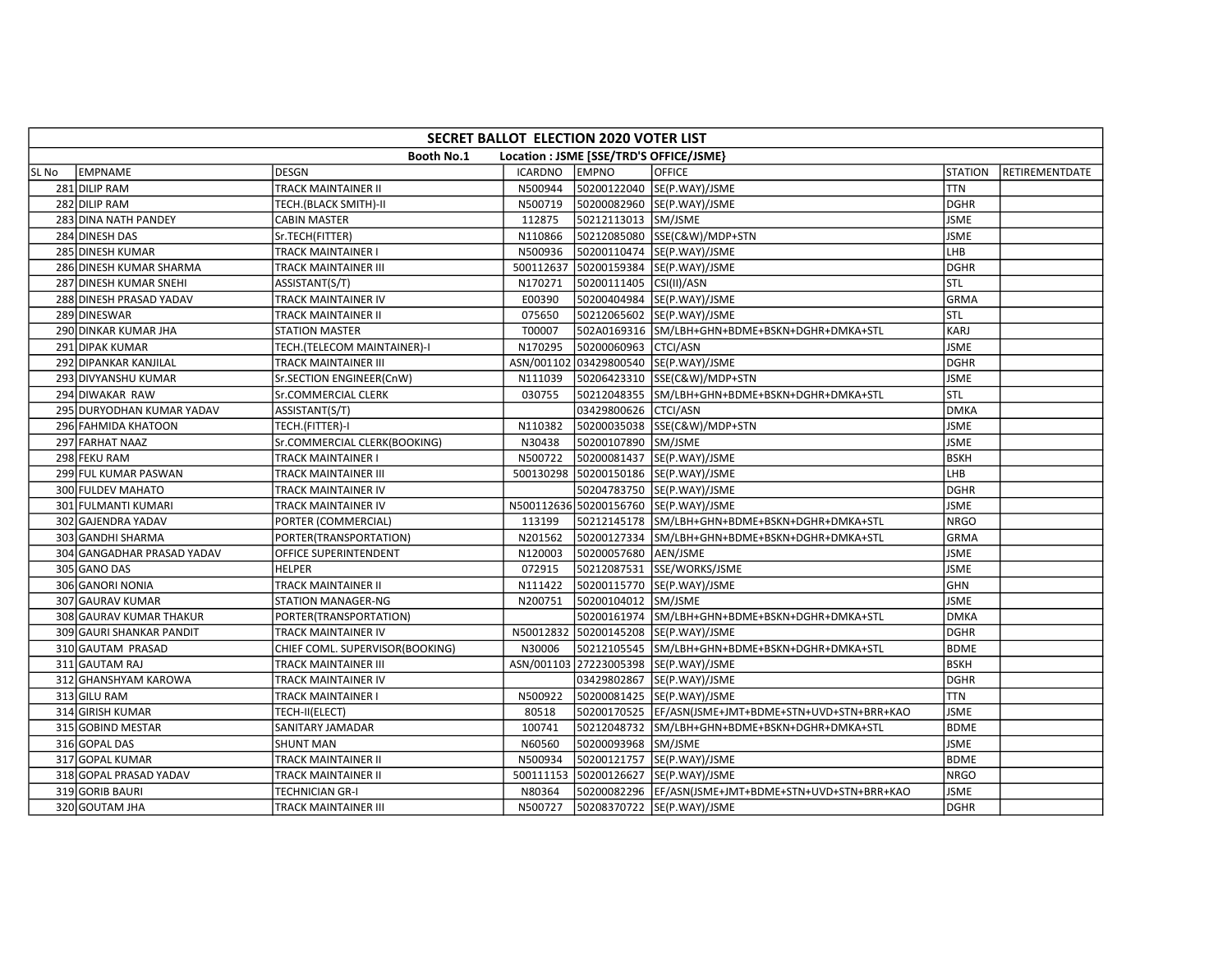|       | SECRET BALLOT ELECTION 2020 VOTER LIST |                                 |                |                                         |                                                       |                |                |  |  |  |  |
|-------|----------------------------------------|---------------------------------|----------------|-----------------------------------------|-------------------------------------------------------|----------------|----------------|--|--|--|--|
|       |                                        | <b>Booth No.1</b>               |                | Location : JSME [SSE/TRD'S OFFICE/JSME} |                                                       |                |                |  |  |  |  |
| SL No | EMPNAME                                | DESGN                           | <b>ICARDNO</b> | <b>EMPNO</b>                            | <b>OFFICE</b>                                         | <b>STATION</b> | RETIREMENTDATE |  |  |  |  |
|       | 281 DILIP RAM                          | <b>TRACK MAINTAINER II</b>      | N500944        |                                         | 50200122040 SE(P.WAY)/JSME                            | <b>TTN</b>     |                |  |  |  |  |
|       | 282 DILIP RAM                          | TECH.(BLACK SMITH)-II           | N500719        |                                         | 50200082960 SE(P.WAY)/JSME                            | <b>DGHR</b>    |                |  |  |  |  |
|       | 283 DINA NATH PANDEY                   | <b>CABIN MASTER</b>             | 112875         | 50212113013 SM/JSME                     |                                                       | <b>JSME</b>    |                |  |  |  |  |
|       | 284 DINESH DAS                         | Sr.TECH(FITTER)                 | N110866        |                                         | 50212085080 SSE(C&W)/MDP+STN                          | <b>JSME</b>    |                |  |  |  |  |
|       | 285 DINESH KUMAR                       | TRACK MAINTAINER I              | N500936        |                                         | 50200110474  SE(P.WAY)/JSME                           | LHB            |                |  |  |  |  |
|       | 286 DINESH KUMAR SHARMA                | TRACK MAINTAINER III            | 500112637      |                                         | 50200159384 SE(P.WAY)/JSME                            | <b>DGHR</b>    |                |  |  |  |  |
|       | 287 DINESH KUMAR SNEHI                 | ASSISTANT(S/T)                  | N170271        | 50200111405 CSI(II)/ASN                 |                                                       | stl            |                |  |  |  |  |
|       | 288 DINESH PRASAD YADAV                | TRACK MAINTAINER IV             | E00390         |                                         | 50200404984 SE(P.WAY)/JSME                            | <b>GRMA</b>    |                |  |  |  |  |
|       | 289 DINESWAR                           | <b>TRACK MAINTAINER II</b>      | 075650         |                                         | 50212065602 SE(P.WAY)/JSME                            | STL            |                |  |  |  |  |
|       | 290 DINKAR KUMAR JHA                   | <b>STATION MASTER</b>           | T00007         |                                         | 502A0169316 SM/LBH+GHN+BDME+BSKN+DGHR+DMKA+STL        | KARJ           |                |  |  |  |  |
|       | 291 DIPAK KUMAR                        | TECH.(TELECOM MAINTAINER)-I     | N170295        | 50200060963 CTCI/ASN                    |                                                       | <b>JSME</b>    |                |  |  |  |  |
|       | 292 DIPANKAR KANJILAL                  | <b>TRACK MAINTAINER III</b>     |                |                                         | ASN/001102 03429800540 SE(P.WAY)/JSME                 | <b>DGHR</b>    |                |  |  |  |  |
|       | 293 DIVYANSHU KUMAR                    | Sr.SECTION ENGINEER(CnW)        | N111039        |                                         | 50206423310 SSE(C&W)/MDP+STN                          | <b>JSME</b>    |                |  |  |  |  |
|       | 294 DIWAKAR RAW                        | Sr.COMMERCIAL CLERK             | 030755         |                                         | 50212048355 SM/LBH+GHN+BDME+BSKN+DGHR+DMKA+STL        | <b>STL</b>     |                |  |  |  |  |
|       | 295 DURYODHAN KUMAR YADAV              | ASSISTANT(S/T)                  |                | 03429800626 CTCI/ASN                    |                                                       | <b>DMKA</b>    |                |  |  |  |  |
|       | 296 FAHMIDA KHATOON                    | TECH.(FITTER)-I                 | N110382        |                                         | 50200035038 SSE(C&W)/MDP+STN                          | <b>JSME</b>    |                |  |  |  |  |
|       | 297 FARHAT NAAZ                        | Sr.COMMERCIAL CLERK(BOOKING)    | N30438         | 50200107890 SM/JSME                     |                                                       | <b>JSME</b>    |                |  |  |  |  |
|       | 298 FEKU RAM                           | <b>TRACK MAINTAINER I</b>       | N500722        |                                         | 50200081437 SE(P.WAY)/JSME                            | <b>BSKH</b>    |                |  |  |  |  |
|       | 299 FUL KUMAR PASWAN                   | TRACK MAINTAINER III            |                |                                         | 500130298 50200150186 SE(P.WAY)/JSME                  | LHB            |                |  |  |  |  |
|       | 300 FULDEV MAHATO                      | TRACK MAINTAINER IV             |                |                                         | 50204783750 SE(P.WAY)/JSME                            | <b>DGHR</b>    |                |  |  |  |  |
|       | 301 FULMANTI KUMARI                    | TRACK MAINTAINER IV             |                |                                         | N500112636 50200156760 SE(P.WAY)/JSME                 | <b>JSME</b>    |                |  |  |  |  |
|       | 302 GAJENDRA YADAV                     | PORTER (COMMERCIAL)             | 113199         |                                         | 50212145178 SM/LBH+GHN+BDME+BSKN+DGHR+DMKA+STL        | <b>NRGO</b>    |                |  |  |  |  |
|       | 303 GANDHI SHARMA                      | PORTER(TRANSPORTATION)          | N201562        |                                         | 50200127334 SM/LBH+GHN+BDME+BSKN+DGHR+DMKA+STL        | <b>GRMA</b>    |                |  |  |  |  |
|       | 304 GANGADHAR PRASAD YADAV             | OFFICE SUPERINTENDENT           | N120003        | 50200057680 AEN/JSME                    |                                                       | <b>JSME</b>    |                |  |  |  |  |
|       | 305 GANO DAS                           | <b>HELPER</b>                   | 072915         |                                         | 50212087531 SSE/WORKS/JSME                            | <b>JSME</b>    |                |  |  |  |  |
|       | 306 GANORI NONIA                       | <b>TRACK MAINTAINER II</b>      | N111422        |                                         | 50200115770 SE(P.WAY)/JSME                            | <b>GHN</b>     |                |  |  |  |  |
|       | 307 GAURAV KUMAR                       | <b>STATION MANAGER-NG</b>       | N200751        | 50200104012 SM/JSME                     |                                                       | <b>JSME</b>    |                |  |  |  |  |
|       | 308 GAURAV KUMAR THAKUR                | PORTER(TRANSPORTATION)          |                |                                         | 50200161974 SM/LBH+GHN+BDME+BSKN+DGHR+DMKA+STL        | <b>DMKA</b>    |                |  |  |  |  |
|       | 309 GAURI SHANKAR PANDIT               | TRACK MAINTAINER IV             |                |                                         | N50012832 50200145208 SE(P.WAY)/JSME                  | <b>DGHR</b>    |                |  |  |  |  |
|       | 310 GAUTAM PRASAD                      | CHIEF COML. SUPERVISOR(BOOKING) | N30006         |                                         | 50212105545 SM/LBH+GHN+BDME+BSKN+DGHR+DMKA+STL        | <b>BDME</b>    |                |  |  |  |  |
|       | 311 GAUTAM RAJ                         | TRACK MAINTAINER III            |                |                                         | ASN/001103 27223005398 SE(P.WAY)/JSME                 | <b>BSKH</b>    |                |  |  |  |  |
|       | 312 GHANSHYAM KAROWA                   | TRACK MAINTAINER IV             |                |                                         | 03429802867 SE(P.WAY)/JSME                            | <b>DGHR</b>    |                |  |  |  |  |
|       | 313 GILU RAM                           | TRACK MAINTAINER I              | N500922        |                                         | 50200081425 SE(P.WAY)/JSME                            | <b>TTN</b>     |                |  |  |  |  |
|       | 314 GIRISH KUMAR                       | TECH-II(ELECT)                  | 80518          |                                         | 50200170525 EF/ASN(JSME+JMT+BDME+STN+UVD+STN+BRR+KAO  | <b>JSME</b>    |                |  |  |  |  |
|       | 315 GOBIND MESTAR                      | SANITARY JAMADAR                | 100741         |                                         | 50212048732 SM/LBH+GHN+BDME+BSKN+DGHR+DMKA+STL        | <b>BDME</b>    |                |  |  |  |  |
|       | 316 GOPAL DAS                          | <b>SHUNT MAN</b>                | N60560         | 50200093968 SM/JSME                     |                                                       | <b>JSME</b>    |                |  |  |  |  |
|       | 317 GOPAL KUMAR                        | TRACK MAINTAINER II             | N500934        |                                         | 50200121757 SE(P.WAY)/JSME                            | <b>BDME</b>    |                |  |  |  |  |
|       | 318 GOPAL PRASAD YADAV                 | TRACK MAINTAINER II             | 500111153      |                                         | 50200126627 SE(P.WAY)/JSME                            | <b>NRGO</b>    |                |  |  |  |  |
|       | 319 GORIB BAURI                        | TECHNICIAN GR-I                 | N80364         |                                         | 50200082296  EF/ASN(JSME+JMT+BDME+STN+UVD+STN+BRR+KAO | <b>JSME</b>    |                |  |  |  |  |
|       | 320 GOUTAM JHA                         | TRACK MAINTAINER III            | N500727        |                                         | 50208370722 SE(P.WAY)/JSME                            | DGHR           |                |  |  |  |  |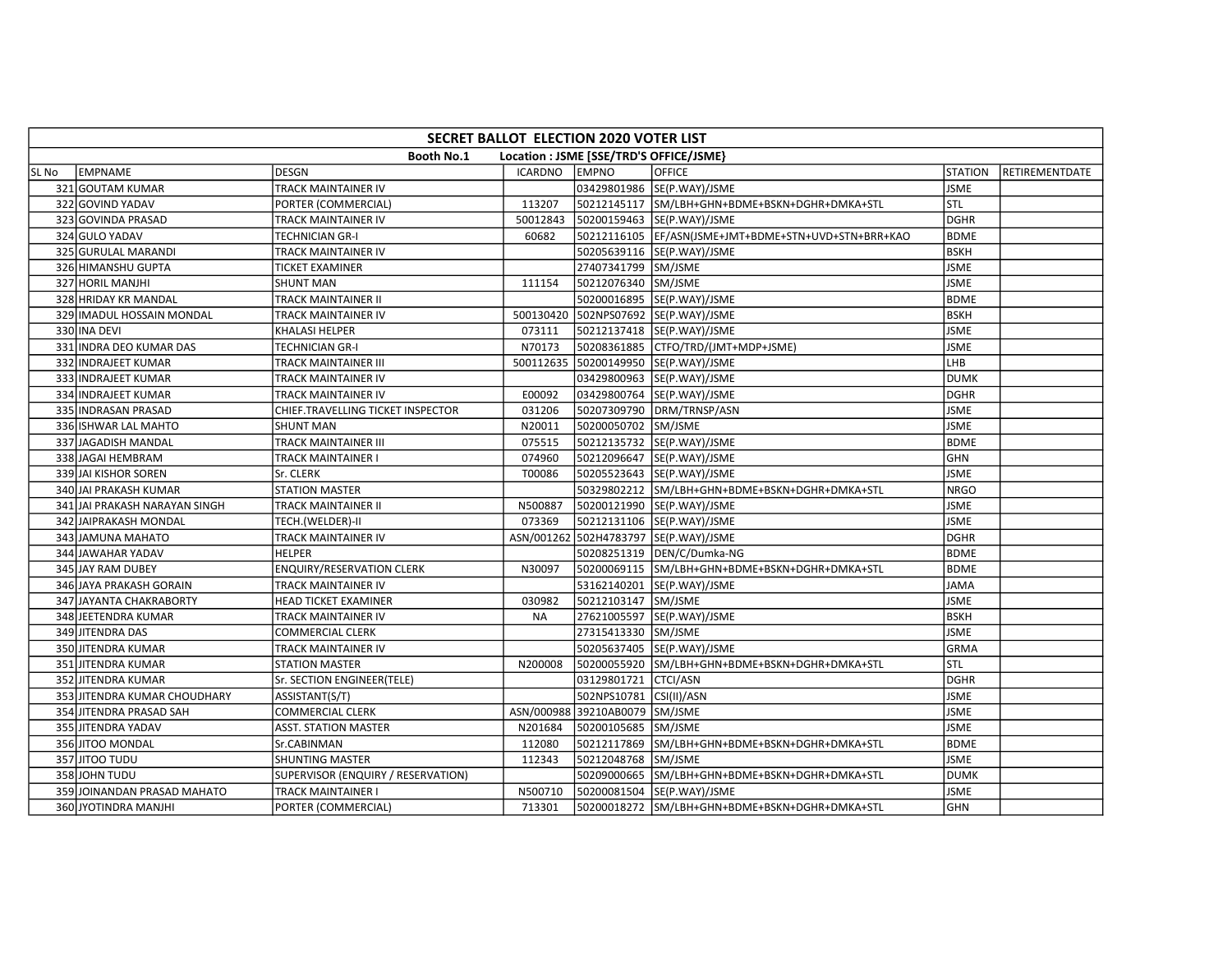|       | SECRET BALLOT ELECTION 2020 VOTER LIST |                                    |                |                                |                                                       |                |                |  |  |  |
|-------|----------------------------------------|------------------------------------|----------------|--------------------------------|-------------------------------------------------------|----------------|----------------|--|--|--|
|       |                                        | <b>Booth No.1</b>                  |                |                                | Location : JSME [SSE/TRD'S OFFICE/JSME}               |                |                |  |  |  |
| SL No | EMPNAME                                | <b>DESGN</b>                       | <b>ICARDNO</b> | <b>EMPNO</b>                   | <b>OFFICE</b>                                         | <b>STATION</b> | RETIREMENTDATE |  |  |  |
|       | 321 GOUTAM KUMAR                       | TRACK MAINTAINER IV                |                |                                | 03429801986 SE(P.WAY)/JSME                            | <b>JSME</b>    |                |  |  |  |
|       | 322 GOVIND YADAV                       | PORTER (COMMERCIAL)                | 113207         |                                | 50212145117 SM/LBH+GHN+BDME+BSKN+DGHR+DMKA+STL        | STL            |                |  |  |  |
|       | 323 GOVINDA PRASAD                     | TRACK MAINTAINER IV                | 50012843       |                                | 50200159463 SE(P.WAY)/JSME                            | <b>DGHR</b>    |                |  |  |  |
|       | 324 GULO YADAV                         | TECHNICIAN GR-I                    | 60682          |                                | 50212116105  EF/ASN(JSME+JMT+BDME+STN+UVD+STN+BRR+KAO | <b>BDME</b>    |                |  |  |  |
|       | 325 GURULAL MARANDI                    | TRACK MAINTAINER IV                |                |                                | 50205639116 SE(P.WAY)/JSME                            | <b>BSKH</b>    |                |  |  |  |
|       | 326 HIMANSHU GUPTA                     | <b>TICKET EXAMINER</b>             |                | 27407341799 SM/JSME            |                                                       | <b>JSME</b>    |                |  |  |  |
|       | 327 HORIL MANJHI                       | SHUNT MAN                          | 111154         | 50212076340 SM/JSME            |                                                       | <b>JSME</b>    |                |  |  |  |
|       | 328 HRIDAY KR MANDAL                   | TRACK MAINTAINER II                |                |                                | 50200016895 SE(P.WAY)/JSME                            | <b>BDME</b>    |                |  |  |  |
|       | 329 IMADUL HOSSAIN MONDAL              | TRACK MAINTAINER IV                | 500130420      |                                | 502NPS07692 SE(P.WAY)/JSME                            | <b>BSKH</b>    |                |  |  |  |
|       | 330 INA DEVI                           | KHALASI HELPER                     | 073111         |                                | 50212137418 SE(P.WAY)/JSME                            | <b>JSME</b>    |                |  |  |  |
|       | 331 INDRA DEO KUMAR DAS                | <b>TECHNICIAN GR-I</b>             | N70173         |                                | 50208361885 CTFO/TRD/(JMT+MDP+JSME)                   | <b>JSME</b>    |                |  |  |  |
|       | 332 INDRAJEET KUMAR                    | TRACK MAINTAINER III               |                |                                | 500112635 50200149950 SE(P.WAY)/JSME                  | LHB            |                |  |  |  |
|       | 333 INDRAJEET KUMAR                    | TRACK MAINTAINER IV                |                |                                | 03429800963 SE(P.WAY)/JSME                            | <b>DUMK</b>    |                |  |  |  |
|       | 334 INDRAJEET KUMAR                    | TRACK MAINTAINER IV                | E00092         |                                | 03429800764 SE(P.WAY)/JSME                            | <b>DGHR</b>    |                |  |  |  |
|       | 335 INDRASAN PRASAD                    | CHIEF.TRAVELLING TICKET INSPECTOR  | 031206         |                                | 50207309790 DRM/TRNSP/ASN                             | <b>JSME</b>    |                |  |  |  |
|       | 336 ISHWAR LAL MAHTO                   | <b>SHUNT MAN</b>                   | N20011         | 50200050702 SM/JSME            |                                                       | <b>JSME</b>    |                |  |  |  |
|       | 337 JAGADISH MANDAL                    | TRACK MAINTAINER III               | 075515         |                                | 50212135732 SE(P.WAY)/JSME                            | <b>BDME</b>    |                |  |  |  |
|       | 338 JAGAI HEMBRAM                      | TRACK MAINTAINER I                 | 074960         |                                | 50212096647 SE(P.WAY)/JSME                            | <b>GHN</b>     |                |  |  |  |
|       | 339 JAI KISHOR SOREN                   | Sr. CLERK                          | T00086         |                                | 50205523643 SE(P.WAY)/JSME                            | <b>JSME</b>    |                |  |  |  |
|       | 340 JAI PRAKASH KUMAR                  | <b>STATION MASTER</b>              |                |                                | 50329802212 SM/LBH+GHN+BDME+BSKN+DGHR+DMKA+STL        | <b>NRGO</b>    |                |  |  |  |
|       | 341 JAI PRAKASH NARAYAN SINGH          | TRACK MAINTAINER II                | N500887        |                                | 50200121990 SE(P.WAY)/JSME                            | <b>JSME</b>    |                |  |  |  |
|       | 342 JAIPRAKASH MONDAL                  | TECH.(WELDER)-II                   | 073369         |                                | 50212131106 SE(P.WAY)/JSME                            | <b>JSME</b>    |                |  |  |  |
|       | 343 JAMUNA MAHATO                      | TRACK MAINTAINER IV                |                |                                | ASN/001262 502H4783797 SE(P.WAY)/JSME                 | DGHR           |                |  |  |  |
|       | 344 JAWAHAR YADAV                      | <b>HELPER</b>                      |                |                                | 50208251319  DEN/C/Dumka-NG                           | <b>BDME</b>    |                |  |  |  |
|       | 345 JAY RAM DUBEY                      | <b>ENQUIRY/RESERVATION CLERK</b>   | N30097         |                                | 50200069115 SM/LBH+GHN+BDME+BSKN+DGHR+DMKA+STL        | <b>BDME</b>    |                |  |  |  |
|       | 346 JAYA PRAKASH GORAIN                | TRACK MAINTAINER IV                |                |                                | 53162140201 SE(P.WAY)/JSME                            | <b>JAMA</b>    |                |  |  |  |
|       | 347 JAYANTA CHAKRABORTY                | <b>HEAD TICKET EXAMINER</b>        | 030982         | 50212103147 SM/JSME            |                                                       | <b>JSME</b>    |                |  |  |  |
|       | 348 JEETENDRA KUMAR                    | TRACK MAINTAINER IV                | <b>NA</b>      |                                | 27621005597  SE(P.WAY)/JSME                           | <b>BSKH</b>    |                |  |  |  |
|       | 349 JITENDRA DAS                       | COMMERCIAL CLERK                   |                | 27315413330 SM/JSME            |                                                       | <b>JSME</b>    |                |  |  |  |
|       | 350 JITENDRA KUMAR                     | TRACK MAINTAINER IV                |                |                                | 50205637405 SE(P.WAY)/JSME                            | <b>GRMA</b>    |                |  |  |  |
|       | 351 JITENDRA KUMAR                     | <b>STATION MASTER</b>              | N200008        |                                | 50200055920 SM/LBH+GHN+BDME+BSKN+DGHR+DMKA+STL        | STL            |                |  |  |  |
|       | 352 JITENDRA KUMAR                     | Sr. SECTION ENGINEER(TELE)         |                | 03129801721 CTCI/ASN           |                                                       | <b>DGHR</b>    |                |  |  |  |
|       | 353 JITENDRA KUMAR CHOUDHARY           | ASSISTANT(S/T)                     |                | 502NPS10781 CSI(II)/ASN        |                                                       | <b>JSME</b>    |                |  |  |  |
|       | 354 JITENDRA PRASAD SAH                | COMMERCIAL CLERK                   |                | ASN/000988 39210AB0079 SM/JSME |                                                       | <b>JSME</b>    |                |  |  |  |
|       | 355 JITENDRA YADAV                     | ASST. STATION MASTER               | N201684        | 50200105685                    | SM/JSME                                               | <b>JSME</b>    |                |  |  |  |
|       | 356 JITOO MONDAL                       | Sr.CABINMAN                        | 112080         |                                | 50212117869 SM/LBH+GHN+BDME+BSKN+DGHR+DMKA+STL        | <b>BDME</b>    |                |  |  |  |
|       | 357 JITOO TUDU                         | <b>SHUNTING MASTER</b>             | 112343         | 50212048768 SM/JSME            |                                                       | <b>JSME</b>    |                |  |  |  |
|       | 358 JOHN TUDU                          | SUPERVISOR (ENQUIRY / RESERVATION) |                |                                | 50209000665 SM/LBH+GHN+BDME+BSKN+DGHR+DMKA+STL        | <b>DUMK</b>    |                |  |  |  |
|       | 359 JOINANDAN PRASAD MAHATO            | TRACK MAINTAINER I                 | N500710        |                                | 50200081504 SE(P.WAY)/JSME                            | <b>JSME</b>    |                |  |  |  |
|       | 360 JYOTINDRA MANJHI                   | PORTER (COMMERCIAL)                | 713301         |                                | 50200018272 SM/LBH+GHN+BDME+BSKN+DGHR+DMKA+STL        | GHN            |                |  |  |  |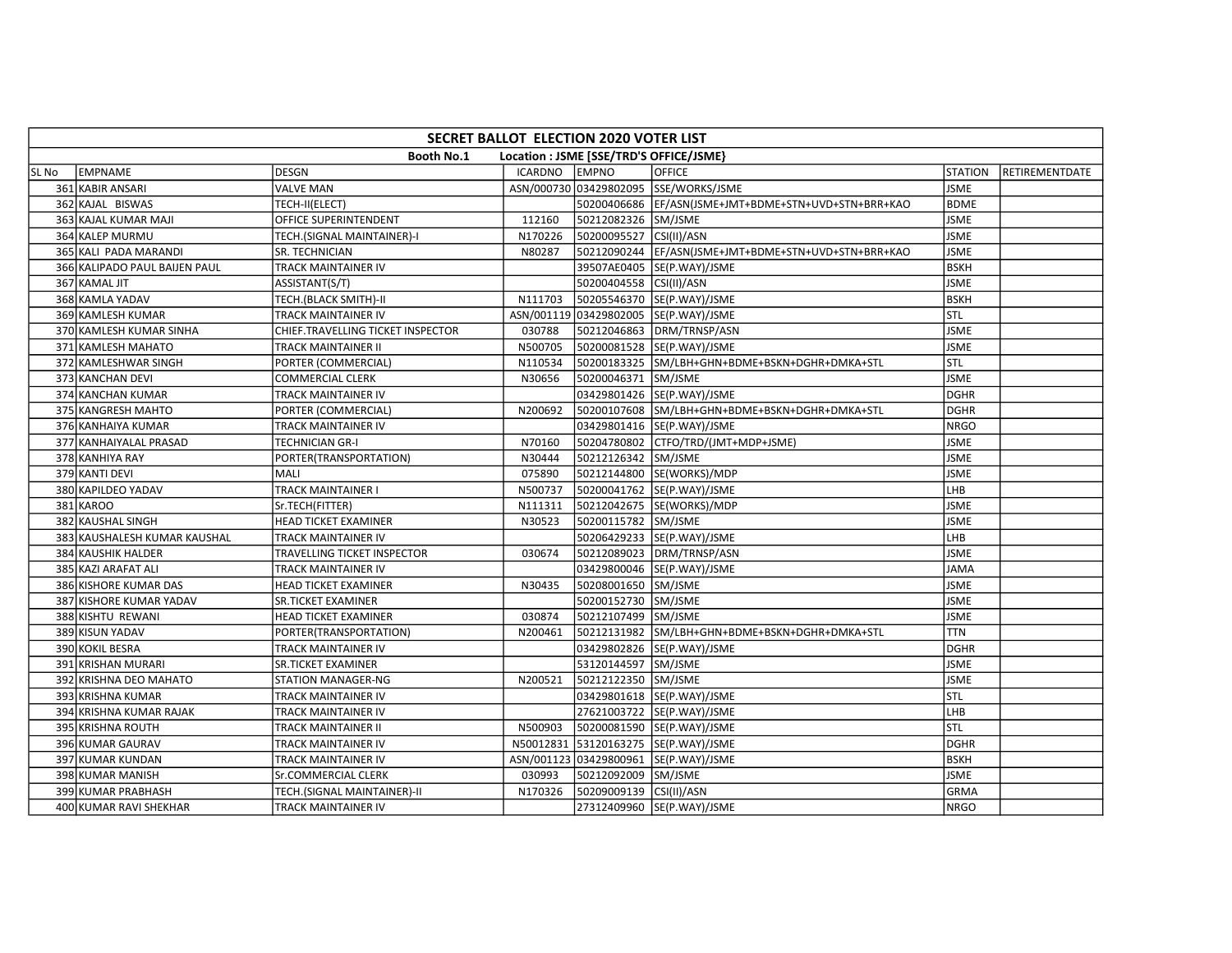|       | SECRET BALLOT ELECTION 2020 VOTER LIST |                                   |                |                         |                                                      |                |                |  |  |  |
|-------|----------------------------------------|-----------------------------------|----------------|-------------------------|------------------------------------------------------|----------------|----------------|--|--|--|
|       |                                        | <b>Booth No.1</b>                 |                |                         | Location : JSME [SSE/TRD'S OFFICE/JSME}              |                |                |  |  |  |
| SL No | EMPNAME                                | <b>DESGN</b>                      | <b>ICARDNO</b> | <b>EMPNO</b>            | <b>OFFICE</b>                                        | <b>STATION</b> | RETIREMENTDATE |  |  |  |
|       | 361 KABIR ANSARI                       | <b>VALVE MAN</b>                  |                |                         | ASN/000730 03429802095 SSE/WORKS/JSME                | <b>JSME</b>    |                |  |  |  |
|       | 362 KAJAL BISWAS                       | TECH-II(ELECT)                    |                |                         | 50200406686 EF/ASN(JSME+JMT+BDME+STN+UVD+STN+BRR+KAO | <b>BDME</b>    |                |  |  |  |
|       | 363 KAJAL KUMAR MAJI                   | OFFICE SUPERINTENDENT             | 112160         | 50212082326 SM/JSME     |                                                      | <b>JSME</b>    |                |  |  |  |
|       | 364 KALEP MURMU                        | TECH.(SIGNAL MAINTAINER)-I        | N170226        | 50200095527 CSI(II)/ASN |                                                      | <b>JSME</b>    |                |  |  |  |
|       | 365 KALI PADA MARANDI                  | SR. TECHNICIAN                    | N80287         |                         | 50212090244 EF/ASN(JSME+JMT+BDME+STN+UVD+STN+BRR+KAO | <b>JSME</b>    |                |  |  |  |
|       | 366 KALIPADO PAUL BAIJEN PAUL          | TRACK MAINTAINER IV               |                |                         | 39507AE0405  SE(P.WAY)/JSME                          | <b>BSKH</b>    |                |  |  |  |
|       | 367 KAMAL JIT                          | ASSISTANT(S/T)                    |                | 50200404558 CSI(II)/ASN |                                                      | <b>JSME</b>    |                |  |  |  |
|       | 368 KAMLA YADAV                        | TECH.(BLACK SMITH)-II             | N111703        |                         | 50205546370 SE(P.WAY)/JSME                           | <b>BSKH</b>    |                |  |  |  |
|       | 369 KAMLESH KUMAR                      | TRACK MAINTAINER IV               |                |                         | ASN/001119 03429802005 SE(P.WAY)/JSME                | Istl           |                |  |  |  |
|       | 370 KAMLESH KUMAR SINHA                | CHIEF.TRAVELLING TICKET INSPECTOR | 030788         |                         | 50212046863 DRM/TRNSP/ASN                            | <b>JSME</b>    |                |  |  |  |
|       | 371 KAMLESH MAHATO                     | TRACK MAINTAINER II               | N500705        |                         | 50200081528 SE(P.WAY)/JSME                           | <b>JSME</b>    |                |  |  |  |
|       | 372 KAMLESHWAR SINGH                   | PORTER (COMMERCIAL)               | N110534        |                         | 50200183325 SM/LBH+GHN+BDME+BSKN+DGHR+DMKA+STL       | STL            |                |  |  |  |
|       | 373 KANCHAN DEVI                       | <b>COMMERCIAL CLERK</b>           | N30656         | 50200046371 SM/JSME     |                                                      | <b>JSME</b>    |                |  |  |  |
|       | 374 KANCHAN KUMAR                      | TRACK MAINTAINER IV               |                |                         | 03429801426 SE(P.WAY)/JSME                           | <b>DGHR</b>    |                |  |  |  |
|       | 375 KANGRESH MAHTO                     | PORTER (COMMERCIAL)               | N200692        |                         | 50200107608 SM/LBH+GHN+BDME+BSKN+DGHR+DMKA+STL       | <b>DGHR</b>    |                |  |  |  |
|       | 376 KANHAIYA KUMAR                     | TRACK MAINTAINER IV               |                |                         | 03429801416 SE(P.WAY)/JSME                           | <b>NRGO</b>    |                |  |  |  |
|       | 377 KANHAIYALAL PRASAD                 | <b>TECHNICIAN GR-I</b>            | N70160         |                         | 50204780802 CTFO/TRD/(JMT+MDP+JSME)                  | <b>JSME</b>    |                |  |  |  |
|       | 378 KANHIYA RAY                        | PORTER(TRANSPORTATION)            | N30444         | 50212126342 SM/JSME     |                                                      | <b>JSME</b>    |                |  |  |  |
|       | 379 KANTI DEVI                         | <b>MALI</b>                       | 075890         |                         | 50212144800 SE(WORKS)/MDP                            | <b>JSME</b>    |                |  |  |  |
|       | 380 KAPILDEO YADAV                     | TRACK MAINTAINER I                | N500737        |                         | 50200041762 SE(P.WAY)/JSME                           | LHB            |                |  |  |  |
|       | 381 KAROO                              | Sr.TECH(FITTER)                   | N111311        |                         | 50212042675 SE(WORKS)/MDP                            | <b>JSME</b>    |                |  |  |  |
|       | 382 KAUSHAL SINGH                      | HEAD TICKET EXAMINER              | N30523         | 50200115782 SM/JSME     |                                                      | <b>JSME</b>    |                |  |  |  |
|       | 383 KAUSHALESH KUMAR KAUSHAL           | TRACK MAINTAINER IV               |                |                         | 50206429233 SE(P.WAY)/JSME                           | LHB            |                |  |  |  |
|       | 384 KAUSHIK HALDER                     | TRAVELLING TICKET INSPECTOR       | 030674         |                         | 50212089023 DRM/TRNSP/ASN                            | <b>JSME</b>    |                |  |  |  |
|       | 385 KAZI ARAFAT ALI                    | TRACK MAINTAINER IV               |                |                         | 03429800046 SE(P.WAY)/JSME                           | <b>JAMA</b>    |                |  |  |  |
|       | 386 KISHORE KUMAR DAS                  | <b>HEAD TICKET EXAMINER</b>       | N30435         | 50208001650 SM/JSME     |                                                      | <b>JSME</b>    |                |  |  |  |
|       | 387 KISHORE KUMAR YADAV                | <b>SR.TICKET EXAMINER</b>         |                | 50200152730 SM/JSME     |                                                      | <b>JSME</b>    |                |  |  |  |
|       | 388 KISHTU REWANI                      | HEAD TICKET EXAMINER              | 030874         | 50212107499 SM/JSME     |                                                      | <b>JSME</b>    |                |  |  |  |
|       | 389 KISUN YADAV                        | PORTER(TRANSPORTATION)            | N200461        |                         | 50212131982 SM/LBH+GHN+BDME+BSKN+DGHR+DMKA+STL       | <b>TTN</b>     |                |  |  |  |
|       | 390 KOKIL BESRA                        | TRACK MAINTAINER IV               |                |                         | 03429802826 SE(P.WAY)/JSME                           | <b>DGHR</b>    |                |  |  |  |
|       | 391 KRISHAN MURARI                     | SR.TICKET EXAMINER                |                | 53120144597 SM/JSME     |                                                      | <b>JSME</b>    |                |  |  |  |
|       | 392 KRISHNA DEO MAHATO                 | STATION MANAGER-NG                | N200521        | 50212122350 SM/JSME     |                                                      | <b>JSME</b>    |                |  |  |  |
|       | 393 KRISHNA KUMAR                      | TRACK MAINTAINER IV               |                |                         | 03429801618 SE(P.WAY)/JSME                           | Istl           |                |  |  |  |
|       | 394 KRISHNA KUMAR RAJAK                | TRACK MAINTAINER IV               |                |                         | 27621003722 SE(P.WAY)/JSME                           | LHB            |                |  |  |  |
|       | 395 KRISHNA ROUTH                      | TRACK MAINTAINER II               | N500903        |                         | 50200081590 SE(P.WAY)/JSME                           | STL            |                |  |  |  |
|       | 396 KUMAR GAURAV                       | TRACK MAINTAINER IV               |                |                         | N50012831 53120163275 SE(P.WAY)/JSME                 | <b>DGHR</b>    |                |  |  |  |
|       | 397 KUMAR KUNDAN                       | TRACK MAINTAINER IV               |                |                         | ASN/001123 03429800961 SE(P.WAY)/JSME                | <b>BSKH</b>    |                |  |  |  |
|       | 398 KUMAR MANISH                       | Sr.COMMERCIAL CLERK               | 030993         | 50212092009 SM/JSME     |                                                      | <b>JSME</b>    |                |  |  |  |
|       | 399 KUMAR PRABHASH                     | TECH.(SIGNAL MAINTAINER)-II       | N170326        | 50209009139 CSI(II)/ASN |                                                      | GRMA           |                |  |  |  |
|       | 400 KUMAR RAVI SHEKHAR                 | TRACK MAINTAINER IV               |                |                         | 27312409960 SE(P.WAY)/JSME                           | <b>NRGO</b>    |                |  |  |  |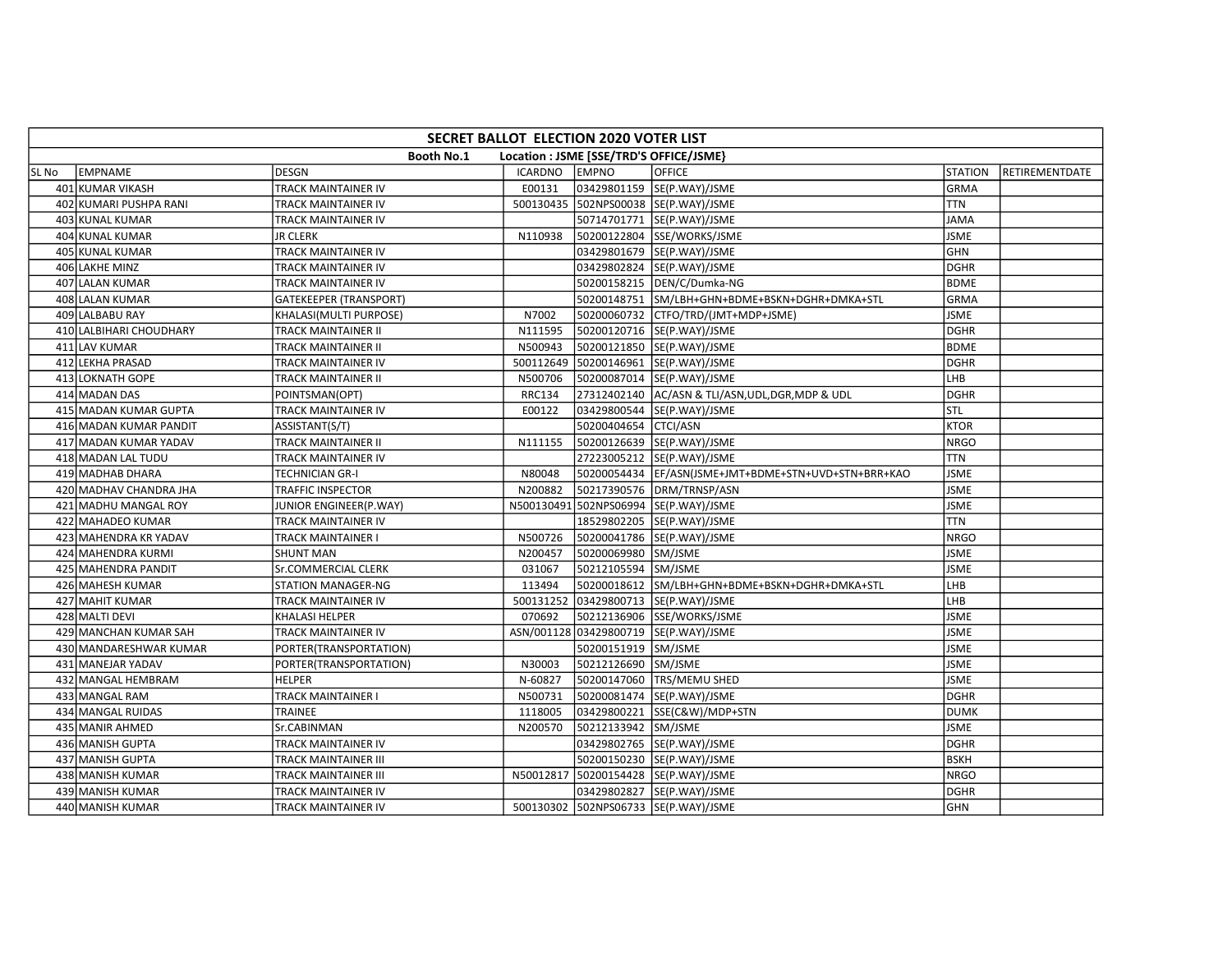|       | SECRET BALLOT ELECTION 2020 VOTER LIST                       |                               |                |                      |                                                       |                |                |  |  |  |  |
|-------|--------------------------------------------------------------|-------------------------------|----------------|----------------------|-------------------------------------------------------|----------------|----------------|--|--|--|--|
|       | <b>Booth No.1</b><br>Location : JSME [SSE/TRD'S OFFICE/JSME} |                               |                |                      |                                                       |                |                |  |  |  |  |
| SL No | EMPNAME                                                      | <b>DESGN</b>                  | <b>ICARDNO</b> | <b>EMPNO</b>         | <b>OFFICE</b>                                         | <b>STATION</b> | RETIREMENTDATE |  |  |  |  |
|       | 401 KUMAR VIKASH                                             | TRACK MAINTAINER IV           | E00131         |                      | 03429801159 SE(P.WAY)/JSME                            | GRMA           |                |  |  |  |  |
|       | 402 KUMARI PUSHPA RANI                                       | TRACK MAINTAINER IV           |                |                      | 500130435 502NPS00038 SE(P.WAY)/JSME                  | <b>TTN</b>     |                |  |  |  |  |
|       | 403 KUNAL KUMAR                                              | TRACK MAINTAINER IV           |                |                      | 50714701771 SE(P.WAY)/JSME                            | <b>JAMA</b>    |                |  |  |  |  |
|       | 404 KUNAL KUMAR                                              | <b>JR CLERK</b>               | N110938        |                      | 50200122804 SSE/WORKS/JSME                            | <b>JSME</b>    |                |  |  |  |  |
|       | 405 KUNAL KUMAR                                              | <b>TRACK MAINTAINER IV</b>    |                |                      | 03429801679 SE(P.WAY)/JSME                            | <b>GHN</b>     |                |  |  |  |  |
|       | 406 LAKHE MINZ                                               | TRACK MAINTAINER IV           |                |                      | 03429802824 SE(P.WAY)/JSME                            | <b>DGHR</b>    |                |  |  |  |  |
|       | 407 LALAN KUMAR                                              | TRACK MAINTAINER IV           |                |                      | 50200158215  DEN/C/Dumka-NG                           | <b>BDME</b>    |                |  |  |  |  |
|       | 408 LALAN KUMAR                                              | <b>GATEKEEPER (TRANSPORT)</b> |                |                      | 50200148751 SM/LBH+GHN+BDME+BSKN+DGHR+DMKA+STL        | <b>GRMA</b>    |                |  |  |  |  |
|       | 409 LALBABU RAY                                              | KHALASI(MULTI PURPOSE)        | N7002          |                      | 50200060732 CTFO/TRD/(JMT+MDP+JSME)                   | <b>JSME</b>    |                |  |  |  |  |
|       | 410 LALBIHARI CHOUDHARY                                      | TRACK MAINTAINER II           | N111595        |                      | 50200120716 SE(P.WAY)/JSME                            | <b>DGHR</b>    |                |  |  |  |  |
|       | 411 LAV KUMAR                                                | TRACK MAINTAINER II           | N500943        |                      | 50200121850 SE(P.WAY)/JSME                            | <b>BDME</b>    |                |  |  |  |  |
|       | 412 LEKHA PRASAD                                             | TRACK MAINTAINER IV           |                |                      | 500112649 50200146961 SE(P.WAY)/JSME                  | <b>DGHR</b>    |                |  |  |  |  |
|       | 413 LOKNATH GOPE                                             | TRACK MAINTAINER II           | N500706        |                      | 50200087014 SE(P.WAY)/JSME                            | LHB            |                |  |  |  |  |
|       | 414 MADAN DAS                                                | POINTSMAN(OPT)                | <b>RRC134</b>  |                      | 27312402140 AC/ASN & TLI/ASN, UDL, DGR, MDP & UDL     | <b>DGHR</b>    |                |  |  |  |  |
|       | 415 MADAN KUMAR GUPTA                                        | TRACK MAINTAINER IV           | E00122         |                      | 03429800544 SE(P.WAY)/JSME                            | <b>STL</b>     |                |  |  |  |  |
|       | 416 MADAN KUMAR PANDIT                                       | ASSISTANT(S/T)                |                | 50200404654 CTCI/ASN |                                                       | <b>KTOR</b>    |                |  |  |  |  |
|       | 417 MADAN KUMAR YADAV                                        | TRACK MAINTAINER II           | N111155        |                      | 50200126639 SE(P.WAY)/JSME                            | <b>NRGO</b>    |                |  |  |  |  |
|       | 418 MADAN LAL TUDU                                           | TRACK MAINTAINER IV           |                |                      | 27223005212  SE(P.WAY)/JSME                           | <b>TTN</b>     |                |  |  |  |  |
|       | 419 MADHAB DHARA                                             | <b>TECHNICIAN GR-I</b>        | N80048         |                      | 50200054434  EF/ASN(JSME+JMT+BDME+STN+UVD+STN+BRR+KAO | <b>JSME</b>    |                |  |  |  |  |
|       | 420 MADHAV CHANDRA JHA                                       | <b>TRAFFIC INSPECTOR</b>      | N200882        |                      | 50217390576 DRM/TRNSP/ASN                             | <b>JSME</b>    |                |  |  |  |  |
|       | 421 MADHU MANGAL ROY                                         | JUNIOR ENGINEER(P.WAY)        |                |                      | N500130491 502NPS06994 SE(P.WAY)/JSME                 | <b>JSME</b>    |                |  |  |  |  |
|       | 422 MAHADEO KUMAR                                            | TRACK MAINTAINER IV           |                |                      | 18529802205 SE(P.WAY)/JSME                            | <b>TTN</b>     |                |  |  |  |  |
|       | 423 MAHENDRA KR YADAV                                        | TRACK MAINTAINER I            | N500726        |                      | 50200041786 SE(P.WAY)/JSME                            | <b>NRGO</b>    |                |  |  |  |  |
|       | 424 MAHENDRA KURMI                                           | <b>SHUNT MAN</b>              | N200457        | 50200069980 SM/JSME  |                                                       | <b>JSME</b>    |                |  |  |  |  |
|       | 425 MAHENDRA PANDIT                                          | Sr.COMMERCIAL CLERK           | 031067         | 50212105594 SM/JSME  |                                                       | <b>JSME</b>    |                |  |  |  |  |
|       | 426 MAHESH KUMAR                                             | <b>STATION MANAGER-NG</b>     | 113494         |                      | 50200018612 SM/LBH+GHN+BDME+BSKN+DGHR+DMKA+STL        | LHB            |                |  |  |  |  |
|       | 427 MAHIT KUMAR                                              | TRACK MAINTAINER IV           | 500131252      |                      | 03429800713 SE(P.WAY)/JSME                            | LHB            |                |  |  |  |  |
|       | 428 MALTI DEVI                                               | KHALASI HELPER                | 070692         |                      | 50212136906 SSE/WORKS/JSME                            | <b>JSME</b>    |                |  |  |  |  |
|       | 429 MANCHAN KUMAR SAH                                        | TRACK MAINTAINER IV           |                |                      | ASN/001128 03429800719 SE(P.WAY)/JSME                 | <b>JSME</b>    |                |  |  |  |  |
|       | 430 MANDARESHWAR KUMAR                                       | PORTER(TRANSPORTATION)        |                | 50200151919 SM/JSME  |                                                       | <b>JSME</b>    |                |  |  |  |  |
|       | 431 MANEJAR YADAV                                            | PORTER(TRANSPORTATION)        | N30003         | 50212126690 SM/JSME  |                                                       | <b>JSME</b>    |                |  |  |  |  |
|       | 432 MANGAL HEMBRAM                                           | <b>HELPER</b>                 | N-60827        |                      | 50200147060 TRS/MEMU SHED                             | <b>JSME</b>    |                |  |  |  |  |
|       | 433 MANGAL RAM                                               | TRACK MAINTAINER I            | N500731        |                      | 50200081474 SE(P.WAY)/JSME                            | DGHR           |                |  |  |  |  |
|       | 434 MANGAL RUIDAS                                            | TRAINEE                       | 1118005        |                      | 03429800221 SSE(C&W)/MDP+STN                          | <b>DUMK</b>    |                |  |  |  |  |
|       | 435 MANIR AHMED                                              | Sr.CABINMAN                   | N200570        | 50212133942 SM/JSME  |                                                       | <b>JSME</b>    |                |  |  |  |  |
|       | 436 MANISH GUPTA                                             | TRACK MAINTAINER IV           |                |                      | 03429802765 SE(P.WAY)/JSME                            | DGHR           |                |  |  |  |  |
|       | 437 MANISH GUPTA                                             | TRACK MAINTAINER III          |                |                      | 50200150230 SE(P.WAY)/JSME                            | <b>BSKH</b>    |                |  |  |  |  |
|       | 438 MANISH KUMAR                                             | <b>TRACK MAINTAINER III</b>   |                |                      | N50012817 50200154428 SE(P.WAY)/JSME                  | <b>NRGO</b>    |                |  |  |  |  |
|       | 439 MANISH KUMAR                                             | TRACK MAINTAINER IV           |                |                      | 03429802827 SE(P.WAY)/JSME                            | <b>DGHR</b>    |                |  |  |  |  |
|       | 440 MANISH KUMAR                                             | TRACK MAINTAINER IV           |                |                      | 500130302 502NPS06733 SE(P.WAY)/JSME                  | <b>GHN</b>     |                |  |  |  |  |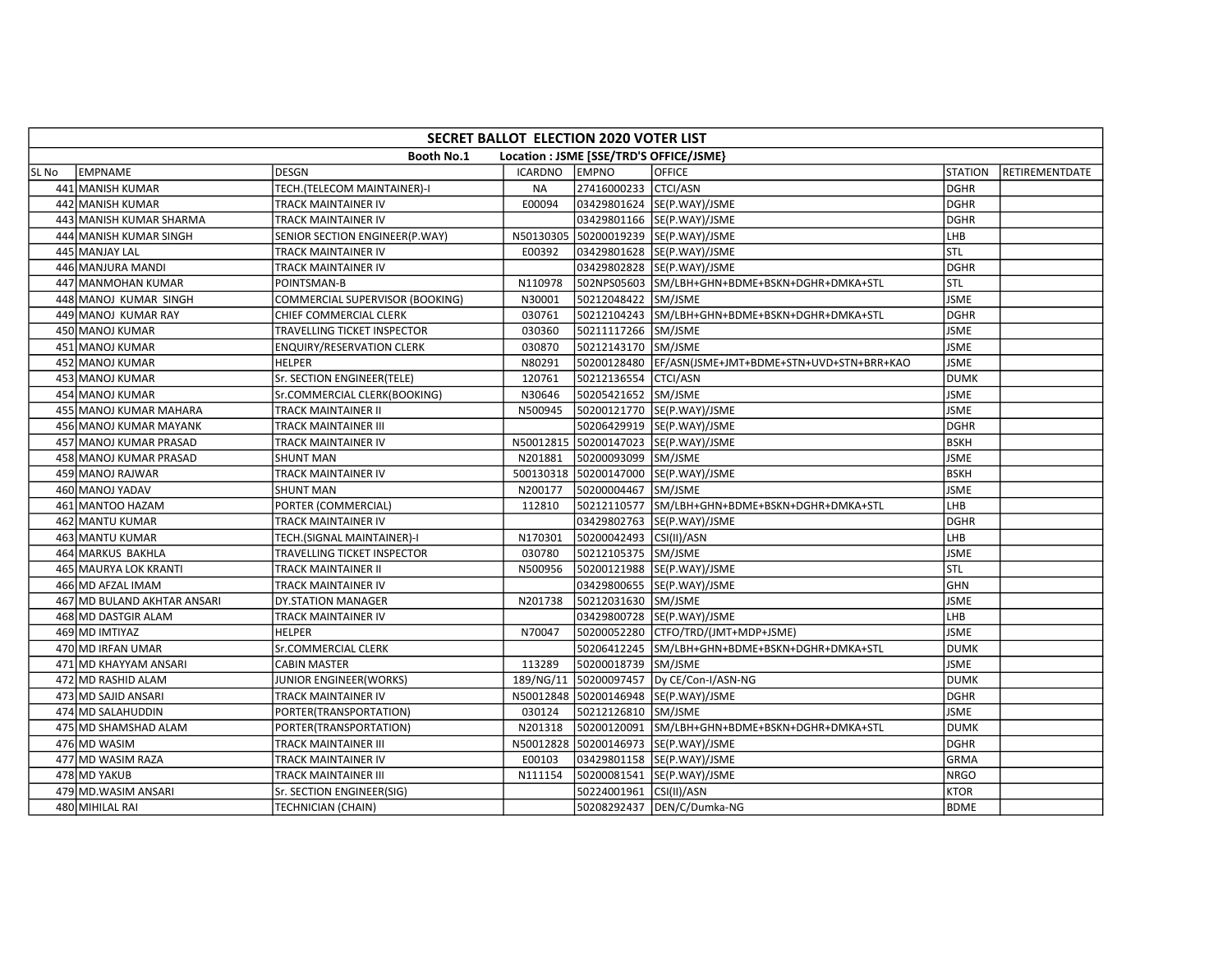|       | SECRET BALLOT ELECTION 2020 VOTER LIST                       |                                  |           |                         |                                                       |                |                |  |  |  |
|-------|--------------------------------------------------------------|----------------------------------|-----------|-------------------------|-------------------------------------------------------|----------------|----------------|--|--|--|
|       | <b>Booth No.1</b><br>Location : JSME [SSE/TRD'S OFFICE/JSME} |                                  |           |                         |                                                       |                |                |  |  |  |
| SL No | <b>EMPNAME</b>                                               | <b>DESGN</b>                     | ICARDNO   | <b>EMPNO</b>            | <b>OFFICE</b>                                         | <b>STATION</b> | RETIREMENTDATE |  |  |  |
|       | 441 MANISH KUMAR                                             | TECH.(TELECOM MAINTAINER)-I      | <b>NA</b> | 27416000233 CTCI/ASN    |                                                       | <b>DGHR</b>    |                |  |  |  |
|       | 442 MANISH KUMAR                                             | TRACK MAINTAINER IV              | E00094    |                         | 03429801624 SE(P.WAY)/JSME                            | <b>DGHR</b>    |                |  |  |  |
|       | 443 MANISH KUMAR SHARMA                                      | TRACK MAINTAINER IV              |           |                         | 03429801166 SE(P.WAY)/JSME                            | <b>DGHR</b>    |                |  |  |  |
|       | 444 MANISH KUMAR SINGH                                       | SENIOR SECTION ENGINEER(P.WAY)   |           |                         | N50130305 50200019239 SE(P.WAY)/JSME                  | LHB            |                |  |  |  |
|       | 445 MANJAY LAL                                               | TRACK MAINTAINER IV              | E00392    |                         | 03429801628 SE(P.WAY)/JSME                            | stl            |                |  |  |  |
|       | 446 MANJURA MANDI                                            | TRACK MAINTAINER IV              |           |                         | 03429802828 SE(P.WAY)/JSME                            | DGHR           |                |  |  |  |
|       | 447 MANMOHAN KUMAR                                           | POINTSMAN-B                      | N110978   |                         | 502NPS05603 SM/LBH+GHN+BDME+BSKN+DGHR+DMKA+STL        | <b>STL</b>     |                |  |  |  |
|       | 448 MANOJ KUMAR SINGH                                        | COMMERCIAL SUPERVISOR (BOOKING)  | N30001    | 50212048422 SM/JSME     |                                                       | <b>JSME</b>    |                |  |  |  |
|       | 449 MANOJ KUMAR RAY                                          | CHIEF COMMERCIAL CLERK           | 030761    |                         | 50212104243 SM/LBH+GHN+BDME+BSKN+DGHR+DMKA+STL        | <b>DGHR</b>    |                |  |  |  |
|       | 450 MANOJ KUMAR                                              | TRAVELLING TICKET INSPECTOR      | 030360    | 50211117266 SM/JSME     |                                                       | <b>JSME</b>    |                |  |  |  |
|       | 451 MANOJ KUMAR                                              | <b>ENQUIRY/RESERVATION CLERK</b> | 030870    | 50212143170 SM/JSME     |                                                       | <b>JSME</b>    |                |  |  |  |
|       | 452 MANOJ KUMAR                                              | <b>HELPER</b>                    | N80291    |                         | 50200128480  EF/ASN(JSME+JMT+BDME+STN+UVD+STN+BRR+KAO | <b>JSME</b>    |                |  |  |  |
|       | 453 MANOJ KUMAR                                              | Sr. SECTION ENGINEER(TELE)       | 120761    | 50212136554 CTCI/ASN    |                                                       | <b>DUMK</b>    |                |  |  |  |
|       | 454 MANOJ KUMAR                                              | Sr.COMMERCIAL CLERK(BOOKING)     | N30646    | 50205421652 SM/JSME     |                                                       | <b>JSME</b>    |                |  |  |  |
|       | 455 MANOJ KUMAR MAHARA                                       | TRACK MAINTAINER II              | N500945   |                         | 50200121770 SE(P.WAY)/JSME                            | <b>JSME</b>    |                |  |  |  |
|       | 456 MANOJ KUMAR MAYANK                                       | TRACK MAINTAINER III             |           |                         | 50206429919 SE(P.WAY)/JSME                            | <b>DGHR</b>    |                |  |  |  |
|       | 457 MANOJ KUMAR PRASAD                                       | TRACK MAINTAINER IV              |           |                         | N50012815 50200147023 SE(P.WAY)/JSME                  | <b>BSKH</b>    |                |  |  |  |
|       | 458 MANOJ KUMAR PRASAD                                       | <b>SHUNT MAN</b>                 | N201881   | 50200093099 SM/JSME     |                                                       | <b>JSME</b>    |                |  |  |  |
|       | 459 MANOJ RAJWAR                                             | TRACK MAINTAINER IV              |           |                         | 500130318 50200147000 SE(P.WAY)/JSME                  | <b>BSKH</b>    |                |  |  |  |
|       | 460 MANOJ YADAV                                              | <b>SHUNT MAN</b>                 | N200177   | 50200004467 SM/JSME     |                                                       | <b>JSME</b>    |                |  |  |  |
|       | 461 MANTOO HAZAM                                             | PORTER (COMMERCIAL)              | 112810    |                         | 50212110577 SM/LBH+GHN+BDME+BSKN+DGHR+DMKA+STL        | LHB            |                |  |  |  |
|       | 462 MANTU KUMAR                                              | TRACK MAINTAINER IV              |           |                         | 03429802763 SE(P.WAY)/JSME                            | DGHR           |                |  |  |  |
|       | 463 MANTU KUMAR                                              | TECH.(SIGNAL MAINTAINER)-I       | N170301   | 50200042493 CSI(II)/ASN |                                                       | LHB            |                |  |  |  |
|       | 464 MARKUS BAKHLA                                            | TRAVELLING TICKET INSPECTOR      | 030780    | 50212105375 SM/JSME     |                                                       | <b>JSME</b>    |                |  |  |  |
|       | 465 MAURYA LOK KRANTI                                        | TRACK MAINTAINER II              | N500956   |                         | 50200121988 SE(P.WAY)/JSME                            | STL            |                |  |  |  |
|       | 466 MD AFZAL IMAM                                            | TRACK MAINTAINER IV              |           |                         | 03429800655 SE(P.WAY)/JSME                            | GHN            |                |  |  |  |
|       | 467 MD BULAND AKHTAR ANSARI                                  | DY.STATION MANAGER               | N201738   | 50212031630 SM/JSME     |                                                       | <b>JSME</b>    |                |  |  |  |
|       | 468 MD DASTGIR ALAM                                          | TRACK MAINTAINER IV              |           |                         | 03429800728 SE(P.WAY)/JSME                            | LHB            |                |  |  |  |
|       | 469 MD IMTIYAZ                                               | <b>HELPER</b>                    | N70047    |                         | 50200052280 CTFO/TRD/(JMT+MDP+JSME)                   | <b>JSME</b>    |                |  |  |  |
|       | 470 MD IRFAN UMAR                                            | <b>Sr.COMMERCIAL CLERK</b>       |           |                         | 50206412245 SM/LBH+GHN+BDME+BSKN+DGHR+DMKA+STL        | <b>DUMK</b>    |                |  |  |  |
|       | 471 MD KHAYYAM ANSARI                                        | <b>CABIN MASTER</b>              | 113289    | 50200018739 SM/JSME     |                                                       | <b>JSME</b>    |                |  |  |  |
|       | 472 MD RASHID ALAM                                           | JUNIOR ENGINEER(WORKS)           | 189/NG/11 |                         | 50200097457  Dy CE/Con-I/ASN-NG                       | <b>DUMK</b>    |                |  |  |  |
|       | 473 MD SAJID ANSARI                                          | TRACK MAINTAINER IV              |           |                         | N50012848 50200146948 SE(P.WAY)/JSME                  | <b>DGHR</b>    |                |  |  |  |
|       | 474 MD SALAHUDDIN                                            | PORTER(TRANSPORTATION)           | 030124    | 50212126810 SM/JSME     |                                                       | <b>JSME</b>    |                |  |  |  |
|       | 475 MD SHAMSHAD ALAM                                         | PORTER(TRANSPORTATION)           | N201318   |                         | 50200120091 SM/LBH+GHN+BDME+BSKN+DGHR+DMKA+STL        | <b>DUMK</b>    |                |  |  |  |
|       | 476 MD WASIM                                                 | TRACK MAINTAINER III             | N50012828 |                         | 50200146973 SE(P.WAY)/JSME                            | <b>DGHR</b>    |                |  |  |  |
|       | 477 MD WASIM RAZA                                            | TRACK MAINTAINER IV              | E00103    |                         | 03429801158 SE(P.WAY)/JSME                            | <b>GRMA</b>    |                |  |  |  |
|       | 478 MD YAKUB                                                 | TRACK MAINTAINER III             | N111154   |                         | 50200081541 SE(P.WAY)/JSME                            | <b>NRGO</b>    |                |  |  |  |
|       | 479 MD.WASIM ANSARI                                          | Sr. SECTION ENGINEER(SIG)        |           | 50224001961 CSI(II)/ASN |                                                       | <b>KTOR</b>    |                |  |  |  |
|       | 480 MIHILAL RAI                                              | <b>TECHNICIAN (CHAIN)</b>        |           |                         | 50208292437  DEN/C/Dumka-NG                           | <b>BDME</b>    |                |  |  |  |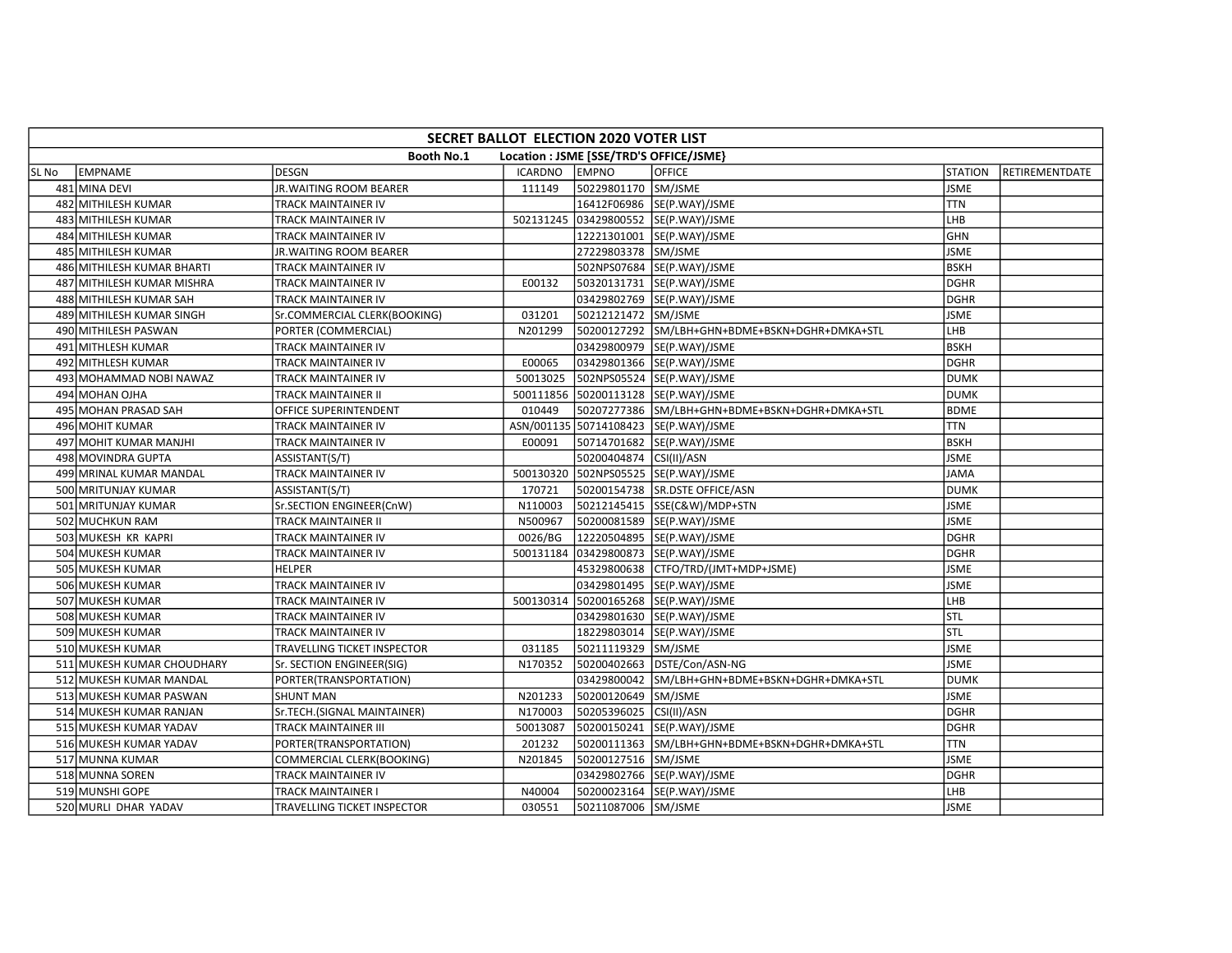|       | SECRET BALLOT ELECTION 2020 VOTER LIST                |                              |                |                         |                                                |                |                |  |  |  |
|-------|-------------------------------------------------------|------------------------------|----------------|-------------------------|------------------------------------------------|----------------|----------------|--|--|--|
|       | Booth No.1<br>Location : JSME [SSE/TRD'S OFFICE/JSME} |                              |                |                         |                                                |                |                |  |  |  |
| SL No | <b>EMPNAME</b>                                        | <b>DESGN</b>                 | <b>ICARDNO</b> | <b>EMPNO</b>            | <b>OFFICE</b>                                  | <b>STATION</b> | RETIREMENTDATE |  |  |  |
|       | 481 MINA DEVI                                         | JR. WAITING ROOM BEARER      | 111149         | 50229801170 SM/JSME     |                                                | <b>JSME</b>    |                |  |  |  |
|       | 482 MITHILESH KUMAR                                   | TRACK MAINTAINER IV          |                |                         | 16412F06986 SE(P.WAY)/JSME                     | <b>TTN</b>     |                |  |  |  |
|       | 483 MITHILESH KUMAR                                   | TRACK MAINTAINER IV          |                |                         | 502131245 03429800552 SE(P.WAY)/JSME           | LHB            |                |  |  |  |
|       | 484 MITHILESH KUMAR                                   | TRACK MAINTAINER IV          |                |                         | 12221301001 SE(P.WAY)/JSME                     | <b>GHN</b>     |                |  |  |  |
|       | 485 MITHILESH KUMAR                                   | JR. WAITING ROOM BEARER      |                | 27229803378 SM/JSME     |                                                | <b>JSME</b>    |                |  |  |  |
|       | 486 MITHILESH KUMAR BHARTI                            | TRACK MAINTAINER IV          |                |                         | 502NPS07684 SE(P.WAY)/JSME                     | <b>BSKH</b>    |                |  |  |  |
|       | 487 MITHILESH KUMAR MISHRA                            | TRACK MAINTAINER IV          | E00132         |                         | 50320131731 SE(P.WAY)/JSME                     | DGHR           |                |  |  |  |
|       | 488 MITHILESH KUMAR SAH                               | TRACK MAINTAINER IV          |                |                         | 03429802769 SE(P.WAY)/JSME                     | <b>DGHR</b>    |                |  |  |  |
|       | 489 MITHILESH KUMAR SINGH                             | Sr.COMMERCIAL CLERK(BOOKING) | 031201         | 50212121472 SM/JSME     |                                                | <b>JSME</b>    |                |  |  |  |
|       | 490 MITHILESH PASWAN                                  | PORTER (COMMERCIAL)          | N201299        |                         | 50200127292 SM/LBH+GHN+BDME+BSKN+DGHR+DMKA+STL | LHB            |                |  |  |  |
|       | 491 MITHLESH KUMAR                                    | TRACK MAINTAINER IV          |                |                         | 03429800979 SE(P.WAY)/JSME                     | <b>BSKH</b>    |                |  |  |  |
|       | 492 MITHLESH KUMAR                                    | TRACK MAINTAINER IV          | E00065         |                         | 03429801366 SE(P.WAY)/JSME                     | <b>DGHR</b>    |                |  |  |  |
|       | 493 MOHAMMAD NOBI NAWAZ                               | TRACK MAINTAINER IV          | 50013025       |                         | 502NPS05524 SE(P.WAY)/JSME                     | <b>DUMK</b>    |                |  |  |  |
|       | 494 MOHAN OJHA                                        | TRACK MAINTAINER II          |                |                         | 500111856 50200113128 SE(P.WAY)/JSME           | <b>DUMK</b>    |                |  |  |  |
|       | 495 MOHAN PRASAD SAH                                  | OFFICE SUPERINTENDENT        | 010449         |                         | 50207277386 SM/LBH+GHN+BDME+BSKN+DGHR+DMKA+STL | <b>BDME</b>    |                |  |  |  |
|       | 496 MOHIT KUMAR                                       | TRACK MAINTAINER IV          |                |                         | ASN/001135 50714108423 SE(P.WAY)/JSME          | <b>TTN</b>     |                |  |  |  |
|       | 497 MOHIT KUMAR MANJHI                                | TRACK MAINTAINER IV          | E00091         |                         | 50714701682 SE(P.WAY)/JSME                     | <b>BSKH</b>    |                |  |  |  |
|       | 498 MOVINDRA GUPTA                                    | ASSISTANT(S/T)               |                | 50200404874 CSI(II)/ASN |                                                | <b>JSME</b>    |                |  |  |  |
|       | 499 MRINAL KUMAR MANDAL                               | TRACK MAINTAINER IV          |                |                         | 500130320 502NPS05525 SE(P.WAY)/JSME           | <b>JAMA</b>    |                |  |  |  |
|       | 500 MRITUNJAY KUMAR                                   | ASSISTANT(S/T)               | 170721         |                         | 50200154738 SR.DSTE OFFICE/ASN                 | <b>DUMK</b>    |                |  |  |  |
|       | 501 MRITUNJAY KUMAR                                   | Sr.SECTION ENGINEER(CnW)     | N110003        |                         | 50212145415 SSE(C&W)/MDP+STN                   | <b>JSME</b>    |                |  |  |  |
|       | 502 MUCHKUN RAM                                       | TRACK MAINTAINER II          | N500967        |                         | 50200081589 SE(P.WAY)/JSME                     | <b>JSME</b>    |                |  |  |  |
|       | 503 MUKESH KR KAPRI                                   | <b>TRACK MAINTAINER IV</b>   | 0026/BG        |                         | 12220504895 SE(P.WAY)/JSME                     | <b>DGHR</b>    |                |  |  |  |
|       | 504 MUKESH KUMAR                                      | TRACK MAINTAINER IV          |                |                         | 500131184 03429800873 SE(P.WAY)/JSME           | DGHR           |                |  |  |  |
|       | 505 MUKESH KUMAR                                      | <b>HELPER</b>                |                |                         | 45329800638 CTFO/TRD/(JMT+MDP+JSME)            | <b>JSME</b>    |                |  |  |  |
|       | 506 MUKESH KUMAR                                      | TRACK MAINTAINER IV          |                |                         | 03429801495 SE(P.WAY)/JSME                     | <b>JSME</b>    |                |  |  |  |
|       | 507 MUKESH KUMAR                                      | TRACK MAINTAINER IV          |                |                         | 500130314 50200165268 SE(P.WAY)/JSME           | LHB            |                |  |  |  |
|       | 508 MUKESH KUMAR                                      | TRACK MAINTAINER IV          |                |                         | 03429801630 SE(P.WAY)/JSME                     | stl            |                |  |  |  |
|       | 509 MUKESH KUMAR                                      | TRACK MAINTAINER IV          |                |                         | 18229803014  SE(P.WAY)/JSME                    | stl            |                |  |  |  |
|       | 510 MUKESH KUMAR                                      | TRAVELLING TICKET INSPECTOR  | 031185         | 50211119329 SM/JSME     |                                                | <b>JSME</b>    |                |  |  |  |
|       | 511 MUKESH KUMAR CHOUDHARY                            | Sr. SECTION ENGINEER(SIG)    | N170352        |                         | 50200402663 DSTE/Con/ASN-NG                    | <b>JSME</b>    |                |  |  |  |
|       | 512 MUKESH KUMAR MANDAL                               | PORTER(TRANSPORTATION)       |                |                         | 03429800042 SM/LBH+GHN+BDME+BSKN+DGHR+DMKA+STL | <b>DUMK</b>    |                |  |  |  |
|       | 513 MUKESH KUMAR PASWAN                               | <b>SHUNT MAN</b>             | N201233        | 50200120649 SM/JSME     |                                                | <b>JSME</b>    |                |  |  |  |
|       | 514 MUKESH KUMAR RANJAN                               | Sr.TECH.(SIGNAL MAINTAINER)  | N170003        | 50205396025 CSI(II)/ASN |                                                | <b>DGHR</b>    |                |  |  |  |
|       | 515 MUKESH KUMAR YADAV                                | TRACK MAINTAINER III         | 50013087       |                         | 50200150241 SE(P.WAY)/JSME                     | <b>DGHR</b>    |                |  |  |  |
|       | 516 MUKESH KUMAR YADAV                                | PORTER(TRANSPORTATION)       | 201232         |                         | 50200111363 SM/LBH+GHN+BDME+BSKN+DGHR+DMKA+STL | <b>TTN</b>     |                |  |  |  |
|       | 517 MUNNA KUMAR                                       | COMMERCIAL CLERK(BOOKING)    | N201845        | 50200127516 SM/JSME     |                                                | <b>JSME</b>    |                |  |  |  |
|       | 518 MUNNA SOREN                                       | TRACK MAINTAINER IV          |                |                         | 03429802766 SE(P.WAY)/JSME                     | <b>DGHR</b>    |                |  |  |  |
|       | 519 MUNSHI GOPE                                       | TRACK MAINTAINER I           | N40004         |                         | 50200023164 SE(P.WAY)/JSME                     | LHB            |                |  |  |  |
|       | 520 MURLI DHAR YADAV                                  | TRAVELLING TICKET INSPECTOR  | 030551         | 50211087006 SM/JSME     |                                                | <b>JSME</b>    |                |  |  |  |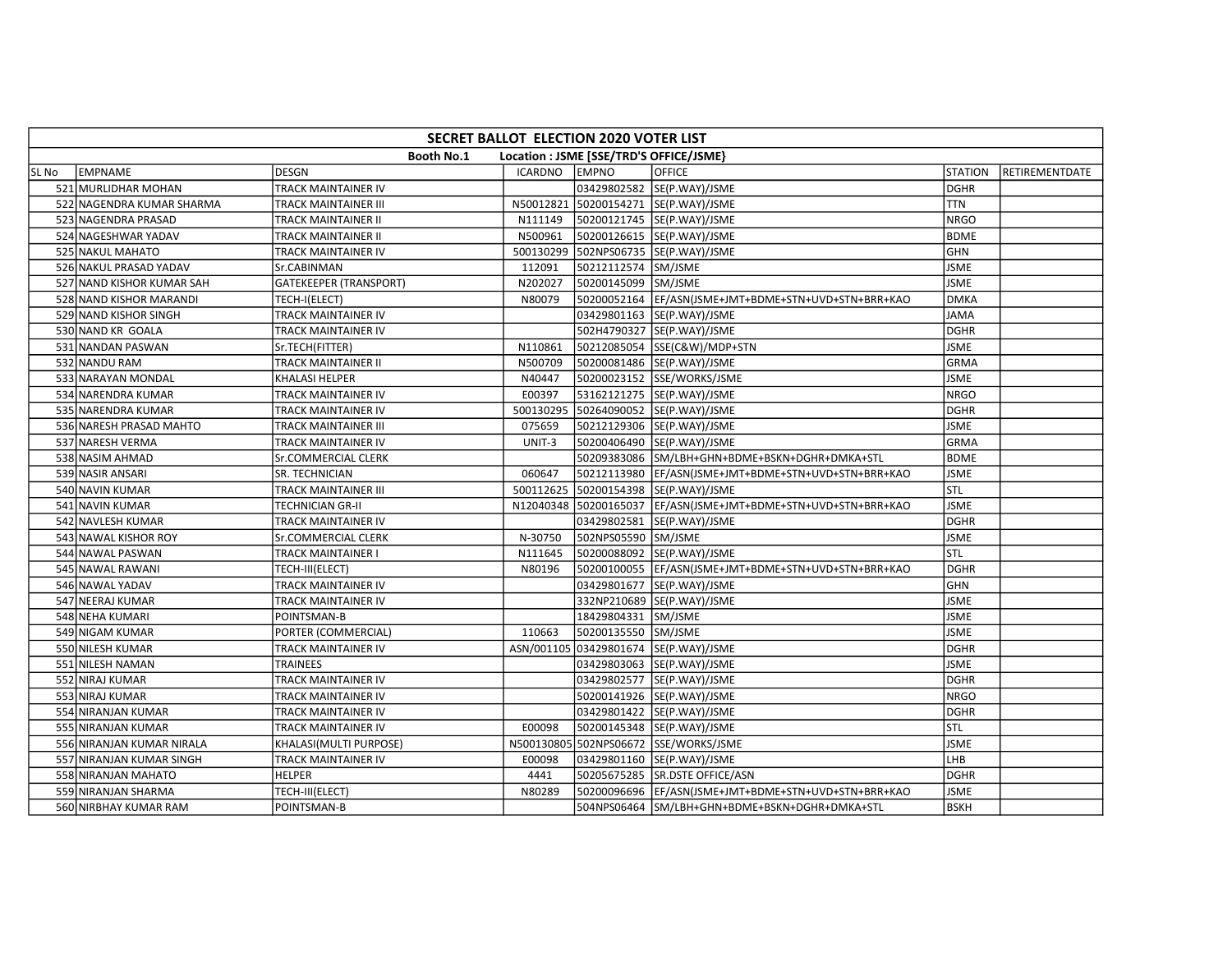|       | SECRET BALLOT ELECTION 2020 VOTER LIST                       |                               |           |                     |                                                                |                |                |  |  |  |
|-------|--------------------------------------------------------------|-------------------------------|-----------|---------------------|----------------------------------------------------------------|----------------|----------------|--|--|--|
|       | <b>Booth No.1</b><br>Location : JSME [SSE/TRD'S OFFICE/JSME} |                               |           |                     |                                                                |                |                |  |  |  |
| SL No | <b>EMPNAME</b>                                               | <b>DESGN</b>                  | ICARDNO   | <b>EMPNO</b>        | <b>OFFICE</b>                                                  | <b>STATION</b> | RETIREMENTDATE |  |  |  |
|       | 521 MURLIDHAR MOHAN                                          | TRACK MAINTAINER IV           |           |                     | 03429802582 SE(P.WAY)/JSME                                     | <b>DGHR</b>    |                |  |  |  |
|       | 522 NAGENDRA KUMAR SHARMA                                    | TRACK MAINTAINER III          |           |                     | N50012821 50200154271 SE(P.WAY)/JSME                           | <b>TTN</b>     |                |  |  |  |
|       | 523 NAGENDRA PRASAD                                          | TRACK MAINTAINER II           | N111149   |                     | 50200121745 SE(P.WAY)/JSME                                     | <b>NRGO</b>    |                |  |  |  |
|       | 524 NAGESHWAR YADAV                                          | TRACK MAINTAINER II           | N500961   |                     | 50200126615 SE(P.WAY)/JSME                                     | <b>BDME</b>    |                |  |  |  |
|       | 525 NAKUL MAHATO                                             | <b>TRACK MAINTAINER IV</b>    | 500130299 |                     | 502NPS06735 SE(P.WAY)/JSME                                     | <b>GHN</b>     |                |  |  |  |
|       | 526 NAKUL PRASAD YADAV                                       | Sr.CABINMAN                   | 112091    | 50212112574 SM/JSME |                                                                | <b>JSME</b>    |                |  |  |  |
|       | 527 NAND KISHOR KUMAR SAH                                    | <b>GATEKEEPER (TRANSPORT)</b> | N202027   | 50200145099 SM/JSME |                                                                | <b>JSME</b>    |                |  |  |  |
|       | 528 NAND KISHOR MARANDI                                      | TECH-I(ELECT)                 | N80079    |                     | 50200052164  EF/ASN(JSME+JMT+BDME+STN+UVD+STN+BRR+KAO          | <b>DMKA</b>    |                |  |  |  |
|       | 529 NAND KISHOR SINGH                                        | TRACK MAINTAINER IV           |           |                     | 03429801163 SE(P.WAY)/JSME                                     | <b>JAMA</b>    |                |  |  |  |
|       | 530 NAND KR GOALA                                            | TRACK MAINTAINER IV           |           |                     | 502H4790327 SE(P.WAY)/JSME                                     | <b>DGHR</b>    |                |  |  |  |
|       | 531 NANDAN PASWAN                                            | Sr.TECH(FITTER)               | N110861   |                     | 50212085054 SSE(C&W)/MDP+STN                                   | <b>JSME</b>    |                |  |  |  |
|       | 532 NANDU RAM                                                | TRACK MAINTAINER II           | N500709   |                     | 50200081486 SE(P.WAY)/JSME                                     | <b>GRMA</b>    |                |  |  |  |
|       | 533 NARAYAN MONDAL                                           | KHALASI HELPER                | N40447    |                     | 50200023152 SSE/WORKS/JSME                                     | <b>JSME</b>    |                |  |  |  |
|       | 534 NARENDRA KUMAR                                           | TRACK MAINTAINER IV           | E00397    |                     | 53162121275  SE(P.WAY)/JSME                                    | <b>NRGO</b>    |                |  |  |  |
|       | 535 NARENDRA KUMAR                                           | TRACK MAINTAINER IV           |           |                     | 500130295 50264090052 SE(P.WAY)/JSME                           | <b>DGHR</b>    |                |  |  |  |
|       | 536 NARESH PRASAD MAHTO                                      | TRACK MAINTAINER III          | 075659    |                     | 50212129306 SE(P.WAY)/JSME                                     | <b>JSME</b>    |                |  |  |  |
|       | 537 NARESH VERMA                                             | TRACK MAINTAINER IV           | UNIT-3    |                     | 50200406490 SE(P.WAY)/JSME                                     | GRMA           |                |  |  |  |
|       | 538 NASIM AHMAD                                              | Sr.COMMERCIAL CLERK           |           |                     | 50209383086 SM/LBH+GHN+BDME+BSKN+DGHR+DMKA+STL                 | <b>BDME</b>    |                |  |  |  |
|       | 539 NASIR ANSARI                                             | SR. TECHNICIAN                | 060647    |                     | 50212113980 EF/ASN(JSME+JMT+BDME+STN+UVD+STN+BRR+KAO           | <b>JSME</b>    |                |  |  |  |
|       | 540 NAVIN KUMAR                                              | TRACK MAINTAINER III          | 500112625 |                     | 50200154398 SE(P.WAY)/JSME                                     | STL            |                |  |  |  |
|       | 541 NAVIN KUMAR                                              | TECHNICIAN GR-II              |           |                     | N12040348 50200165037 EF/ASN(JSME+JMT+BDME+STN+UVD+STN+BRR+KAO | <b>JSME</b>    |                |  |  |  |
|       | 542 NAVLESH KUMAR                                            | TRACK MAINTAINER IV           |           |                     | 03429802581 SE(P.WAY)/JSME                                     | <b>DGHR</b>    |                |  |  |  |
|       | 543 NAWAL KISHOR ROY                                         | Sr.COMMERCIAL CLERK           | N-30750   | 502NPS05590 SM/JSME |                                                                | <b>JSME</b>    |                |  |  |  |
|       | 544 NAWAL PASWAN                                             | TRACK MAINTAINER I            | N111645   |                     | 50200088092 SE(P.WAY)/JSME                                     | stl            |                |  |  |  |
|       | 545 NAWAL RAWANI                                             | TECH-III(ELECT)               | N80196    |                     | 50200100055 EF/ASN(JSME+JMT+BDME+STN+UVD+STN+BRR+KAO           | <b>DGHR</b>    |                |  |  |  |
|       | 546 NAWAL YADAV                                              | TRACK MAINTAINER IV           |           |                     | 03429801677 SE(P.WAY)/JSME                                     | <b>GHN</b>     |                |  |  |  |
|       | 547 NEERAJ KUMAR                                             | TRACK MAINTAINER IV           |           |                     | 332NP210689 SE(P.WAY)/JSME                                     | <b>JSME</b>    |                |  |  |  |
|       | 548 NEHA KUMARI                                              | POINTSMAN-B                   |           | 18429804331 SM/JSME |                                                                | <b>JSME</b>    |                |  |  |  |
|       | 549 NIGAM KUMAR                                              | PORTER (COMMERCIAL)           | 110663    | 50200135550 SM/JSME |                                                                | <b>JSME</b>    |                |  |  |  |
|       | 550 NILESH KUMAR                                             | TRACK MAINTAINER IV           |           |                     | ASN/001105 03429801674 SE(P.WAY)/JSME                          | <b>DGHR</b>    |                |  |  |  |
|       | 551 NILESH NAMAN                                             | TRAINEES                      |           |                     | 03429803063 SE(P.WAY)/JSME                                     | <b>JSME</b>    |                |  |  |  |
|       | 552 NIRAJ KUMAR                                              | TRACK MAINTAINER IV           |           |                     | 03429802577 SE(P.WAY)/JSME                                     | <b>DGHR</b>    |                |  |  |  |
|       | 553 NIRAJ KUMAR                                              | TRACK MAINTAINER IV           |           |                     | 50200141926 SE(P.WAY)/JSME                                     | <b>NRGO</b>    |                |  |  |  |
|       | 554 NIRANJAN KUMAR                                           | TRACK MAINTAINER IV           |           |                     | 03429801422 SE(P.WAY)/JSME                                     | <b>DGHR</b>    |                |  |  |  |
|       | 555 NIRANJAN KUMAR                                           | TRACK MAINTAINER IV           | E00098    |                     | 50200145348 SE(P.WAY)/JSME                                     | STL            |                |  |  |  |
|       | 556 NIRANJAN KUMAR NIRALA                                    | KHALASI(MULTI PURPOSE)        |           |                     | N500130805 502NPS06672 SSE/WORKS/JSME                          | <b>JSME</b>    |                |  |  |  |
|       | 557 NIRANJAN KUMAR SINGH                                     | TRACK MAINTAINER IV           | E00098    |                     | 03429801160  SE(P.WAY)/JSME                                    | LHB            |                |  |  |  |
|       | 558 NIRANJAN MAHATO                                          | <b>HELPER</b>                 | 4441      |                     | 50205675285 SR.DSTE OFFICE/ASN                                 | DGHR           |                |  |  |  |
|       | 559 NIRANJAN SHARMA                                          | TECH-III(ELECT)               | N80289    |                     | 50200096696  EF/ASN(JSME+JMT+BDME+STN+UVD+STN+BRR+KAO          | JSME           |                |  |  |  |
|       | 560 NIRBHAY KUMAR RAM                                        | POINTSMAN-B                   |           |                     | 504NPS06464 SM/LBH+GHN+BDME+BSKN+DGHR+DMKA+STL                 | <b>BSKH</b>    |                |  |  |  |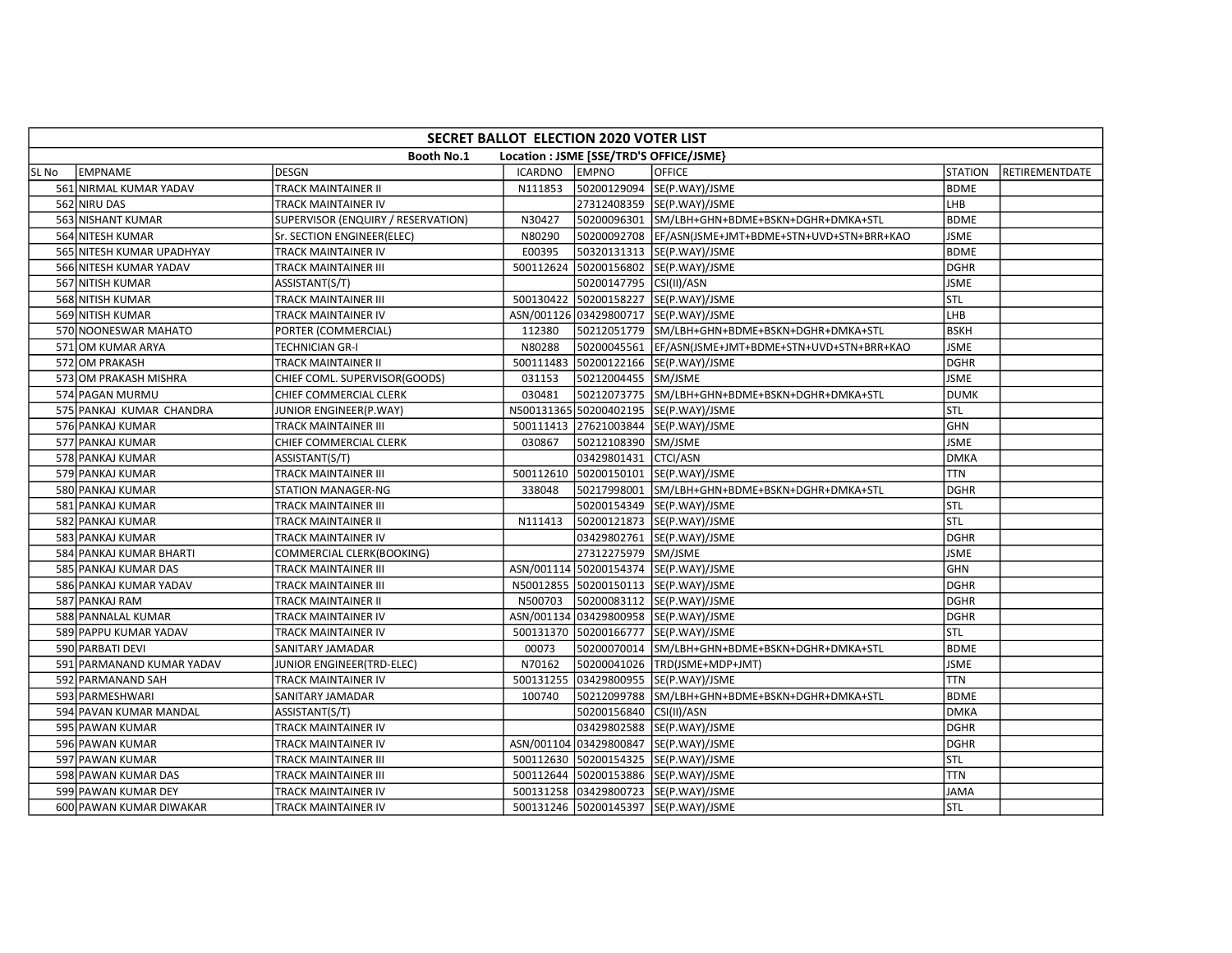|       | SECRET BALLOT ELECTION 2020 VOTER LIST |                                    |                |                                         |                                                       |                |                |  |  |  |
|-------|----------------------------------------|------------------------------------|----------------|-----------------------------------------|-------------------------------------------------------|----------------|----------------|--|--|--|
|       |                                        | <b>Booth No.1</b>                  |                | Location : JSME [SSE/TRD'S OFFICE/JSME} |                                                       |                |                |  |  |  |
| SL No | <b>LEMPNAME</b>                        | <b>DESGN</b>                       | <b>ICARDNO</b> | <b>EMPNO</b>                            | <b>OFFICE</b>                                         | <b>STATION</b> | RETIREMENTDATE |  |  |  |
|       | 561 NIRMAL KUMAR YADAV                 | TRACK MAINTAINER II                | N111853        |                                         | 50200129094 SE(P.WAY)/JSME                            | <b>BDME</b>    |                |  |  |  |
|       | 562 NIRU DAS                           | TRACK MAINTAINER IV                |                |                                         | 27312408359 SE(P.WAY)/JSME                            | LHB            |                |  |  |  |
|       | 563 NISHANT KUMAR                      | SUPERVISOR (ENQUIRY / RESERVATION) | N30427         |                                         | 50200096301 SM/LBH+GHN+BDME+BSKN+DGHR+DMKA+STL        | <b>BDME</b>    |                |  |  |  |
|       | 564 NITESH KUMAR                       | Sr. SECTION ENGINEER(ELEC)         | N80290         |                                         | 50200092708  EF/ASN(JSME+JMT+BDME+STN+UVD+STN+BRR+KAO | JSME           |                |  |  |  |
|       | 565 NITESH KUMAR UPADHYAY              | TRACK MAINTAINER IV                | E00395         |                                         | 50320131313  SE(P.WAY)/JSME                           | <b>BDME</b>    |                |  |  |  |
|       | 566 NITESH KUMAR YADAV                 | TRACK MAINTAINER III               | 500112624      |                                         | 50200156802 SE(P.WAY)/JSME                            | <b>DGHR</b>    |                |  |  |  |
|       | 567 NITISH KUMAR                       | ASSISTANT(S/T)                     |                | 50200147795 CSI(II)/ASN                 |                                                       | <b>JSME</b>    |                |  |  |  |
|       | 568 NITISH KUMAR                       | TRACK MAINTAINER III               |                |                                         | 500130422 50200158227 SE(P.WAY)/JSME                  | STL            |                |  |  |  |
|       | 569 NITISH KUMAR                       | TRACK MAINTAINER IV                |                |                                         | ASN/001126 03429800717 SE(P.WAY)/JSME                 | LHB            |                |  |  |  |
|       | 570 NOONESWAR MAHATO                   | PORTER (COMMERCIAL)                | 112380         |                                         | 50212051779 SM/LBH+GHN+BDME+BSKN+DGHR+DMKA+STL        | <b>BSKH</b>    |                |  |  |  |
|       | 571 OM KUMAR ARYA                      | TECHNICIAN GR-I                    | N80288         |                                         | 50200045561 EF/ASN(JSME+JMT+BDME+STN+UVD+STN+BRR+KAO  | <b>JSME</b>    |                |  |  |  |
|       | 572 OM PRAKASH                         | <b>TRACK MAINTAINER II</b>         |                |                                         | 500111483 50200122166 SE(P.WAY)/JSME                  | <b>DGHR</b>    |                |  |  |  |
|       | 573 OM PRAKASH MISHRA                  | CHIEF COML. SUPERVISOR(GOODS)      | 031153         | 50212004455 SM/JSME                     |                                                       | <b>JSME</b>    |                |  |  |  |
|       | 574 PAGAN MURMU                        | CHIEF COMMERCIAL CLERK             | 030481         |                                         | 50212073775 SM/LBH+GHN+BDME+BSKN+DGHR+DMKA+STL        | <b>DUMK</b>    |                |  |  |  |
|       | 575 PANKAJ KUMAR CHANDRA               | JUNIOR ENGINEER(P.WAY)             |                |                                         | N500131365 50200402195 SE(P.WAY)/JSME                 | stl            |                |  |  |  |
|       | 576 PANKAJ KUMAR                       | TRACK MAINTAINER III               |                |                                         | 500111413 27621003844 SE(P.WAY)/JSME                  | <b>GHN</b>     |                |  |  |  |
|       | 577 PANKAJ KUMAR                       | CHIEF COMMERCIAL CLERK             | 030867         | 50212108390 SM/JSME                     |                                                       | <b>JSME</b>    |                |  |  |  |
|       | 578 PANKAJ KUMAR                       | ASSISTANT(S/T)                     |                | 03429801431 CTCI/ASN                    |                                                       | <b>DMKA</b>    |                |  |  |  |
|       | 579 PANKAJ KUMAR                       | TRACK MAINTAINER III               |                |                                         | 500112610 50200150101 SE(P.WAY)/JSME                  | <b>TTN</b>     |                |  |  |  |
|       | 580 PANKAJ KUMAR                       | <b>STATION MANAGER-NG</b>          | 338048         |                                         | 50217998001 SM/LBH+GHN+BDME+BSKN+DGHR+DMKA+STL        | <b>DGHR</b>    |                |  |  |  |
|       | 581 PANKAJ KUMAR                       | TRACK MAINTAINER III               |                |                                         | 50200154349 SE(P.WAY)/JSME                            | STL            |                |  |  |  |
|       | 582 PANKAJ KUMAR                       | TRACK MAINTAINER II                | N111413        |                                         | 50200121873 SE(P.WAY)/JSME                            | Istl           |                |  |  |  |
|       | 583 PANKAJ KUMAR                       | TRACK MAINTAINER IV                |                |                                         | 03429802761 SE(P.WAY)/JSME                            | DGHR           |                |  |  |  |
|       | 584 PANKAJ KUMAR BHARTI                | <b>COMMERCIAL CLERK(BOOKING)</b>   |                | 27312275979 SM/JSME                     |                                                       | <b>JSME</b>    |                |  |  |  |
|       | 585 PANKAJ KUMAR DAS                   | TRACK MAINTAINER III               |                |                                         | ASN/001114 50200154374 SE(P.WAY)/JSME                 | <b>GHN</b>     |                |  |  |  |
|       | 586 PANKAJ KUMAR YADAV                 | TRACK MAINTAINER III               |                |                                         | N50012855 50200150113 SE(P.WAY)/JSME                  | <b>DGHR</b>    |                |  |  |  |
|       | 587 PANKAJ RAM                         | TRACK MAINTAINER II                | N500703        |                                         | 50200083112 SE(P.WAY)/JSME                            | <b>DGHR</b>    |                |  |  |  |
|       | 588 PANNALAL KUMAR                     | TRACK MAINTAINER IV                |                |                                         | ASN/001134 03429800958 SE(P.WAY)/JSME                 | <b>DGHR</b>    |                |  |  |  |
|       | 589 PAPPU KUMAR YADAV                  | TRACK MAINTAINER IV                |                |                                         | 500131370 50200166777 SE(P.WAY)/JSME                  | <b>STL</b>     |                |  |  |  |
|       | 590 PARBATI DEVI                       | SANITARY JAMADAR                   | 00073          |                                         | 50200070014 SM/LBH+GHN+BDME+BSKN+DGHR+DMKA+STL        | <b>BDME</b>    |                |  |  |  |
|       | 591 PARMANAND KUMAR YADAV              | JUNIOR ENGINEER(TRD-ELEC)          | N70162         |                                         | 50200041026  TRD(JSME+MDP+JMT)                        | <b>JSME</b>    |                |  |  |  |
|       | 592 PARMANAND SAH                      | TRACK MAINTAINER IV                |                |                                         | 500131255 03429800955 SE(P.WAY)/JSME                  | <b>TTN</b>     |                |  |  |  |
|       | 593 PARMESHWARI                        | SANITARY JAMADAR                   | 100740         |                                         | 50212099788 SM/LBH+GHN+BDME+BSKN+DGHR+DMKA+STL        | <b>BDME</b>    |                |  |  |  |
|       | 594 PAVAN KUMAR MANDAL                 | ASSISTANT(S/T)                     |                | 50200156840 CSI(II)/ASN                 |                                                       | <b>DMKA</b>    |                |  |  |  |
|       | 595 PAWAN KUMAR                        | TRACK MAINTAINER IV                |                |                                         | 03429802588  SE(P.WAY)/JSME                           | <b>DGHR</b>    |                |  |  |  |
|       | 596 PAWAN KUMAR                        | TRACK MAINTAINER IV                |                |                                         | ASN/001104 03429800847 SE(P.WAY)/JSME                 | <b>DGHR</b>    |                |  |  |  |
|       | 597 PAWAN KUMAR                        | TRACK MAINTAINER III               |                |                                         | 500112630 50200154325 SE(P.WAY)/JSME                  | STL            |                |  |  |  |
|       | 598 PAWAN KUMAR DAS                    | TRACK MAINTAINER III               |                |                                         | 500112644 50200153886 SE(P.WAY)/JSME                  | <b>TTN</b>     |                |  |  |  |
|       | 599 PAWAN KUMAR DEY                    | TRACK MAINTAINER IV                |                |                                         | 500131258 03429800723 SE(P.WAY)/JSME                  | <b>JAMA</b>    |                |  |  |  |
|       | 600 PAWAN KUMAR DIWAKAR                | TRACK MAINTAINER IV                |                |                                         | 500131246 50200145397 SE(P.WAY)/JSME                  | <b>STL</b>     |                |  |  |  |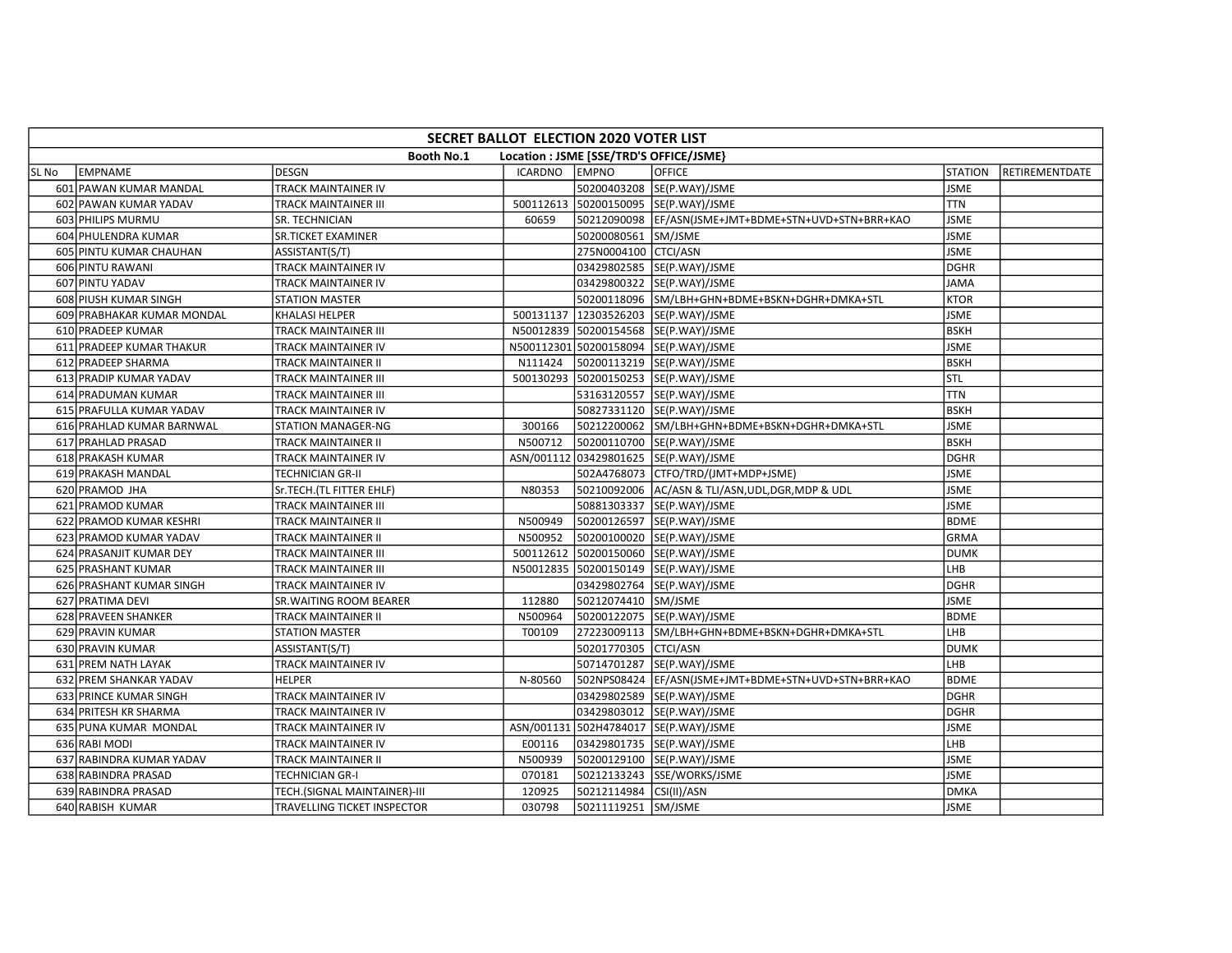|       | SECRET BALLOT ELECTION 2020 VOTER LIST                       |                              |                |                         |                                                       |                |                |  |  |  |
|-------|--------------------------------------------------------------|------------------------------|----------------|-------------------------|-------------------------------------------------------|----------------|----------------|--|--|--|
|       | <b>Booth No.1</b><br>Location : JSME [SSE/TRD'S OFFICE/JSME} |                              |                |                         |                                                       |                |                |  |  |  |
| SL No | EMPNAME                                                      | <b>DESGN</b>                 | <b>ICARDNO</b> | <b>EMPNO</b>            | <b>OFFICE</b>                                         | <b>STATION</b> | RETIREMENTDATE |  |  |  |
|       | 601 PAWAN KUMAR MANDAL                                       | TRACK MAINTAINER IV          |                |                         | 50200403208 SE(P.WAY)/JSME                            | <b>JSME</b>    |                |  |  |  |
|       | 602 PAWAN KUMAR YADAV                                        | TRACK MAINTAINER III         | 500112613      |                         | 50200150095 SE(P.WAY)/JSME                            | <b>TTN</b>     |                |  |  |  |
|       | 603 PHILIPS MURMU                                            | SR. TECHNICIAN               | 60659          |                         | 50212090098  EF/ASN(JSME+JMT+BDME+STN+UVD+STN+BRR+KAO | <b>JSME</b>    |                |  |  |  |
|       | 604 PHULENDRA KUMAR                                          | <b>SR.TICKET EXAMINER</b>    |                | 50200080561 SM/JSME     |                                                       | <b>JSME</b>    |                |  |  |  |
|       | 605 PINTU KUMAR CHAUHAN                                      | ASSISTANT(S/T)               |                | 275N0004100 CTCI/ASN    |                                                       | <b>JSME</b>    |                |  |  |  |
|       | 606 PINTU RAWANI                                             | TRACK MAINTAINER IV          |                |                         | 03429802585 SE(P.WAY)/JSME                            | <b>DGHR</b>    |                |  |  |  |
|       | 607 PINTU YADAV                                              | TRACK MAINTAINER IV          |                |                         | 03429800322 SE(P.WAY)/JSME                            | <b>JAMA</b>    |                |  |  |  |
|       | 608 PIUSH KUMAR SINGH                                        | <b>STATION MASTER</b>        |                |                         | 50200118096 SM/LBH+GHN+BDME+BSKN+DGHR+DMKA+STL        | <b>KTOR</b>    |                |  |  |  |
|       | 609 PRABHAKAR KUMAR MONDAL                                   | KHALASI HELPER               | 500131137      |                         | 12303526203  SE(P.WAY)/JSME                           | <b>JSME</b>    |                |  |  |  |
|       | 610 PRADEEP KUMAR                                            | TRACK MAINTAINER III         |                |                         | N50012839 50200154568 SE(P.WAY)/JSME                  | <b>BSKH</b>    |                |  |  |  |
|       | 611 PRADEEP KUMAR THAKUR                                     | TRACK MAINTAINER IV          |                |                         | N500112301 50200158094 SE(P.WAY)/JSME                 | <b>JSME</b>    |                |  |  |  |
|       | 612 PRADEEP SHARMA                                           | TRACK MAINTAINER II          | N111424        |                         | 50200113219 SE(P.WAY)/JSME                            | <b>BSKH</b>    |                |  |  |  |
|       | 613 PRADIP KUMAR YADAV                                       | TRACK MAINTAINER III         | 500130293      |                         | 50200150253 SE(P.WAY)/JSME                            | stl            |                |  |  |  |
|       | 614 PRADUMAN KUMAR                                           | TRACK MAINTAINER III         |                |                         | 53163120557 SE(P.WAY)/JSME                            | <b>TTN</b>     |                |  |  |  |
|       | 615 PRAFULLA KUMAR YADAV                                     | TRACK MAINTAINER IV          |                |                         | 50827331120 SE(P.WAY)/JSME                            | <b>BSKH</b>    |                |  |  |  |
|       | 616 PRAHLAD KUMAR BARNWAL                                    | STATION MANAGER-NG           | 300166         |                         | 50212200062 SM/LBH+GHN+BDME+BSKN+DGHR+DMKA+STL        | <b>JSME</b>    |                |  |  |  |
|       | 617 PRAHLAD PRASAD                                           | TRACK MAINTAINER II          | N500712        |                         | 50200110700 SE(P.WAY)/JSME                            | <b>BSKH</b>    |                |  |  |  |
|       | 618 PRAKASH KUMAR                                            | TRACK MAINTAINER IV          |                |                         | ASN/001112 03429801625 SE(P.WAY)/JSME                 | <b>DGHR</b>    |                |  |  |  |
|       | 619 PRAKASH MANDAL                                           | TECHNICIAN GR-II             |                |                         | 502A4768073 CTFO/TRD/(JMT+MDP+JSME)                   | <b>JSME</b>    |                |  |  |  |
|       | 620 PRAMOD JHA                                               | Sr.TECH.(TL FITTER EHLF)     | N80353         |                         | 50210092006 AC/ASN & TLI/ASN, UDL, DGR, MDP & UDL     | <b>JSME</b>    |                |  |  |  |
|       | 621 PRAMOD KUMAR                                             | TRACK MAINTAINER III         |                |                         | 50881303337 SE(P.WAY)/JSME                            | <b>JSME</b>    |                |  |  |  |
|       | 622 PRAMOD KUMAR KESHRI                                      | TRACK MAINTAINER II          | N500949        |                         | 50200126597  SE(P.WAY)/JSME                           | <b>BDME</b>    |                |  |  |  |
|       | 623 PRAMOD KUMAR YADAV                                       | TRACK MAINTAINER II          | N500952        |                         | 50200100020 SE(P.WAY)/JSME                            | <b>GRMA</b>    |                |  |  |  |
|       | 624 PRASANJIT KUMAR DEY                                      | TRACK MAINTAINER III         | 500112612      |                         | 50200150060 SE(P.WAY)/JSME                            | <b>DUMK</b>    |                |  |  |  |
|       | 625 PRASHANT KUMAR                                           | TRACK MAINTAINER III         | N50012835      |                         | 50200150149 SE(P.WAY)/JSME                            | LHB            |                |  |  |  |
|       | 626 PRASHANT KUMAR SINGH                                     | TRACK MAINTAINER IV          |                |                         | 03429802764 SE(P.WAY)/JSME                            | <b>DGHR</b>    |                |  |  |  |
|       | 627 PRATIMA DEVI                                             | SR. WAITING ROOM BEARER      | 112880         | 50212074410 SM/JSME     |                                                       | <b>JSME</b>    |                |  |  |  |
|       | 628 PRAVEEN SHANKER                                          | TRACK MAINTAINER II          | N500964        |                         | 50200122075  SE(P.WAY)/JSME                           | <b>BDME</b>    |                |  |  |  |
|       | 629 PRAVIN KUMAR                                             | <b>STATION MASTER</b>        | T00109         |                         | 27223009113 SM/LBH+GHN+BDME+BSKN+DGHR+DMKA+STL        | LHB            |                |  |  |  |
|       | 630 PRAVIN KUMAR                                             | ASSISTANT(S/T)               |                | 50201770305 CTCI/ASN    |                                                       | <b>DUMK</b>    |                |  |  |  |
|       | 631 PREM NATH LAYAK                                          | TRACK MAINTAINER IV          |                |                         | 50714701287 SE(P.WAY)/JSME                            | LHB            |                |  |  |  |
|       | 632 PREM SHANKAR YADAV                                       | <b>HELPER</b>                | N-80560        |                         | 502NPS08424  EF/ASN(JSME+JMT+BDME+STN+UVD+STN+BRR+KAO | <b>BDME</b>    |                |  |  |  |
|       | 633 PRINCE KUMAR SINGH                                       | TRACK MAINTAINER IV          |                |                         | 03429802589 SE(P.WAY)/JSME                            | <b>DGHR</b>    |                |  |  |  |
|       | 634 PRITESH KR SHARMA                                        | TRACK MAINTAINER IV          |                |                         | 03429803012  SE(P.WAY)/JSME                           | <b>DGHR</b>    |                |  |  |  |
|       | 635 PUNA KUMAR MONDAL                                        | TRACK MAINTAINER IV          |                |                         | ASN/001131 502H4784017 SE(P.WAY)/JSME                 | <b>JSME</b>    |                |  |  |  |
|       | 636 RABI MODI                                                | TRACK MAINTAINER IV          | E00116         |                         | 03429801735 SE(P.WAY)/JSME                            | LHB            |                |  |  |  |
|       | 637 RABINDRA KUMAR YADAV                                     | TRACK MAINTAINER II          | N500939        |                         | 50200129100 SE(P.WAY)/JSME                            | <b>JSME</b>    |                |  |  |  |
|       | 638 RABINDRA PRASAD                                          | TECHNICIAN GR-I              | 070181         |                         | 50212133243 SSE/WORKS/JSME                            | <b>JSME</b>    |                |  |  |  |
|       | 639 RABINDRA PRASAD                                          | TECH.(SIGNAL MAINTAINER)-III | 120925         | 50212114984 CSI(II)/ASN |                                                       | <b>DMKA</b>    |                |  |  |  |
|       | 640 RABISH KUMAR                                             | TRAVELLING TICKET INSPECTOR  | 030798         | 50211119251 SM/JSME     |                                                       | <b>JSME</b>    |                |  |  |  |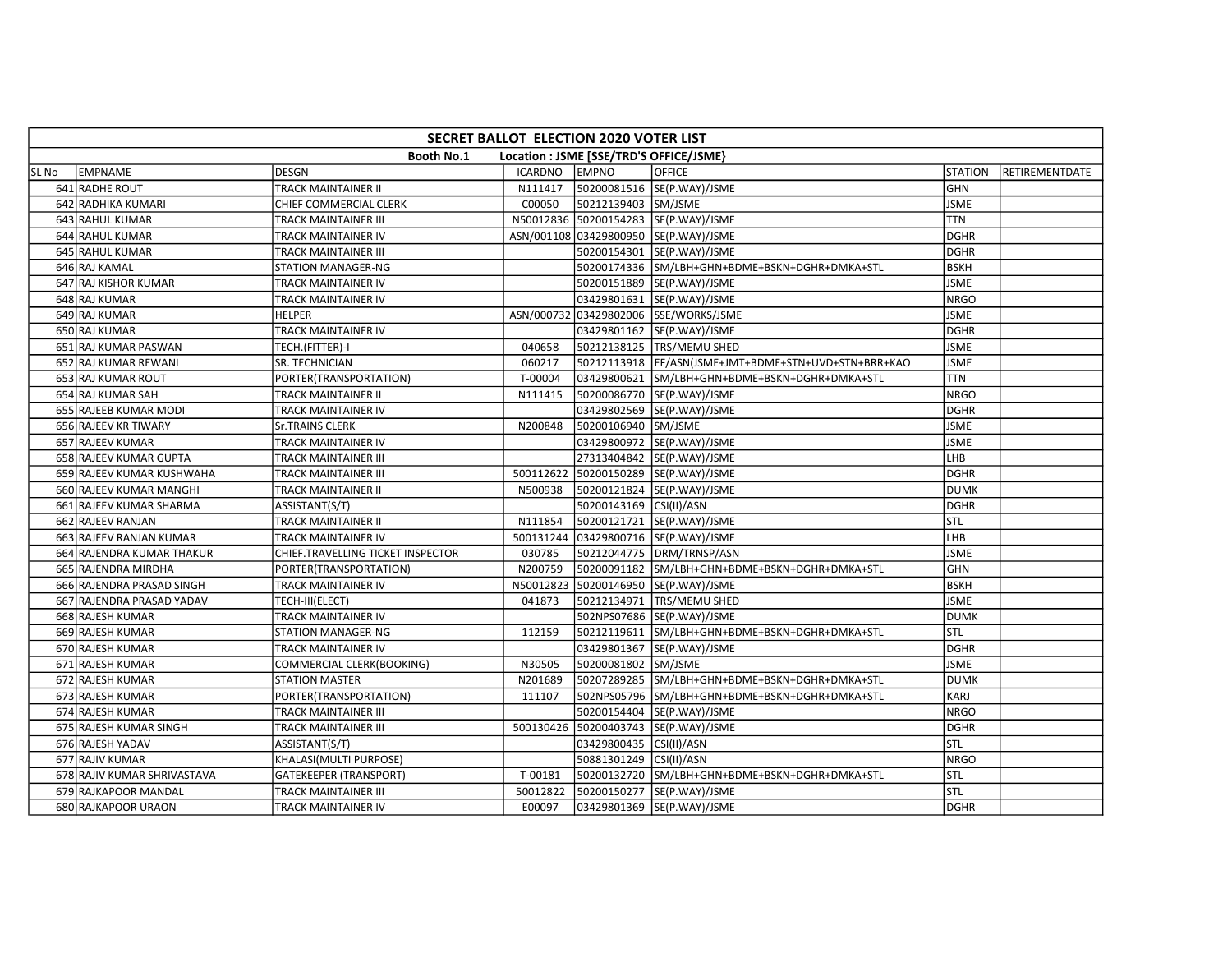|       | SECRET BALLOT ELECTION 2020 VOTER LIST                       |                                   |                |                         |                                                       |                |                |  |  |  |  |
|-------|--------------------------------------------------------------|-----------------------------------|----------------|-------------------------|-------------------------------------------------------|----------------|----------------|--|--|--|--|
|       | <b>Booth No.1</b><br>Location : JSME [SSE/TRD'S OFFICE/JSME} |                                   |                |                         |                                                       |                |                |  |  |  |  |
| SL No | EMPNAME                                                      | <b>DESGN</b>                      | <b>ICARDNO</b> | <b>EMPNO</b>            | <b>OFFICE</b>                                         | <b>STATION</b> | RETIREMENTDATE |  |  |  |  |
|       | 641 RADHE ROUT                                               | TRACK MAINTAINER II               | N111417        |                         | 50200081516 SE(P.WAY)/JSME                            | GHN            |                |  |  |  |  |
|       | 642 RADHIKA KUMARI                                           | CHIEF COMMERCIAL CLERK            | C00050         | 50212139403 SM/JSME     |                                                       | <b>JSME</b>    |                |  |  |  |  |
|       | 643 RAHUL KUMAR                                              | TRACK MAINTAINER III              |                |                         | N50012836 50200154283 SE(P.WAY)/JSME                  | <b>TTN</b>     |                |  |  |  |  |
|       | 644 RAHUL KUMAR                                              | TRACK MAINTAINER IV               |                |                         | ASN/001108 03429800950 SE(P.WAY)/JSME                 | DGHR           |                |  |  |  |  |
|       | 645 RAHUL KUMAR                                              | TRACK MAINTAINER III              |                |                         | 50200154301 SE(P.WAY)/JSME                            | <b>DGHR</b>    |                |  |  |  |  |
|       | 646 RAJ KAMAL                                                | <b>STATION MANAGER-NG</b>         |                |                         | 50200174336 SM/LBH+GHN+BDME+BSKN+DGHR+DMKA+STL        | <b>BSKH</b>    |                |  |  |  |  |
|       | 647 RAJ KISHOR KUMAR                                         | TRACK MAINTAINER IV               |                |                         | 50200151889 SE(P.WAY)/JSME                            | <b>JSME</b>    |                |  |  |  |  |
|       | 648 RAJ KUMAR                                                | TRACK MAINTAINER IV               |                |                         | 03429801631  SE(P.WAY)/JSME                           | <b>NRGO</b>    |                |  |  |  |  |
|       | 649 RAJ KUMAR                                                | <b>HELPER</b>                     |                |                         | ASN/000732 03429802006 SSE/WORKS/JSME                 | <b>JSME</b>    |                |  |  |  |  |
|       | 650 RAJ KUMAR                                                | TRACK MAINTAINER IV               |                |                         | 03429801162 SE(P.WAY)/JSME                            | <b>DGHR</b>    |                |  |  |  |  |
|       | 651 RAJ KUMAR PASWAN                                         | TECH.(FITTER)-I                   | 040658         |                         | 50212138125   TRS/MEMU SHED                           | <b>JSME</b>    |                |  |  |  |  |
|       | 652 RAJ KUMAR REWANI                                         | SR. TECHNICIAN                    | 060217         |                         | 50212113918  EF/ASN(JSME+JMT+BDME+STN+UVD+STN+BRR+KAO | <b>JSME</b>    |                |  |  |  |  |
|       | 653 RAJ KUMAR ROUT                                           | PORTER(TRANSPORTATION)            | T-00004        |                         | 03429800621 SM/LBH+GHN+BDME+BSKN+DGHR+DMKA+STL        | <b>TTN</b>     |                |  |  |  |  |
|       | 654 RAJ KUMAR SAH                                            | TRACK MAINTAINER II               | N111415        |                         | 50200086770 SE(P.WAY)/JSME                            | <b>NRGO</b>    |                |  |  |  |  |
|       | 655 RAJEEB KUMAR MODI                                        | TRACK MAINTAINER IV               |                |                         | 03429802569 SE(P.WAY)/JSME                            | DGHR           |                |  |  |  |  |
|       | 656 RAJEEV KR TIWARY                                         | <b>Sr.TRAINS CLERK</b>            | N200848        | 50200106940 SM/JSME     |                                                       | <b>JSME</b>    |                |  |  |  |  |
|       | 657 RAJEEV KUMAR                                             | TRACK MAINTAINER IV               |                |                         | 03429800972 SE(P.WAY)/JSME                            | <b>JSME</b>    |                |  |  |  |  |
|       | 658 RAJEEV KUMAR GUPTA                                       | TRACK MAINTAINER III              |                |                         | 27313404842 SE(P.WAY)/JSME                            | LHB            |                |  |  |  |  |
|       | 659 RAJEEV KUMAR KUSHWAHA                                    | TRACK MAINTAINER III              |                |                         | 500112622 50200150289 SE(P.WAY)/JSME                  | <b>DGHR</b>    |                |  |  |  |  |
|       | 660 RAJEEV KUMAR MANGHI                                      | TRACK MAINTAINER II               | N500938        |                         | 50200121824 SE(P.WAY)/JSME                            | <b>DUMK</b>    |                |  |  |  |  |
|       | 661 RAJEEV KUMAR SHARMA                                      | ASSISTANT(S/T)                    |                | 50200143169 CSI(II)/ASN |                                                       | <b>DGHR</b>    |                |  |  |  |  |
|       | 662 RAJEEV RANJAN                                            | TRACK MAINTAINER II               | N111854        |                         | 50200121721  SE(P.WAY)/JSME                           | STL            |                |  |  |  |  |
|       | 663 RAJEEV RANJAN KUMAR                                      | <b>TRACK MAINTAINER IV</b>        |                |                         | 500131244 03429800716 SE(P.WAY)/JSME                  | LHB            |                |  |  |  |  |
|       | 664 RAJENDRA KUMAR THAKUR                                    | CHIEF.TRAVELLING TICKET INSPECTOR | 030785         |                         | 50212044775 DRM/TRNSP/ASN                             | <b>JSME</b>    |                |  |  |  |  |
|       | 665 RAJENDRA MIRDHA                                          | PORTER(TRANSPORTATION)            | N200759        |                         | 50200091182 SM/LBH+GHN+BDME+BSKN+DGHR+DMKA+STL        | <b>GHN</b>     |                |  |  |  |  |
|       | 666 RAJENDRA PRASAD SINGH                                    | TRACK MAINTAINER IV               |                |                         | N50012823 50200146950 SE(P.WAY)/JSME                  | <b>BSKH</b>    |                |  |  |  |  |
|       | 667 RAJENDRA PRASAD YADAV                                    | TECH-III(ELECT)                   | 041873         |                         | 50212134971   TRS/MEMU SHED                           | <b>JSME</b>    |                |  |  |  |  |
|       | 668 RAJESH KUMAR                                             | TRACK MAINTAINER IV               |                |                         | 502NPS07686 SE(P.WAY)/JSME                            | <b>DUMK</b>    |                |  |  |  |  |
|       | 669 RAJESH KUMAR                                             | STATION MANAGER-NG                | 112159         |                         | 50212119611 SM/LBH+GHN+BDME+BSKN+DGHR+DMKA+STL        | STL            |                |  |  |  |  |
|       | 670 RAJESH KUMAR                                             | TRACK MAINTAINER IV               |                |                         | 03429801367 SE(P.WAY)/JSME                            | <b>DGHR</b>    |                |  |  |  |  |
|       | 671 RAJESH KUMAR                                             | COMMERCIAL CLERK(BOOKING)         | N30505         | 50200081802 SM/JSME     |                                                       | <b>JSME</b>    |                |  |  |  |  |
|       | 672 RAJESH KUMAR                                             | <b>STATION MASTER</b>             | N201689        |                         | 50207289285 SM/LBH+GHN+BDME+BSKN+DGHR+DMKA+STL        | <b>DUMK</b>    |                |  |  |  |  |
|       | 673 RAJESH KUMAR                                             | PORTER(TRANSPORTATION)            | 111107         |                         | 502NPS05796 SM/LBH+GHN+BDME+BSKN+DGHR+DMKA+STL        | <b>KARJ</b>    |                |  |  |  |  |
|       | 674 RAJESH KUMAR                                             | TRACK MAINTAINER III              |                |                         | 50200154404 SE(P.WAY)/JSME                            | <b>NRGO</b>    |                |  |  |  |  |
|       | 675 RAJESH KUMAR SINGH                                       | TRACK MAINTAINER III              | 500130426      |                         | 50200403743 SE(P.WAY)/JSME                            | <b>DGHR</b>    |                |  |  |  |  |
|       | 676 RAJESH YADAV                                             | ASSISTANT(S/T)                    |                | 03429800435 CSI(II)/ASN |                                                       | STL            |                |  |  |  |  |
|       | 677 RAJIV KUMAR                                              | KHALASI(MULTI PURPOSE)            |                | 50881301249 CSI(II)/ASN |                                                       | <b>NRGO</b>    |                |  |  |  |  |
|       | 678 RAJIV KUMAR SHRIVASTAVA                                  | <b>GATEKEEPER (TRANSPORT)</b>     | T-00181        |                         | 50200132720 SM/LBH+GHN+BDME+BSKN+DGHR+DMKA+STL        | stl            |                |  |  |  |  |
|       | 679 RAJKAPOOR MANDAL                                         | TRACK MAINTAINER III              | 50012822       |                         | 50200150277 SE(P.WAY)/JSME                            | STL            |                |  |  |  |  |
|       | 680 RAJKAPOOR URAON                                          | TRACK MAINTAINER IV               | E00097         |                         | 03429801369 SE(P.WAY)/JSME                            | <b>DGHR</b>    |                |  |  |  |  |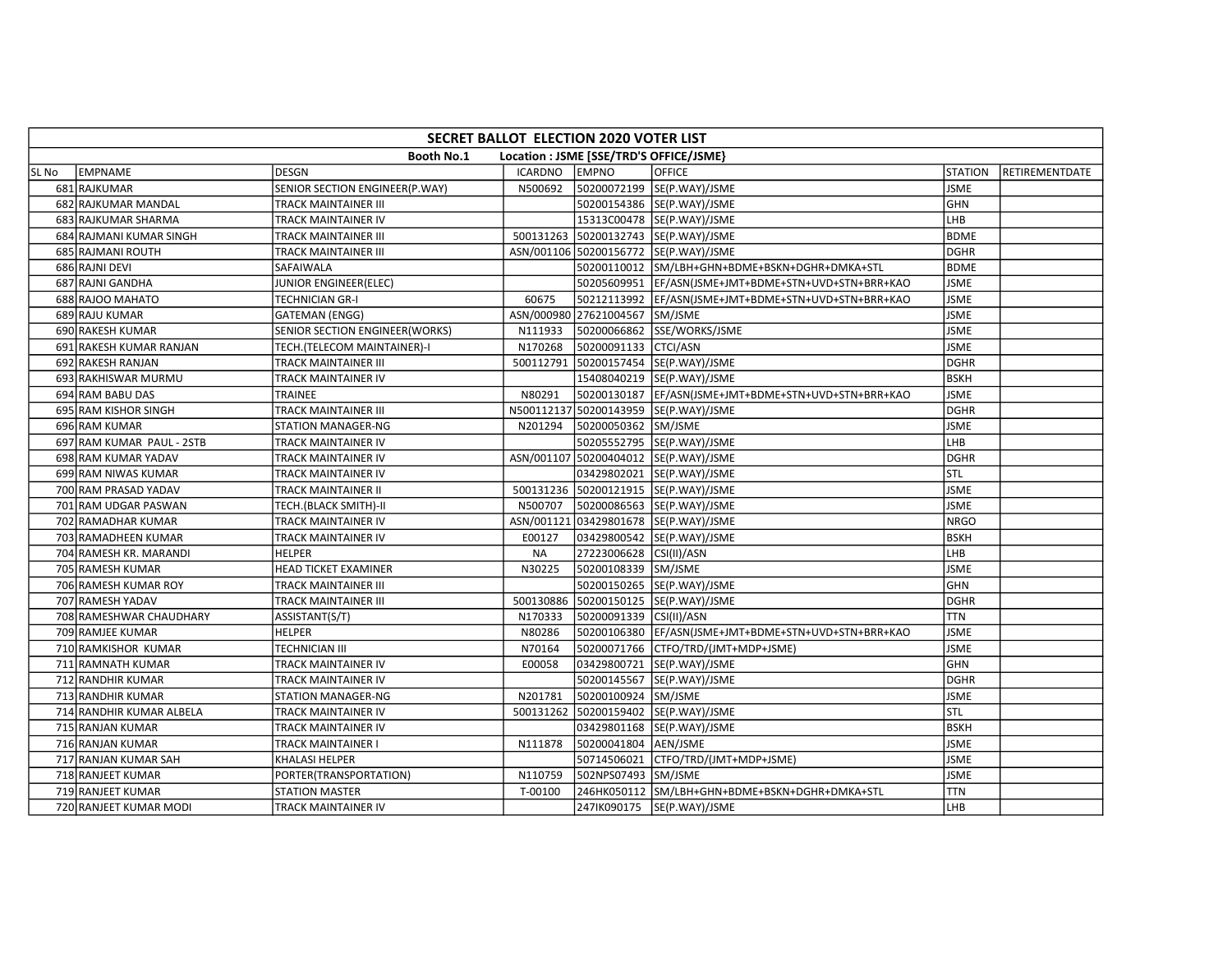|       | SECRET BALLOT ELECTION 2020 VOTER LIST                       |                                |           |                                |                                                       |                |                |  |  |  |  |
|-------|--------------------------------------------------------------|--------------------------------|-----------|--------------------------------|-------------------------------------------------------|----------------|----------------|--|--|--|--|
|       | <b>Booth No.1</b><br>Location : JSME [SSE/TRD'S OFFICE/JSME} |                                |           |                                |                                                       |                |                |  |  |  |  |
| SL No | <b>EMPNAME</b>                                               | <b>DESGN</b>                   | ICARDNO   | <b>EMPNO</b>                   | <b>OFFICE</b>                                         | <b>STATION</b> | RETIREMENTDATE |  |  |  |  |
|       | 681 RAJKUMAR                                                 | SENIOR SECTION ENGINEER(P.WAY) | N500692   |                                | 50200072199 SE(P.WAY)/JSME                            | <b>JSME</b>    |                |  |  |  |  |
|       | 682 RAJKUMAR MANDAL                                          | <b>TRACK MAINTAINER III</b>    |           |                                | 50200154386 SE(P.WAY)/JSME                            | <b>GHN</b>     |                |  |  |  |  |
|       | 683 RAJKUMAR SHARMA                                          | TRACK MAINTAINER IV            |           |                                | 15313C00478 SE(P.WAY)/JSME                            | LHB            |                |  |  |  |  |
|       | 684 RAJMANI KUMAR SINGH                                      | TRACK MAINTAINER III           |           |                                | 500131263 50200132743 SE(P.WAY)/JSME                  | <b>BDME</b>    |                |  |  |  |  |
|       | 685 RAJMANI ROUTH                                            | <b>TRACK MAINTAINER III</b>    |           |                                | ASN/001106 50200156772 SE(P.WAY)/JSME                 | <b>DGHR</b>    |                |  |  |  |  |
|       | 686 RAJNI DEVI                                               | SAFAIWALA                      |           |                                | 50200110012 SM/LBH+GHN+BDME+BSKN+DGHR+DMKA+STL        | <b>BDME</b>    |                |  |  |  |  |
|       | 687 RAJNI GANDHA                                             | JUNIOR ENGINEER(ELEC)          |           |                                | 50205609951  EF/ASN(JSME+JMT+BDME+STN+UVD+STN+BRR+KAO | <b>JSME</b>    |                |  |  |  |  |
|       | 688 RAJOO MAHATO                                             | <b>TECHNICIAN GR-I</b>         | 60675     |                                | 50212113992  EF/ASN(JSME+JMT+BDME+STN+UVD+STN+BRR+KAO | <b>JSME</b>    |                |  |  |  |  |
|       | 689 RAJU KUMAR                                               | <b>GATEMAN (ENGG)</b>          |           | ASN/000980 27621004567 SM/JSME |                                                       | <b>JSME</b>    |                |  |  |  |  |
|       | 690 RAKESH KUMAR                                             | SENIOR SECTION ENGINEER(WORKS) | N111933   |                                | 50200066862 SSE/WORKS/JSME                            | <b>JSME</b>    |                |  |  |  |  |
|       | 691 RAKESH KUMAR RANJAN                                      | TECH.(TELECOM MAINTAINER)-I    | N170268   | 50200091133 CTCI/ASN           |                                                       | <b>JSME</b>    |                |  |  |  |  |
|       | 692 RAKESH RANJAN                                            | <b>TRACK MAINTAINER III</b>    |           |                                | 500112791 50200157454 SE(P.WAY)/JSME                  | <b>DGHR</b>    |                |  |  |  |  |
|       | 693 RAKHISWAR MURMU                                          | TRACK MAINTAINER IV            |           |                                | 15408040219 SE(P.WAY)/JSME                            | <b>BSKH</b>    |                |  |  |  |  |
|       | 694 RAM BABU DAS                                             | TRAINEE                        | N80291    |                                | 50200130187 EF/ASN(JSME+JMT+BDME+STN+UVD+STN+BRR+KAO  | <b>JSME</b>    |                |  |  |  |  |
|       | 695 RAM KISHOR SINGH                                         | <b>TRACK MAINTAINER III</b>    |           |                                | N500112137 50200143959 SE(P.WAY)/JSME                 | <b>DGHR</b>    |                |  |  |  |  |
|       | 696 RAM KUMAR                                                | <b>STATION MANAGER-NG</b>      | N201294   | 50200050362 SM/JSME            |                                                       | <b>JSME</b>    |                |  |  |  |  |
|       | 697 RAM KUMAR PAUL - 2STB                                    | <b>TRACK MAINTAINER IV</b>     |           |                                | 50205552795 SE(P.WAY)/JSME                            | LHB            |                |  |  |  |  |
|       | 698 RAM KUMAR YADAV                                          | TRACK MAINTAINER IV            |           |                                | ASN/001107 50200404012 SE(P.WAY)/JSME                 | <b>DGHR</b>    |                |  |  |  |  |
|       | 699 RAM NIWAS KUMAR                                          | <b>TRACK MAINTAINER IV</b>     |           |                                | 03429802021 SE(P.WAY)/JSME                            | stl            |                |  |  |  |  |
|       | 700 RAM PRASAD YADAV                                         | TRACK MAINTAINER II            |           |                                | 500131236 50200121915 SE(P.WAY)/JSME                  | <b>JSME</b>    |                |  |  |  |  |
|       | 701 RAM UDGAR PASWAN                                         | TECH.(BLACK SMITH)-II          | N500707   |                                | 50200086563 SE(P.WAY)/JSME                            | <b>JSME</b>    |                |  |  |  |  |
|       | 702 RAMADHAR KUMAR                                           | <b>TRACK MAINTAINER IV</b>     |           |                                | ASN/001121 03429801678 SE(P.WAY)/JSME                 | NRGO           |                |  |  |  |  |
|       | 703 RAMADHEEN KUMAR                                          | TRACK MAINTAINER IV            | E00127    |                                | 03429800542 SE(P.WAY)/JSME                            | <b>BSKH</b>    |                |  |  |  |  |
|       | 704 RAMESH KR. MARANDI                                       | <b>HELPER</b>                  | <b>NA</b> | 27223006628 CSI(II)/ASN        |                                                       | LHB            |                |  |  |  |  |
|       | 705 RAMESH KUMAR                                             | <b>HEAD TICKET EXAMINER</b>    | N30225    | 50200108339 SM/JSME            |                                                       | <b>JSME</b>    |                |  |  |  |  |
|       | 706 RAMESH KUMAR ROY                                         | <b>TRACK MAINTAINER III</b>    |           |                                | 50200150265 SE(P.WAY)/JSME                            | GHN            |                |  |  |  |  |
|       | 707 RAMESH YADAV                                             | <b>TRACK MAINTAINER III</b>    |           |                                | 500130886 50200150125 SE(P.WAY)/JSME                  | <b>DGHR</b>    |                |  |  |  |  |
|       | 708 RAMESHWAR CHAUDHARY                                      | ASSISTANT(S/T)                 | N170333   | 50200091339 CSI(II)/ASN        |                                                       | <b>TTN</b>     |                |  |  |  |  |
|       | 709 RAMJEE KUMAR                                             | <b>HELPER</b>                  | N80286    |                                | 50200106380 EF/ASN(JSME+JMT+BDME+STN+UVD+STN+BRR+KAO  | <b>JSME</b>    |                |  |  |  |  |
|       | 710 RAMKISHOR KUMAR                                          | <b>TECHNICIAN III</b>          | N70164    |                                | 50200071766 CTFO/TRD/(JMT+MDP+JSME)                   | <b>JSME</b>    |                |  |  |  |  |
|       | 711 RAMNATH KUMAR                                            | TRACK MAINTAINER IV            | E00058    |                                | 03429800721 SE(P.WAY)/JSME                            | <b>GHN</b>     |                |  |  |  |  |
|       | 712 RANDHIR KUMAR                                            | TRACK MAINTAINER IV            |           |                                | 50200145567 SE(P.WAY)/JSME                            | <b>DGHR</b>    |                |  |  |  |  |
|       | 713 RANDHIR KUMAR                                            | <b>STATION MANAGER-NG</b>      | N201781   | 50200100924 SM/JSME            |                                                       | <b>JSME</b>    |                |  |  |  |  |
|       | 714 RANDHIR KUMAR ALBELA                                     | TRACK MAINTAINER IV            |           |                                | 500131262 50200159402 SE(P.WAY)/JSME                  | <b>STL</b>     |                |  |  |  |  |
|       | 715 RANJAN KUMAR                                             | <b>TRACK MAINTAINER IV</b>     |           |                                | 03429801168  SE(P.WAY)/JSME                           | <b>BSKH</b>    |                |  |  |  |  |
|       | 716 RANJAN KUMAR                                             | <b>TRACK MAINTAINER I</b>      | N111878   | 50200041804 AEN/JSME           |                                                       | <b>JSME</b>    |                |  |  |  |  |
|       | 717 RANJAN KUMAR SAH                                         | KHALASI HELPER                 |           |                                | 50714506021 CTFO/TRD/(JMT+MDP+JSME)                   | <b>JSME</b>    |                |  |  |  |  |
|       | 718 RANJEET KUMAR                                            | PORTER(TRANSPORTATION)         | N110759   | 502NPS07493 SM/JSME            |                                                       | <b>JSME</b>    |                |  |  |  |  |
|       | 719 RANJEET KUMAR                                            | <b>STATION MASTER</b>          | T-00100   |                                | 246HK050112 SM/LBH+GHN+BDME+BSKN+DGHR+DMKA+STL        | <b>TTN</b>     |                |  |  |  |  |
|       | 720 RANJEET KUMAR MODI                                       | TRACK MAINTAINER IV            |           |                                | 247IK090175  SE(P.WAY)/JSME                           | LHB            |                |  |  |  |  |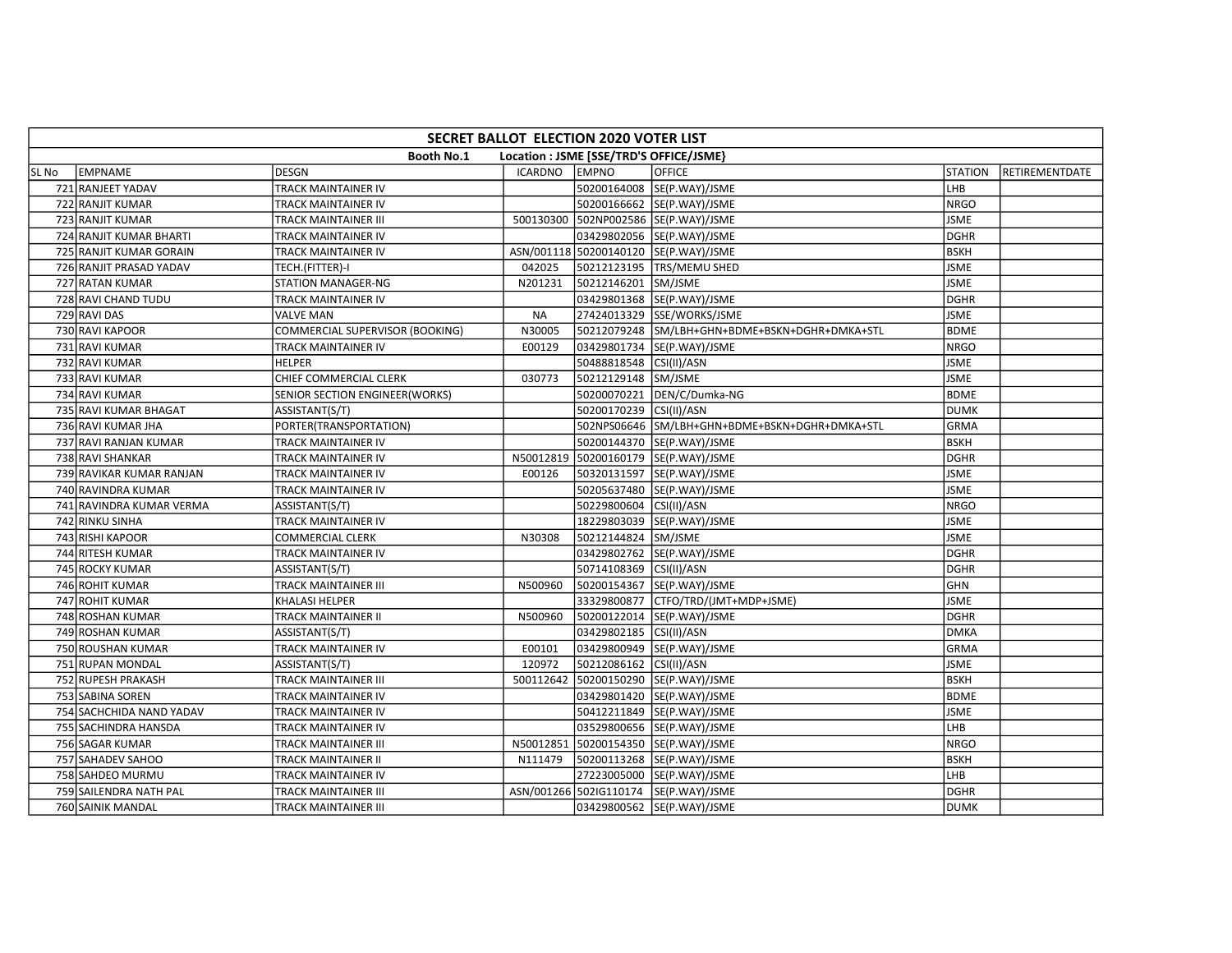|       | SECRET BALLOT ELECTION 2020 VOTER LIST                       |                                 |                |                         |                                                |                |                |  |  |  |  |
|-------|--------------------------------------------------------------|---------------------------------|----------------|-------------------------|------------------------------------------------|----------------|----------------|--|--|--|--|
|       | Location : JSME [SSE/TRD'S OFFICE/JSME}<br><b>Booth No.1</b> |                                 |                |                         |                                                |                |                |  |  |  |  |
| SL No | EMPNAME                                                      | <b>DESGN</b>                    | <b>ICARDNO</b> | <b>EMPNO</b>            | OFFICE                                         | <b>STATION</b> | RETIREMENTDATE |  |  |  |  |
|       | 721 RANJEET YADAV                                            | TRACK MAINTAINER IV             |                |                         | 50200164008 SE(P.WAY)/JSME                     | LHB            |                |  |  |  |  |
|       | 722 RANJIT KUMAR                                             | TRACK MAINTAINER IV             |                |                         | 50200166662 SE(P.WAY)/JSME                     | <b>NRGO</b>    |                |  |  |  |  |
|       | 723 RANJIT KUMAR                                             | <b>TRACK MAINTAINER III</b>     |                |                         | 500130300 502NP002586 SE(P.WAY)/JSME           | <b>JSME</b>    |                |  |  |  |  |
|       | 724 RANJIT KUMAR BHARTI                                      | TRACK MAINTAINER IV             |                |                         | 03429802056 SE(P.WAY)/JSME                     | <b>DGHR</b>    |                |  |  |  |  |
|       | 725 RANJIT KUMAR GORAIN                                      | <b>TRACK MAINTAINER IV</b>      |                |                         | ASN/001118 50200140120 SE(P.WAY)/JSME          | BSKH           |                |  |  |  |  |
|       | 726 RANJIT PRASAD YADAV                                      | TECH.(FITTER)-I                 | 042025         |                         | 50212123195 TRS/MEMU SHED                      | <b>JSME</b>    |                |  |  |  |  |
|       | 727 RATAN KUMAR                                              | <b>STATION MANAGER-NG</b>       | N201231        | 50212146201 SM/JSME     |                                                | <b>JSME</b>    |                |  |  |  |  |
|       | 728 RAVI CHAND TUDU                                          | TRACK MAINTAINER IV             |                |                         | 03429801368 SE(P.WAY)/JSME                     | DGHR           |                |  |  |  |  |
|       | 729 RAVI DAS                                                 | <b>VALVE MAN</b>                | <b>NA</b>      |                         | 27424013329 SSE/WORKS/JSME                     | <b>JSME</b>    |                |  |  |  |  |
|       | 730 RAVI KAPOOR                                              | COMMERCIAL SUPERVISOR (BOOKING) | N30005         |                         | 50212079248 SM/LBH+GHN+BDME+BSKN+DGHR+DMKA+STL | <b>BDME</b>    |                |  |  |  |  |
|       | 731 RAVI KUMAR                                               | TRACK MAINTAINER IV             | E00129         |                         | 03429801734 SE(P.WAY)/JSME                     | <b>NRGO</b>    |                |  |  |  |  |
|       | 732 RAVI KUMAR                                               | <b>HELPER</b>                   |                | 50488818548 CSI(II)/ASN |                                                | <b>JSME</b>    |                |  |  |  |  |
|       | 733 RAVI KUMAR                                               | CHIEF COMMERCIAL CLERK          | 030773         | 50212129148 SM/JSME     |                                                | <b>JSME</b>    |                |  |  |  |  |
|       | 734 RAVI KUMAR                                               | SENIOR SECTION ENGINEER(WORKS)  |                |                         | 50200070221 DEN/C/Dumka-NG                     | <b>BDME</b>    |                |  |  |  |  |
|       | 735 RAVI KUMAR BHAGAT                                        | ASSISTANT(S/T)                  |                | 50200170239 CSI(II)/ASN |                                                | <b>DUMK</b>    |                |  |  |  |  |
|       | 736 RAVI KUMAR JHA                                           | PORTER(TRANSPORTATION)          |                |                         | 502NPS06646 SM/LBH+GHN+BDME+BSKN+DGHR+DMKA+STL | <b>GRMA</b>    |                |  |  |  |  |
|       | 737 RAVI RANJAN KUMAR                                        | TRACK MAINTAINER IV             |                |                         | 50200144370 SE(P.WAY)/JSME                     | <b>BSKH</b>    |                |  |  |  |  |
|       | 738 RAVI SHANKAR                                             | TRACK MAINTAINER IV             |                |                         | N50012819 50200160179 SE(P.WAY)/JSME           | <b>DGHR</b>    |                |  |  |  |  |
|       | 739 RAVIKAR KUMAR RANJAN                                     | <b>TRACK MAINTAINER IV</b>      | E00126         |                         | 50320131597  SE(P.WAY)/JSME                    | <b>JSME</b>    |                |  |  |  |  |
|       | 740 RAVINDRA KUMAR                                           | TRACK MAINTAINER IV             |                |                         | 50205637480 SE(P.WAY)/JSME                     | <b>JSME</b>    |                |  |  |  |  |
|       | 741 RAVINDRA KUMAR VERMA                                     | ASSISTANT(S/T)                  |                | 50229800604 CSI(II)/ASN |                                                | <b>NRGO</b>    |                |  |  |  |  |
|       | 742 RINKU SINHA                                              | TRACK MAINTAINER IV             |                |                         | 18229803039 SE(P.WAY)/JSME                     | <b>JSME</b>    |                |  |  |  |  |
|       | 743 RISHI KAPOOR                                             | <b>COMMERCIAL CLERK</b>         | N30308         | 50212144824 SM/JSME     |                                                | <b>JSME</b>    |                |  |  |  |  |
|       | 744 RITESH KUMAR                                             | <b>TRACK MAINTAINER IV</b>      |                |                         | 03429802762 SE(P.WAY)/JSME                     | <b>DGHR</b>    |                |  |  |  |  |
|       | 745 ROCKY KUMAR                                              | ASSISTANT(S/T)                  |                | 50714108369 CSI(II)/ASN |                                                | <b>DGHR</b>    |                |  |  |  |  |
|       | 746 ROHIT KUMAR                                              | TRACK MAINTAINER III            | N500960        |                         | 50200154367 SE(P.WAY)/JSME                     | <b>GHN</b>     |                |  |  |  |  |
|       | 747 ROHIT KUMAR                                              | KHALASI HELPER                  |                |                         | 33329800877 CTFO/TRD/(JMT+MDP+JSME)            | <b>JSME</b>    |                |  |  |  |  |
|       | 748 ROSHAN KUMAR                                             | <b>TRACK MAINTAINER II</b>      | N500960        |                         | 50200122014  SE(P.WAY)/JSME                    | <b>DGHR</b>    |                |  |  |  |  |
|       | 749 ROSHAN KUMAR                                             | ASSISTANT(S/T)                  |                | 03429802185 CSI(II)/ASN |                                                | <b>DMKA</b>    |                |  |  |  |  |
|       | 750 ROUSHAN KUMAR                                            | <b>TRACK MAINTAINER IV</b>      | E00101         |                         | 03429800949 SE(P.WAY)/JSME                     | <b>GRMA</b>    |                |  |  |  |  |
|       | 751 RUPAN MONDAL                                             | ASSISTANT(S/T)                  | 120972         | 50212086162 CSI(II)/ASN |                                                | <b>JSME</b>    |                |  |  |  |  |
|       | 752 RUPESH PRAKASH                                           | TRACK MAINTAINER III            |                |                         | 500112642 50200150290 SE(P.WAY)/JSME           | <b>BSKH</b>    |                |  |  |  |  |
|       | 753 SABINA SOREN                                             | TRACK MAINTAINER IV             |                |                         | 03429801420 SE(P.WAY)/JSME                     | <b>BDME</b>    |                |  |  |  |  |
|       | 754 SACHCHIDA NAND YADAV                                     | TRACK MAINTAINER IV             |                |                         | 50412211849 SE(P.WAY)/JSME                     | <b>JSME</b>    |                |  |  |  |  |
|       | 755 SACHINDRA HANSDA                                         | <b>TRACK MAINTAINER IV</b>      |                |                         | 03529800656 SE(P.WAY)/JSME                     | <b>LHB</b>     |                |  |  |  |  |
|       | 756 SAGAR KUMAR                                              | <b>TRACK MAINTAINER III</b>     | N50012851      |                         | 50200154350 SE(P.WAY)/JSME                     | <b>NRGO</b>    |                |  |  |  |  |
|       | 757 SAHADEV SAHOO                                            | <b>TRACK MAINTAINER II</b>      | N111479        |                         | 50200113268 SE(P.WAY)/JSME                     | <b>BSKH</b>    |                |  |  |  |  |
|       | 758 SAHDEO MURMU                                             | <b>TRACK MAINTAINER IV</b>      |                |                         | 27223005000 SE(P.WAY)/JSME                     | LHB            |                |  |  |  |  |
|       | 759 SAILENDRA NATH PAL                                       | <b>TRACK MAINTAINER III</b>     |                |                         | ASN/001266 502IG110174 SE(P.WAY)/JSME          | <b>DGHR</b>    |                |  |  |  |  |
|       | 760 SAINIK MANDAL                                            | TRACK MAINTAINER III            |                |                         | 03429800562 SE(P.WAY)/JSME                     | <b>DUMK</b>    |                |  |  |  |  |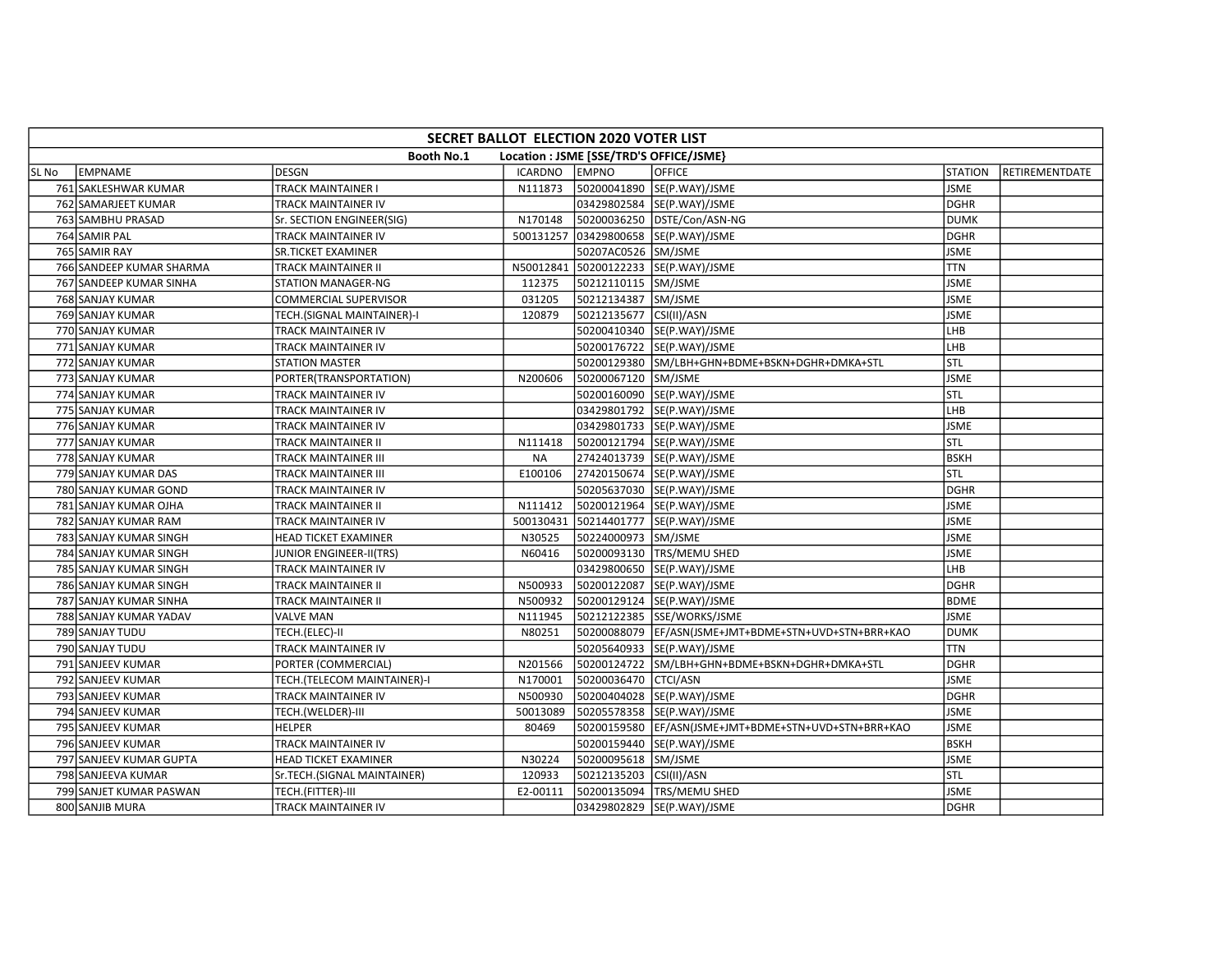|       | SECRET BALLOT ELECTION 2020 VOTER LIST                |                                |                |                         |                                                      |                |                |  |  |  |  |
|-------|-------------------------------------------------------|--------------------------------|----------------|-------------------------|------------------------------------------------------|----------------|----------------|--|--|--|--|
|       | Booth No.1<br>Location : JSME [SSE/TRD'S OFFICE/JSME} |                                |                |                         |                                                      |                |                |  |  |  |  |
| SL No | EMPNAME                                               | <b>DESGN</b>                   | <b>ICARDNO</b> | <b>EMPNO</b>            | <b>OFFICE</b>                                        | <b>STATION</b> | RETIREMENTDATE |  |  |  |  |
|       | 761 SAKLESHWAR KUMAR                                  | <b>TRACK MAINTAINER I</b>      | N111873        |                         | 50200041890 SE(P.WAY)/JSME                           | <b>JSME</b>    |                |  |  |  |  |
|       | 762 SAMARJEET KUMAR                                   | TRACK MAINTAINER IV            |                |                         | 03429802584 SE(P.WAY)/JSME                           | <b>DGHR</b>    |                |  |  |  |  |
|       | 763 SAMBHU PRASAD                                     | Sr. SECTION ENGINEER(SIG)      | N170148        |                         | 50200036250 DSTE/Con/ASN-NG                          | <b>DUMK</b>    |                |  |  |  |  |
|       | 764 SAMIR PAL                                         | TRACK MAINTAINER IV            |                |                         | 500131257 03429800658 SE(P.WAY)/JSME                 | <b>DGHR</b>    |                |  |  |  |  |
|       | 765 SAMIR RAY                                         | <b>SR.TICKET EXAMINER</b>      |                | 50207AC0526 SM/JSME     |                                                      | <b>JSME</b>    |                |  |  |  |  |
|       | 766 SANDEEP KUMAR SHARMA                              | <b>TRACK MAINTAINER II</b>     | N50012841      |                         | 50200122233 SE(P.WAY)/JSME                           | <b>TTN</b>     |                |  |  |  |  |
|       | 767 SANDEEP KUMAR SINHA                               | <b>STATION MANAGER-NG</b>      | 112375         | 50212110115 SM/JSME     |                                                      | <b>JSME</b>    |                |  |  |  |  |
|       | 768 SANJAY KUMAR                                      | COMMERCIAL SUPERVISOR          | 031205         | 50212134387 SM/JSME     |                                                      | <b>JSME</b>    |                |  |  |  |  |
|       | 769 SANJAY KUMAR                                      | TECH.(SIGNAL MAINTAINER)-I     | 120879         | 50212135677 CSI(II)/ASN |                                                      | <b>JSME</b>    |                |  |  |  |  |
|       | 770 SANJAY KUMAR                                      | TRACK MAINTAINER IV            |                |                         | 50200410340 SE(P.WAY)/JSME                           | LHB            |                |  |  |  |  |
|       | 771 SANJAY KUMAR                                      | TRACK MAINTAINER IV            |                |                         | 50200176722 SE(P.WAY)/JSME                           | LHB            |                |  |  |  |  |
|       | 772 SANJAY KUMAR                                      | <b>STATION MASTER</b>          |                |                         | 50200129380 SM/LBH+GHN+BDME+BSKN+DGHR+DMKA+STL       | Istl           |                |  |  |  |  |
|       | 773 SANJAY KUMAR                                      | PORTER(TRANSPORTATION)         | N200606        | 50200067120 SM/JSME     |                                                      | <b>JSME</b>    |                |  |  |  |  |
|       | 774 SANJAY KUMAR                                      | TRACK MAINTAINER IV            |                |                         | 50200160090 SE(P.WAY)/JSME                           | stl            |                |  |  |  |  |
|       | 775 SANJAY KUMAR                                      | <b>TRACK MAINTAINER IV</b>     |                |                         | 03429801792 SE(P.WAY)/JSME                           | LHB            |                |  |  |  |  |
|       | 776 SANJAY KUMAR                                      | TRACK MAINTAINER IV            |                |                         | 03429801733 SE(P.WAY)/JSME                           | <b>JSME</b>    |                |  |  |  |  |
|       | 777 SANJAY KUMAR                                      | <b>TRACK MAINTAINER II</b>     | N111418        |                         | 50200121794 SE(P.WAY)/JSME                           | STL            |                |  |  |  |  |
|       | 778 SANJAY KUMAR                                      | <b>TRACK MAINTAINER III</b>    | <b>NA</b>      |                         | 27424013739 SE(P.WAY)/JSME                           | <b>BSKH</b>    |                |  |  |  |  |
|       | 779 SANJAY KUMAR DAS                                  | TRACK MAINTAINER III           | E100106        |                         | 27420150674 SE(P.WAY)/JSME                           | STL            |                |  |  |  |  |
|       | 780 SANJAY KUMAR GOND                                 | TRACK MAINTAINER IV            |                |                         | 50205637030 SE(P.WAY)/JSME                           | <b>DGHR</b>    |                |  |  |  |  |
|       | 781 SANJAY KUMAR OJHA                                 | <b>TRACK MAINTAINER II</b>     | N111412        |                         | 50200121964 SE(P.WAY)/JSME                           | <b>JSME</b>    |                |  |  |  |  |
|       | 782 SANJAY KUMAR RAM                                  | TRACK MAINTAINER IV            |                |                         | 500130431 50214401777 SE(P.WAY)/JSME                 | <b>JSME</b>    |                |  |  |  |  |
|       | 783 SANJAY KUMAR SINGH                                | <b>HEAD TICKET EXAMINER</b>    | N30525         | 50224000973 SM/JSME     |                                                      | <b>JSME</b>    |                |  |  |  |  |
|       | 784 SANJAY KUMAR SINGH                                | <b>JUNIOR ENGINEER-II(TRS)</b> | N60416         |                         | 50200093130   TRS/MEMU SHED                          | <b>JSME</b>    |                |  |  |  |  |
|       | 785 SANJAY KUMAR SINGH                                | TRACK MAINTAINER IV            |                |                         | 03429800650 SE(P.WAY)/JSME                           | LHB            |                |  |  |  |  |
|       | 786 SANJAY KUMAR SINGH                                | <b>TRACK MAINTAINER II</b>     | N500933        |                         | 50200122087  SE(P.WAY)/JSME                          | <b>DGHR</b>    |                |  |  |  |  |
|       | 787 SANJAY KUMAR SINHA                                | TRACK MAINTAINER II            | N500932        |                         | 50200129124 SE(P.WAY)/JSME                           | <b>BDME</b>    |                |  |  |  |  |
|       | 788 SANJAY KUMAR YADAV                                | <b>VALVE MAN</b>               | N111945        |                         | 50212122385 SSE/WORKS/JSME                           | <b>JSME</b>    |                |  |  |  |  |
|       | 789 SANJAY TUDU                                       | TECH.(ELEC)-II                 | N80251         |                         | 50200088079 EF/ASN(JSME+JMT+BDME+STN+UVD+STN+BRR+KAO | <b>DUMK</b>    |                |  |  |  |  |
|       | 790 SANJAY TUDU                                       | <b>TRACK MAINTAINER IV</b>     |                |                         | 50205640933 SE(P.WAY)/JSME                           | <b>TTN</b>     |                |  |  |  |  |
|       | 791 SANJEEV KUMAR                                     | PORTER (COMMERCIAL)            | N201566        |                         | 50200124722 SM/LBH+GHN+BDME+BSKN+DGHR+DMKA+STL       | <b>DGHR</b>    |                |  |  |  |  |
|       | 792 SANJEEV KUMAR                                     | TECH.(TELECOM MAINTAINER)-I    | N170001        | 50200036470 CTCI/ASN    |                                                      | <b>JSME</b>    |                |  |  |  |  |
|       | 793 SANJEEV KUMAR                                     | TRACK MAINTAINER IV            | N500930        |                         | 50200404028 SE(P.WAY)/JSME                           | <b>DGHR</b>    |                |  |  |  |  |
|       | 794 SANJEEV KUMAR                                     | TECH.(WELDER)-III              | 50013089       |                         | 50205578358 SE(P.WAY)/JSME                           | <b>JSME</b>    |                |  |  |  |  |
|       | 795 SANJEEV KUMAR                                     | <b>HELPER</b>                  | 80469          |                         | 50200159580 EF/ASN(JSME+JMT+BDME+STN+UVD+STN+BRR+KAO | <b>JSME</b>    |                |  |  |  |  |
|       | 796 SANJEEV KUMAR                                     | TRACK MAINTAINER IV            |                |                         | 50200159440 SE(P.WAY)/JSME                           | <b>BSKH</b>    |                |  |  |  |  |
|       | 797 SANJEEV KUMAR GUPTA                               | HEAD TICKET EXAMINER           | N30224         | 50200095618 SM/JSME     |                                                      | <b>JSME</b>    |                |  |  |  |  |
|       | 798 SANJEEVA KUMAR                                    | Sr.TECH.(SIGNAL MAINTAINER)    | 120933         | 50212135203 CSI(II)/ASN |                                                      | <b>STL</b>     |                |  |  |  |  |
|       | 799 SANJET KUMAR PASWAN                               | TECH.(FITTER)-III              | E2-00111       |                         | 50200135094 TRS/MEMU SHED                            | <b>JSME</b>    |                |  |  |  |  |
|       | 800 SANJIB MURA                                       | TRACK MAINTAINER IV            |                |                         | 03429802829 SE(P.WAY)/JSME                           | DGHR           |                |  |  |  |  |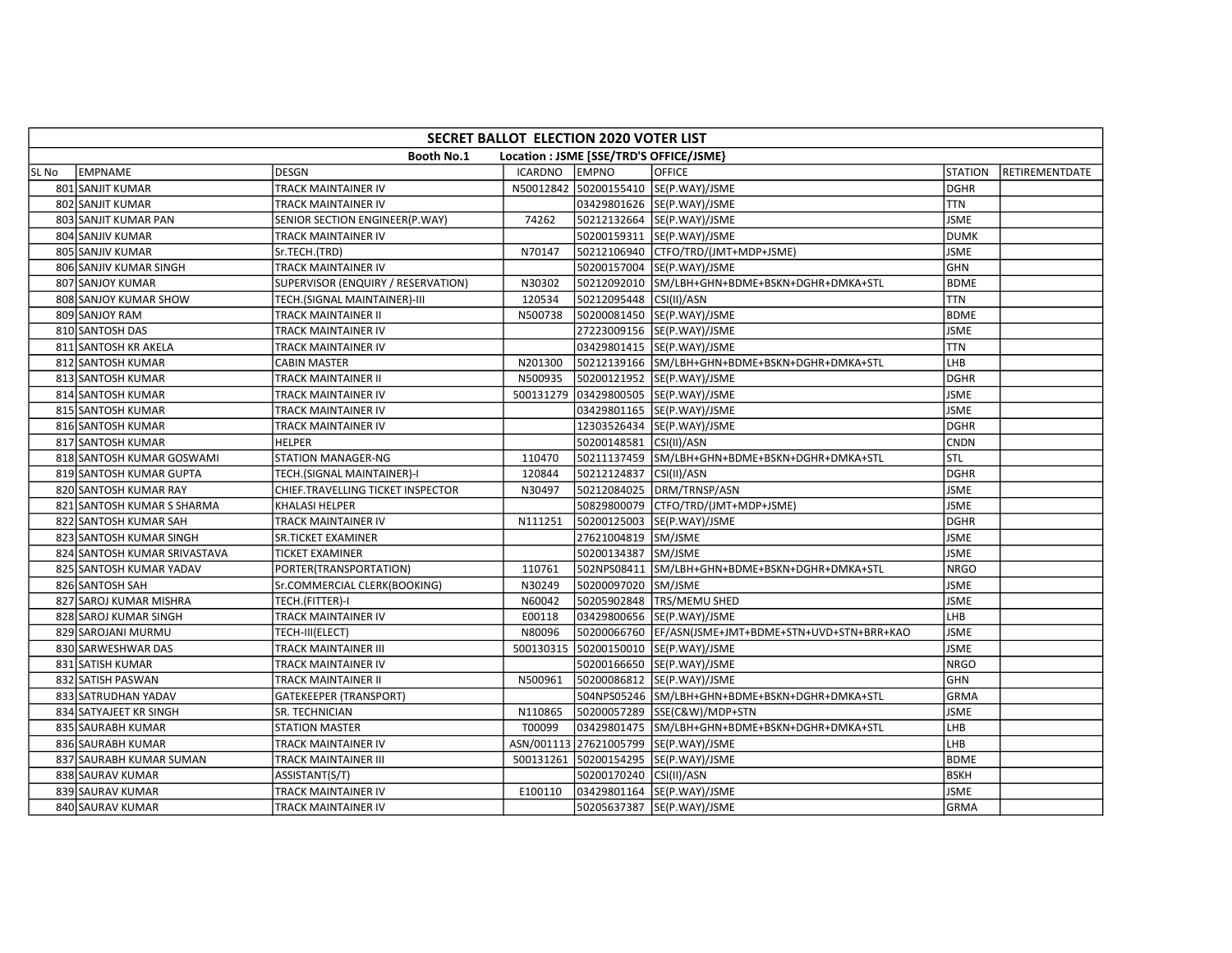|       | SECRET BALLOT ELECTION 2020 VOTER LIST                |                                    |                |                         |                                                      |                |                |  |  |  |  |
|-------|-------------------------------------------------------|------------------------------------|----------------|-------------------------|------------------------------------------------------|----------------|----------------|--|--|--|--|
|       | Booth No.1<br>Location : JSME [SSE/TRD'S OFFICE/JSME} |                                    |                |                         |                                                      |                |                |  |  |  |  |
| SL No | EMPNAME                                               | <b>DESGN</b>                       | <b>ICARDNO</b> | <b>EMPNO</b>            | OFFICE                                               | <b>STATION</b> | RETIREMENTDATE |  |  |  |  |
|       | 801 SANJIT KUMAR                                      | <b>TRACK MAINTAINER IV</b>         |                |                         | N50012842 50200155410 SE(P.WAY)/JSME                 | <b>DGHR</b>    |                |  |  |  |  |
|       | 802 SANJIT KUMAR                                      | TRACK MAINTAINER IV                |                |                         | 03429801626 SE(P.WAY)/JSME                           | <b>TTN</b>     |                |  |  |  |  |
|       | 803 SANJIT KUMAR PAN                                  | SENIOR SECTION ENGINEER(P.WAY)     | 74262          |                         | 50212132664 SE(P.WAY)/JSME                           | <b>JSME</b>    |                |  |  |  |  |
|       | 804 SANJIV KUMAR                                      | TRACK MAINTAINER IV                |                |                         | 50200159311 SE(P.WAY)/JSME                           | <b>DUMK</b>    |                |  |  |  |  |
|       | 805 SANJIV KUMAR                                      | Sr.TECH.(TRD)                      | N70147         |                         | 50212106940 CTFO/TRD/(JMT+MDP+JSME)                  | <b>JSME</b>    |                |  |  |  |  |
|       | 806 SANJIV KUMAR SINGH                                | TRACK MAINTAINER IV                |                |                         | 50200157004 SE(P.WAY)/JSME                           | <b>GHN</b>     |                |  |  |  |  |
|       | 807 SANJOY KUMAR                                      | SUPERVISOR (ENQUIRY / RESERVATION) | N30302         |                         | 50212092010 SM/LBH+GHN+BDME+BSKN+DGHR+DMKA+STL       | <b>BDME</b>    |                |  |  |  |  |
|       | 808 SANJOY KUMAR SHOW                                 | TECH.(SIGNAL MAINTAINER)-III       | 120534         | 50212095448 CSI(II)/ASN |                                                      | <b>TTN</b>     |                |  |  |  |  |
|       | 809 SANJOY RAM                                        | <b>TRACK MAINTAINER II</b>         | N500738        |                         | 50200081450 SE(P.WAY)/JSME                           | <b>BDME</b>    |                |  |  |  |  |
|       | 810 SANTOSH DAS                                       | TRACK MAINTAINER IV                |                |                         | 27223009156 SE(P.WAY)/JSME                           | <b>JSME</b>    |                |  |  |  |  |
|       | 811 SANTOSH KR AKELA                                  | TRACK MAINTAINER IV                |                |                         | 03429801415  SE(P.WAY)/JSME                          | <b>TTN</b>     |                |  |  |  |  |
|       | 812 SANTOSH KUMAR                                     | <b>CABIN MASTER</b>                | N201300        |                         | 50212139166 SM/LBH+GHN+BDME+BSKN+DGHR+DMKA+STL       | LHB            |                |  |  |  |  |
|       | 813 SANTOSH KUMAR                                     | TRACK MAINTAINER II                | N500935        |                         | 50200121952 SE(P.WAY)/JSME                           | <b>DGHR</b>    |                |  |  |  |  |
|       | 814 SANTOSH KUMAR                                     | TRACK MAINTAINER IV                |                |                         | 500131279 03429800505 SE(P.WAY)/JSME                 | <b>JSME</b>    |                |  |  |  |  |
|       | 815 SANTOSH KUMAR                                     | TRACK MAINTAINER IV                |                |                         | 03429801165 SE(P.WAY)/JSME                           | <b>JSME</b>    |                |  |  |  |  |
|       | 816 SANTOSH KUMAR                                     | TRACK MAINTAINER IV                |                |                         | 12303526434 SE(P.WAY)/JSME                           | <b>DGHR</b>    |                |  |  |  |  |
|       | 817 SANTOSH KUMAR                                     | <b>HELPER</b>                      |                | 50200148581 CSI(II)/ASN |                                                      | <b>CNDN</b>    |                |  |  |  |  |
|       | 818 SANTOSH KUMAR GOSWAMI                             | <b>STATION MANAGER-NG</b>          | 110470         |                         | 50211137459 SM/LBH+GHN+BDME+BSKN+DGHR+DMKA+STL       | STL            |                |  |  |  |  |
|       | 819 SANTOSH KUMAR GUPTA                               | TECH.(SIGNAL MAINTAINER)-I         | 120844         | 50212124837 CSI(II)/ASN |                                                      | <b>DGHR</b>    |                |  |  |  |  |
|       | 820 SANTOSH KUMAR RAY                                 | CHIEF.TRAVELLING TICKET INSPECTOR  | N30497         |                         | 50212084025 DRM/TRNSP/ASN                            | <b>JSME</b>    |                |  |  |  |  |
|       | 821 SANTOSH KUMAR S SHARMA                            | KHALASI HELPER                     |                |                         | 50829800079 CTFO/TRD/(JMT+MDP+JSME)                  | <b>JSME</b>    |                |  |  |  |  |
|       | 822 SANTOSH KUMAR SAH                                 | TRACK MAINTAINER IV                | N111251        |                         | 50200125003 SE(P.WAY)/JSME                           | <b>DGHR</b>    |                |  |  |  |  |
|       | 823 SANTOSH KUMAR SINGH                               | <b>SR.TICKET EXAMINER</b>          |                | 27621004819 SM/JSME     |                                                      | <b>JSME</b>    |                |  |  |  |  |
|       | 824 SANTOSH KUMAR SRIVASTAVA                          | <b>TICKET EXAMINER</b>             |                | 50200134387             | SM/JSME                                              | <b>JSME</b>    |                |  |  |  |  |
|       | 825 SANTOSH KUMAR YADAV                               | PORTER(TRANSPORTATION)             | 110761         |                         | 502NPS08411 SM/LBH+GHN+BDME+BSKN+DGHR+DMKA+STL       | <b>NRGO</b>    |                |  |  |  |  |
|       | 826 SANTOSH SAH                                       | Sr.COMMERCIAL CLERK(BOOKING)       | N30249         | 50200097020 SM/JSME     |                                                      | <b>JSME</b>    |                |  |  |  |  |
|       | 827 SAROJ KUMAR MISHRA                                | TECH.(FITTER)-I                    | N60042         |                         | 50205902848   TRS/MEMU SHED                          | <b>JSME</b>    |                |  |  |  |  |
|       | 828 SAROJ KUMAR SINGH                                 | TRACK MAINTAINER IV                | E00118         |                         | 03429800656 SE(P.WAY)/JSME                           | LHB            |                |  |  |  |  |
|       | 829 SAROJANI MURMU                                    | TECH-III(ELECT)                    | N80096         |                         | 50200066760 EF/ASN(JSME+JMT+BDME+STN+UVD+STN+BRR+KAO | <b>JSME</b>    |                |  |  |  |  |
|       | 830 SARWESHWAR DAS                                    | <b>TRACK MAINTAINER III</b>        | 500130315      |                         | 50200150010  SE(P.WAY)/JSME                          | <b>JSME</b>    |                |  |  |  |  |
|       | 831 SATISH KUMAR                                      | TRACK MAINTAINER IV                |                |                         | 50200166650 SE(P.WAY)/JSME                           | <b>NRGO</b>    |                |  |  |  |  |
|       | 832 SATISH PASWAN                                     | TRACK MAINTAINER II                | N500961        |                         | 50200086812 SE(P.WAY)/JSME                           | <b>GHN</b>     |                |  |  |  |  |
|       | 833 SATRUDHAN YADAV                                   | <b>GATEKEEPER (TRANSPORT)</b>      |                |                         | 504NPS05246 SM/LBH+GHN+BDME+BSKN+DGHR+DMKA+STL       | GRMA           |                |  |  |  |  |
|       | 834 SATYAJEET KR SINGH                                | SR. TECHNICIAN                     | N110865        |                         | 50200057289 SSE(C&W)/MDP+STN                         | <b>JSME</b>    |                |  |  |  |  |
|       | 835 SAURABH KUMAR                                     | <b>STATION MASTER</b>              | T00099         |                         | 03429801475 SM/LBH+GHN+BDME+BSKN+DGHR+DMKA+STL       | LHB            |                |  |  |  |  |
|       | 836 SAURABH KUMAR                                     | TRACK MAINTAINER IV                |                |                         | ASN/001113 27621005799 SE(P.WAY)/JSME                | LHB            |                |  |  |  |  |
|       | 837 SAURABH KUMAR SUMAN                               | TRACK MAINTAINER III               |                |                         | 500131261 50200154295 SE(P.WAY)/JSME                 | <b>BDME</b>    |                |  |  |  |  |
|       | 838 SAURAV KUMAR                                      | ASSISTANT(S/T)                     |                | 50200170240 CSI(II)/ASN |                                                      | <b>BSKH</b>    |                |  |  |  |  |
|       | 839 SAURAV KUMAR                                      | TRACK MAINTAINER IV                | E100110        |                         | 03429801164 SE(P.WAY)/JSME                           | <b>JSME</b>    |                |  |  |  |  |
|       | 840 SAURAV KUMAR                                      | TRACK MAINTAINER IV                |                |                         | 50205637387 SE(P.WAY)/JSME                           | <b>GRMA</b>    |                |  |  |  |  |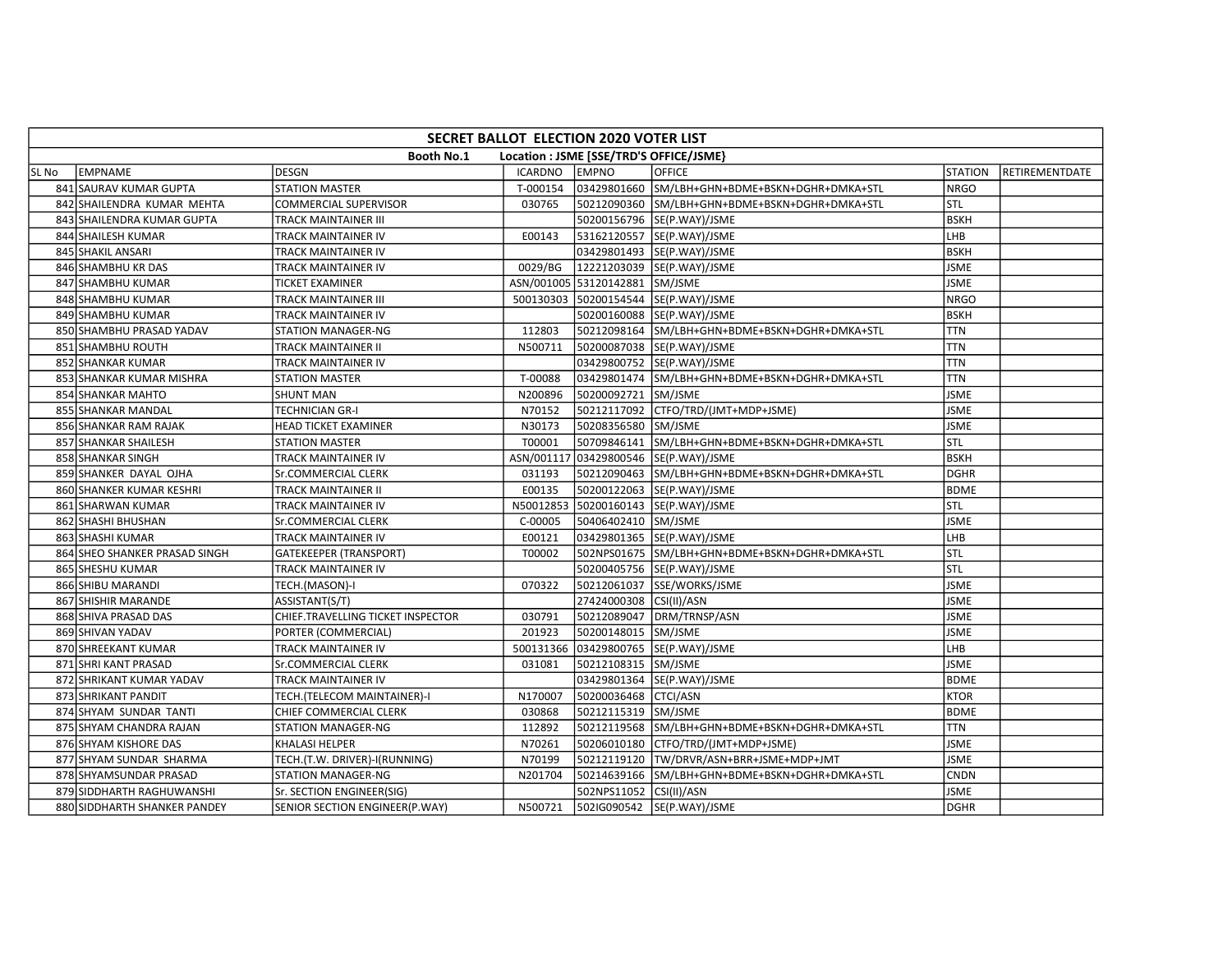|       | SECRET BALLOT ELECTION 2020 VOTER LIST                       |                                   |          |                                |                                                |                |                |  |  |  |
|-------|--------------------------------------------------------------|-----------------------------------|----------|--------------------------------|------------------------------------------------|----------------|----------------|--|--|--|
|       | <b>Booth No.1</b><br>Location : JSME [SSE/TRD'S OFFICE/JSME} |                                   |          |                                |                                                |                |                |  |  |  |
| SL No | EMPNAME                                                      | <b>DESGN</b>                      | ICARDNO  | <b>EMPNO</b>                   | <b>OFFICE</b>                                  | <b>STATION</b> | RETIREMENTDATE |  |  |  |
|       | 841 SAURAV KUMAR GUPTA                                       | <b>STATION MASTER</b>             | T-000154 |                                | 03429801660 SM/LBH+GHN+BDME+BSKN+DGHR+DMKA+STL | <b>NRGO</b>    |                |  |  |  |
|       | 842 SHAILENDRA KUMAR MEHTA                                   | <b>COMMERCIAL SUPERVISOR</b>      | 030765   |                                | 50212090360 SM/LBH+GHN+BDME+BSKN+DGHR+DMKA+STL | <b>STL</b>     |                |  |  |  |
|       | 843 SHAILENDRA KUMAR GUPTA                                   | TRACK MAINTAINER III              |          |                                | 50200156796 SE(P.WAY)/JSME                     | <b>BSKH</b>    |                |  |  |  |
|       | 844 SHAILESH KUMAR                                           | TRACK MAINTAINER IV               | E00143   |                                | 53162120557 SE(P.WAY)/JSME                     | LHB            |                |  |  |  |
|       | 845 SHAKIL ANSARI                                            | TRACK MAINTAINER IV               |          |                                | 03429801493  SE(P.WAY)/JSME                    | <b>BSKH</b>    |                |  |  |  |
|       | 846 SHAMBHU KR DAS                                           | TRACK MAINTAINER IV               | 0029/BG  |                                | 12221203039 SE(P.WAY)/JSME                     | <b>JSME</b>    |                |  |  |  |
|       | 847 SHAMBHU KUMAR                                            | TICKET EXAMINER                   |          | ASN/001005 53120142881 SM/JSME |                                                | <b>JSME</b>    |                |  |  |  |
|       | 848 SHAMBHU KUMAR                                            | TRACK MAINTAINER III              |          |                                | 500130303 50200154544 SE(P.WAY)/JSME           | <b>NRGO</b>    |                |  |  |  |
|       | 849 SHAMBHU KUMAR                                            | TRACK MAINTAINER IV               |          |                                | 50200160088 SE(P.WAY)/JSME                     | <b>BSKH</b>    |                |  |  |  |
|       | 850 SHAMBHU PRASAD YADAV                                     | <b>STATION MANAGER-NG</b>         | 112803   |                                | 50212098164 SM/LBH+GHN+BDME+BSKN+DGHR+DMKA+STL | <b>TTN</b>     |                |  |  |  |
|       | 851 SHAMBHU ROUTH                                            | TRACK MAINTAINER II               | N500711  |                                | 50200087038 SE(P.WAY)/JSME                     | <b>TTN</b>     |                |  |  |  |
|       | 852 SHANKAR KUMAR                                            | TRACK MAINTAINER IV               |          |                                | 03429800752 SE(P.WAY)/JSME                     | <b>TTN</b>     |                |  |  |  |
|       | 853 SHANKAR KUMAR MISHRA                                     | <b>STATION MASTER</b>             | T-00088  |                                | 03429801474 SM/LBH+GHN+BDME+BSKN+DGHR+DMKA+STL | <b>TTN</b>     |                |  |  |  |
|       | 854 SHANKAR MAHTO                                            | <b>SHUNT MAN</b>                  | N200896  | 50200092721 SM/JSME            |                                                | <b>JSME</b>    |                |  |  |  |
|       | 855 SHANKAR MANDAL                                           | <b>TECHNICIAN GR-I</b>            | N70152   |                                | 50212117092 CTFO/TRD/(JMT+MDP+JSME)            | <b>JSME</b>    |                |  |  |  |
|       | 856 SHANKAR RAM RAJAK                                        | <b>HEAD TICKET EXAMINER</b>       | N30173   | 50208356580                    | SM/JSME                                        | <b>JSME</b>    |                |  |  |  |
|       | 857 SHANKAR SHAILESH                                         | <b>STATION MASTER</b>             | T00001   |                                | 50709846141 SM/LBH+GHN+BDME+BSKN+DGHR+DMKA+STL | STL            |                |  |  |  |
|       | 858 SHANKAR SINGH                                            | TRACK MAINTAINER IV               |          |                                | ASN/001117 03429800546 SE(P.WAY)/JSME          | <b>BSKH</b>    |                |  |  |  |
|       | 859 SHANKER DAYAL OJHA                                       | Sr.COMMERCIAL CLERK               | 031193   |                                | 50212090463 SM/LBH+GHN+BDME+BSKN+DGHR+DMKA+STL | <b>DGHR</b>    |                |  |  |  |
|       | 860 SHANKER KUMAR KESHRI                                     | TRACK MAINTAINER II               | E00135   |                                | 50200122063 SE(P.WAY)/JSME                     | <b>BDME</b>    |                |  |  |  |
|       | 861 SHARWAN KUMAR                                            | TRACK MAINTAINER IV               |          |                                | N50012853 50200160143 SE(P.WAY)/JSME           | STL            |                |  |  |  |
|       | 862 SHASHI BHUSHAN                                           | Sr.COMMERCIAL CLERK               | C-00005  | 50406402410 SM/JSME            |                                                | <b>JSME</b>    |                |  |  |  |
|       | 863 SHASHI KUMAR                                             | TRACK MAINTAINER IV               | E00121   |                                | 03429801365 SE(P.WAY)/JSME                     | LHB            |                |  |  |  |
|       | 864 SHEO SHANKER PRASAD SINGH                                | <b>GATEKEEPER (TRANSPORT)</b>     | T00002   |                                | 502NPS01675 SM/LBH+GHN+BDME+BSKN+DGHR+DMKA+STL | STL            |                |  |  |  |
|       | 865 SHESHU KUMAR                                             | TRACK MAINTAINER IV               |          |                                | 50200405756 SE(P.WAY)/JSME                     | <b>STL</b>     |                |  |  |  |
|       | 866 SHIBU MARANDI                                            | TECH.(MASON)-I                    | 070322   |                                | 50212061037 SSE/WORKS/JSME                     | <b>JSME</b>    |                |  |  |  |
|       | 867 SHISHIR MARANDE                                          | ASSISTANT(S/T)                    |          | 27424000308 CSI(II)/ASN        |                                                | <b>JSME</b>    |                |  |  |  |
|       | 868 SHIVA PRASAD DAS                                         | CHIEF.TRAVELLING TICKET INSPECTOR | 030791   |                                | 50212089047 DRM/TRNSP/ASN                      | <b>JSME</b>    |                |  |  |  |
|       | 869 SHIVAN YADAV                                             | PORTER (COMMERCIAL)               | 201923   | 50200148015 SM/JSME            |                                                | <b>JSME</b>    |                |  |  |  |
|       | 870 SHREEKANT KUMAR                                          | TRACK MAINTAINER IV               |          |                                | 500131366 03429800765 SE(P.WAY)/JSME           | LHB            |                |  |  |  |
|       | 871 SHRI KANT PRASAD                                         | Sr.COMMERCIAL CLERK               | 031081   | 50212108315 SM/JSME            |                                                | <b>JSME</b>    |                |  |  |  |
|       | 872 SHRIKANT KUMAR YADAV                                     | TRACK MAINTAINER IV               |          |                                | 03429801364 SE(P.WAY)/JSME                     | <b>BDME</b>    |                |  |  |  |
|       | 873 SHRIKANT PANDIT                                          | TECH.(TELECOM MAINTAINER)-I       | N170007  | 50200036468 CTCI/ASN           |                                                | <b>KTOR</b>    |                |  |  |  |
|       | 874 SHYAM SUNDAR TANTI                                       | CHIEF COMMERCIAL CLERK            | 030868   | 50212115319 SM/JSME            |                                                | <b>BDME</b>    |                |  |  |  |
|       | 875 SHYAM CHANDRA RAJAN                                      | STATION MANAGER-NG                | 112892   |                                | 50212119568 SM/LBH+GHN+BDME+BSKN+DGHR+DMKA+STL | <b>TTN</b>     |                |  |  |  |
|       | 876 SHYAM KISHORE DAS                                        | KHALASI HELPER                    | N70261   |                                | 50206010180 CTFO/TRD/(JMT+MDP+JSME)            | <b>JSME</b>    |                |  |  |  |
|       | 877 SHYAM SUNDAR SHARMA                                      | TECH.(T.W. DRIVER)-I(RUNNING)     | N70199   |                                | 50212119120  TW/DRVR/ASN+BRR+JSME+MDP+JMT      | <b>JSME</b>    |                |  |  |  |
|       | 878 SHYAMSUNDAR PRASAD                                       | <b>STATION MANAGER-NG</b>         | N201704  |                                | 50214639166 SM/LBH+GHN+BDME+BSKN+DGHR+DMKA+STL | <b>CNDN</b>    |                |  |  |  |
|       | 879 SIDDHARTH RAGHUWANSHI                                    | Sr. SECTION ENGINEER(SIG)         |          | 502NPS11052 CSI(II)/ASN        |                                                | <b>JSME</b>    |                |  |  |  |
|       | 880 SIDDHARTH SHANKER PANDEY                                 | SENIOR SECTION ENGINEER(P.WAY)    | N500721  |                                | 502IG090542  SE(P.WAY)/JSME                    | <b>DGHR</b>    |                |  |  |  |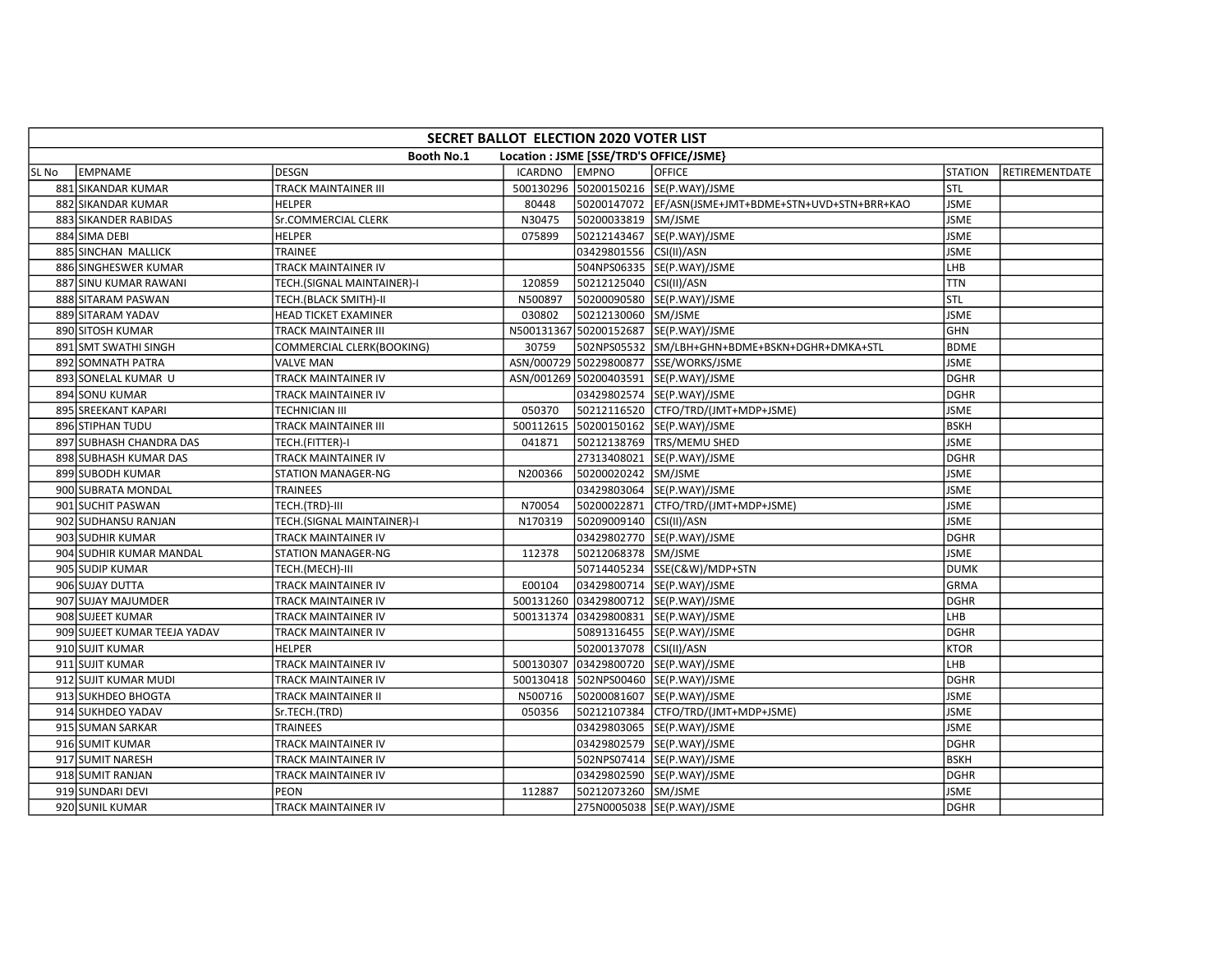|       | SECRET BALLOT ELECTION 2020 VOTER LIST                       |                             |                |                         |                                                      |                |                |  |  |  |  |
|-------|--------------------------------------------------------------|-----------------------------|----------------|-------------------------|------------------------------------------------------|----------------|----------------|--|--|--|--|
|       | <b>Booth No.1</b><br>Location : JSME [SSE/TRD'S OFFICE/JSME} |                             |                |                         |                                                      |                |                |  |  |  |  |
| SL No | EMPNAME                                                      | <b>DESGN</b>                | <b>ICARDNO</b> | <b>EMPNO</b>            | <b>OFFICE</b>                                        | <b>STATION</b> | RETIREMENTDATE |  |  |  |  |
|       | 881 SIKANDAR KUMAR                                           | TRACK MAINTAINER III        |                |                         | 500130296 50200150216 SE(P.WAY)/JSME                 | STL            |                |  |  |  |  |
|       | 882 SIKANDAR KUMAR                                           | <b>HELPER</b>               | 80448          |                         | 50200147072 EF/ASN(JSME+JMT+BDME+STN+UVD+STN+BRR+KAO | <b>JSME</b>    |                |  |  |  |  |
|       | 883 SIKANDER RABIDAS                                         | Sr.COMMERCIAL CLERK         | N30475         | 50200033819 SM/JSME     |                                                      | <b>JSME</b>    |                |  |  |  |  |
|       | 884 SIMA DEBI                                                | <b>HELPER</b>               | 075899         |                         | 50212143467 SE(P.WAY)/JSME                           | <b>JSME</b>    |                |  |  |  |  |
|       | 885 SINCHAN MALLICK                                          | <b>TRAINEE</b>              |                | 03429801556 CSI(II)/ASN |                                                      | <b>JSME</b>    |                |  |  |  |  |
|       | 886 SINGHESWER KUMAR                                         | TRACK MAINTAINER IV         |                |                         | 504NPS06335 SE(P.WAY)/JSME                           | LHB            |                |  |  |  |  |
|       | 887 SINU KUMAR RAWANI                                        | TECH.(SIGNAL MAINTAINER)-I  | 120859         | 50212125040 CSI(II)/ASN |                                                      | <b>TTN</b>     |                |  |  |  |  |
|       | 888 SITARAM PASWAN                                           | TECH.(BLACK SMITH)-II       | N500897        |                         | 50200090580 SE(P.WAY)/JSME                           | <b>STL</b>     |                |  |  |  |  |
|       | 889 SITARAM YADAV                                            | <b>HEAD TICKET EXAMINER</b> | 030802         | 50212130060 SM/JSME     |                                                      | <b>JSME</b>    |                |  |  |  |  |
|       | 890 SITOSH KUMAR                                             | TRACK MAINTAINER III        |                |                         | N500131367 50200152687 SE(P.WAY)/JSME                | <b>GHN</b>     |                |  |  |  |  |
|       | 891 SMT SWATHI SINGH                                         | COMMERCIAL CLERK(BOOKING)   | 30759          |                         | 502NPS05532 SM/LBH+GHN+BDME+BSKN+DGHR+DMKA+STL       | <b>BDME</b>    |                |  |  |  |  |
|       | 892 SOMNATH PATRA                                            | <b>VALVE MAN</b>            |                |                         | ASN/000729 50229800877 SSE/WORKS/JSME                | <b>JSME</b>    |                |  |  |  |  |
|       | 893 SONELAL KUMAR U                                          | TRACK MAINTAINER IV         |                |                         | ASN/001269 50200403591 SE(P.WAY)/JSME                | <b>DGHR</b>    |                |  |  |  |  |
|       | 894 SONU KUMAR                                               | TRACK MAINTAINER IV         |                |                         | 03429802574 SE(P.WAY)/JSME                           | DGHR           |                |  |  |  |  |
|       | 895 SREEKANT KAPARI                                          | <b>TECHNICIAN III</b>       | 050370         |                         | 50212116520 CTFO/TRD/(JMT+MDP+JSME)                  | <b>JSME</b>    |                |  |  |  |  |
|       | 896 STIPHAN TUDU                                             | TRACK MAINTAINER III        |                |                         | 500112615 50200150162 SE(P.WAY)/JSME                 | BSKH           |                |  |  |  |  |
|       | 897 SUBHASH CHANDRA DAS                                      | TECH.(FITTER)-I             | 041871         |                         | 50212138769   TRS/MEMU SHED                          | <b>JSME</b>    |                |  |  |  |  |
|       | 898 SUBHASH KUMAR DAS                                        | TRACK MAINTAINER IV         |                |                         | 27313408021 SE(P.WAY)/JSME                           | <b>DGHR</b>    |                |  |  |  |  |
|       | 899 SUBODH KUMAR                                             | <b>STATION MANAGER-NG</b>   | N200366        | 50200020242 SM/JSME     |                                                      | <b>JSME</b>    |                |  |  |  |  |
|       | 900 SUBRATA MONDAL                                           | <b>TRAINEES</b>             |                |                         | 03429803064 SE(P.WAY)/JSME                           | <b>JSME</b>    |                |  |  |  |  |
|       | 901 SUCHIT PASWAN                                            | TECH.(TRD)-III              | N70054         |                         | 50200022871 CTFO/TRD/(JMT+MDP+JSME)                  | <b>JSME</b>    |                |  |  |  |  |
|       | 902 SUDHANSU RANJAN                                          | TECH.(SIGNAL MAINTAINER)-I  | N170319        | 50209009140 CSI(II)/ASN |                                                      | <b>JSME</b>    |                |  |  |  |  |
|       | 903 SUDHIR KUMAR                                             | TRACK MAINTAINER IV         |                |                         | 03429802770 SE(P.WAY)/JSME                           | <b>DGHR</b>    |                |  |  |  |  |
|       | 904 SUDHIR KUMAR MANDAL                                      | STATION MANAGER-NG          | 112378         | 50212068378 SM/JSME     |                                                      | <b>JSME</b>    |                |  |  |  |  |
|       | 905 SUDIP KUMAR                                              | TECH.(MECH)-III             |                |                         | 50714405234 SSE(C&W)/MDP+STN                         | <b>DUMK</b>    |                |  |  |  |  |
|       | 906 SUJAY DUTTA                                              | TRACK MAINTAINER IV         | E00104         |                         | 03429800714 SE(P.WAY)/JSME                           | GRMA           |                |  |  |  |  |
|       | 907 SUJAY MAJUMDER                                           | TRACK MAINTAINER IV         |                |                         | 500131260 03429800712 SE(P.WAY)/JSME                 | <b>DGHR</b>    |                |  |  |  |  |
|       | 908 SUJEET KUMAR                                             | TRACK MAINTAINER IV         |                |                         | 500131374 03429800831 SE(P.WAY)/JSME                 | LHB            |                |  |  |  |  |
|       | 909 SUJEET KUMAR TEEJA YADAV                                 | TRACK MAINTAINER IV         |                |                         | 50891316455  SE(P.WAY)/JSME                          | <b>DGHR</b>    |                |  |  |  |  |
|       | 910 SUJIT KUMAR                                              | <b>HELPER</b>               |                | 50200137078 CSI(II)/ASN |                                                      | <b>KTOR</b>    |                |  |  |  |  |
|       | 911 SUJIT KUMAR                                              | TRACK MAINTAINER IV         | 500130307      |                         | 03429800720 SE(P.WAY)/JSME                           | LHB            |                |  |  |  |  |
|       | 912 SUJIT KUMAR MUDI                                         | TRACK MAINTAINER IV         |                |                         | 500130418 502NPS00460 SE(P.WAY)/JSME                 | <b>DGHR</b>    |                |  |  |  |  |
|       | 913 SUKHDEO BHOGTA                                           | TRACK MAINTAINER II         | N500716        |                         | 50200081607 SE(P.WAY)/JSME                           | <b>JSME</b>    |                |  |  |  |  |
|       | 914 SUKHDEO YADAV                                            | Sr.TECH.(TRD)               | 050356         |                         | 50212107384 CTFO/TRD/(JMT+MDP+JSME)                  | <b>JSME</b>    |                |  |  |  |  |
|       | 915 SUMAN SARKAR                                             | <b>TRAINEES</b>             |                |                         | 03429803065 SE(P.WAY)/JSME                           | <b>JSME</b>    |                |  |  |  |  |
|       | 916 SUMIT KUMAR                                              | TRACK MAINTAINER IV         |                |                         | 03429802579 SE(P.WAY)/JSME                           | <b>DGHR</b>    |                |  |  |  |  |
|       | 917 SUMIT NARESH                                             | TRACK MAINTAINER IV         |                |                         | 502NPS07414 SE(P.WAY)/JSME                           | <b>BSKH</b>    |                |  |  |  |  |
|       | 918 SUMIT RANJAN                                             | TRACK MAINTAINER IV         |                |                         | 03429802590 SE(P.WAY)/JSME                           | <b>DGHR</b>    |                |  |  |  |  |
|       | 919 SUNDARI DEVI                                             | PEON                        | 112887         | 50212073260 SM/JSME     |                                                      | <b>JSME</b>    |                |  |  |  |  |
|       | 920 SUNIL KUMAR                                              | TRACK MAINTAINER IV         |                |                         | 275N0005038 SE(P.WAY)/JSME                           | <b>DGHR</b>    |                |  |  |  |  |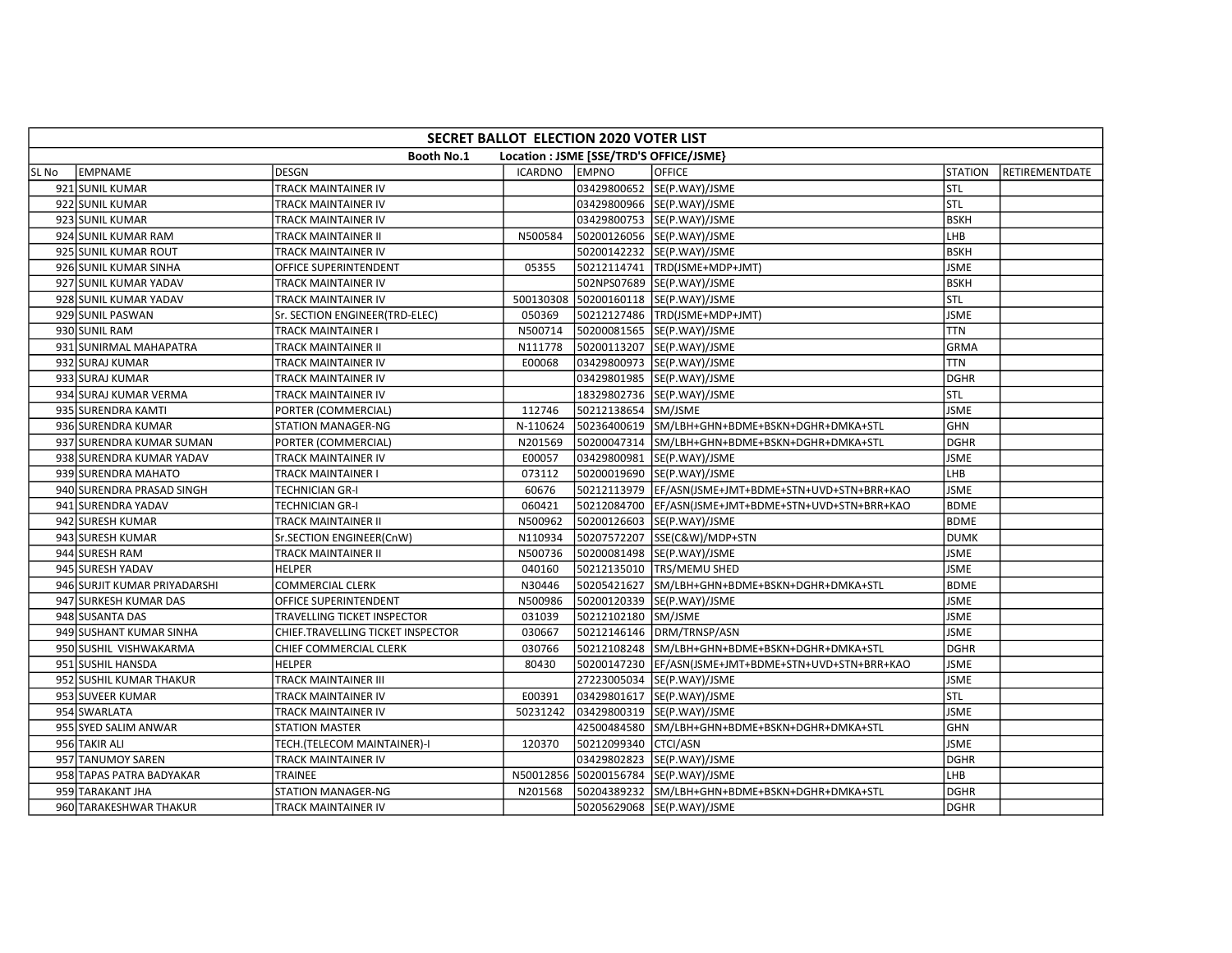|        | SECRET BALLOT ELECTION 2020 VOTER LIST                |                                   |          |                      |                                                       |                |                |  |  |  |  |
|--------|-------------------------------------------------------|-----------------------------------|----------|----------------------|-------------------------------------------------------|----------------|----------------|--|--|--|--|
|        | Booth No.1<br>Location : JSME [SSE/TRD'S OFFICE/JSME} |                                   |          |                      |                                                       |                |                |  |  |  |  |
| lSL No | EMPNAME                                               | <b>IDESGN</b>                     | ICARDNO  | <b>EMPNO</b>         | <b>OFFICE</b>                                         | <b>STATION</b> | RETIREMENTDATE |  |  |  |  |
|        | 921 SUNIL KUMAR                                       | TRACK MAINTAINER IV               |          |                      | 03429800652 SE(P.WAY)/JSME                            | STL            |                |  |  |  |  |
|        | 922 SUNIL KUMAR                                       | TRACK MAINTAINER IV               |          |                      | 03429800966 SE(P.WAY)/JSME                            | STL            |                |  |  |  |  |
|        | 923 SUNIL KUMAR                                       | TRACK MAINTAINER IV               |          |                      | 03429800753  SE(P.WAY)/JSME                           | <b>BSKH</b>    |                |  |  |  |  |
|        | 924 SUNIL KUMAR RAM                                   | TRACK MAINTAINER II               | N500584  |                      | 50200126056 SE(P.WAY)/JSME                            | LHB            |                |  |  |  |  |
|        | 925 SUNIL KUMAR ROUT                                  | TRACK MAINTAINER IV               |          |                      | 50200142232 SE(P.WAY)/JSME                            | <b>BSKH</b>    |                |  |  |  |  |
|        | 926 SUNIL KUMAR SINHA                                 | OFFICE SUPERINTENDENT             | 05355    |                      | 50212114741  TRD(JSME+MDP+JMT)                        | <b>JSME</b>    |                |  |  |  |  |
|        | 927 SUNIL KUMAR YADAV                                 | TRACK MAINTAINER IV               |          |                      | 502NPS07689 SE(P.WAY)/JSME                            | <b>BSKH</b>    |                |  |  |  |  |
|        | 928 SUNIL KUMAR YADAV                                 | TRACK MAINTAINER IV               |          |                      | 500130308 50200160118 SE(P.WAY)/JSME                  | STL            |                |  |  |  |  |
|        | 929 SUNIL PASWAN                                      | Sr. SECTION ENGINEER(TRD-ELEC)    | 050369   |                      | 50212127486   TRD(JSME+MDP+JMT)                       | <b>JSME</b>    |                |  |  |  |  |
|        | 930 SUNIL RAM                                         | TRACK MAINTAINER I                | N500714  |                      | 50200081565 SE(P.WAY)/JSME                            | <b>TTN</b>     |                |  |  |  |  |
|        | 931 SUNIRMAL MAHAPATRA                                | TRACK MAINTAINER II               | N111778  |                      | 50200113207 SE(P.WAY)/JSME                            | <b>GRMA</b>    |                |  |  |  |  |
|        | 932 SURAJ KUMAR                                       | TRACK MAINTAINER IV               | E00068   |                      | 03429800973 SE(P.WAY)/JSME                            | <b>TTN</b>     |                |  |  |  |  |
|        | 933 SURAJ KUMAR                                       | TRACK MAINTAINER IV               |          |                      | 03429801985 SE(P.WAY)/JSME                            | <b>DGHR</b>    |                |  |  |  |  |
|        | 934 SURAJ KUMAR VERMA                                 | TRACK MAINTAINER IV               |          |                      | 18329802736 SE(P.WAY)/JSME                            | STL            |                |  |  |  |  |
|        | 935 SURENDRA KAMTI                                    | PORTER (COMMERCIAL)               | 112746   | 50212138654 SM/JSME  |                                                       | <b>JSME</b>    |                |  |  |  |  |
|        | 936 SURENDRA KUMAR                                    | <b>STATION MANAGER-NG</b>         | N-110624 |                      | 50236400619 SM/LBH+GHN+BDME+BSKN+DGHR+DMKA+STL        | <b>GHN</b>     |                |  |  |  |  |
|        | 937 SURENDRA KUMAR SUMAN                              | PORTER (COMMERCIAL)               | N201569  |                      | 50200047314 SM/LBH+GHN+BDME+BSKN+DGHR+DMKA+STL        | <b>DGHR</b>    |                |  |  |  |  |
|        | 938 SURENDRA KUMAR YADAV                              | TRACK MAINTAINER IV               | E00057   |                      | 03429800981 SE(P.WAY)/JSME                            | <b>JSME</b>    |                |  |  |  |  |
|        | 939 SURENDRA MAHATO                                   | TRACK MAINTAINER I                | 073112   |                      | 50200019690 SE(P.WAY)/JSME                            | LHB            |                |  |  |  |  |
|        | 940 SURENDRA PRASAD SINGH                             | TECHNICIAN GR-I                   | 60676    |                      | 50212113979 EF/ASN(JSME+JMT+BDME+STN+UVD+STN+BRR+KAO  | <b>JSME</b>    |                |  |  |  |  |
|        | 941 SURENDRA YADAV                                    | TECHNICIAN GR-I                   | 060421   |                      | 50212084700  EF/ASN(JSME+JMT+BDME+STN+UVD+STN+BRR+KAO | <b>BDME</b>    |                |  |  |  |  |
|        | 942 SURESH KUMAR                                      | TRACK MAINTAINER II               | N500962  |                      | 50200126603 SE(P.WAY)/JSME                            | <b>BDME</b>    |                |  |  |  |  |
|        | 943 SURESH KUMAR                                      | Sr.SECTION ENGINEER(CnW)          | N110934  |                      | 50207572207 SSE(C&W)/MDP+STN                          | <b>DUMK</b>    |                |  |  |  |  |
|        | 944 SURESH RAM                                        | TRACK MAINTAINER II               | N500736  |                      | 50200081498 SE(P.WAY)/JSME                            | <b>JSME</b>    |                |  |  |  |  |
|        | 945 SURESH YADAV                                      | <b>HELPER</b>                     | 040160   |                      | 50212135010   TRS/MEMU SHED                           | <b>JSME</b>    |                |  |  |  |  |
|        | 946 SURJIT KUMAR PRIYADARSHI                          | <b>COMMERCIAL CLERK</b>           | N30446   |                      | 50205421627 SM/LBH+GHN+BDME+BSKN+DGHR+DMKA+STL        | <b>BDME</b>    |                |  |  |  |  |
|        | 947 SURKESH KUMAR DAS                                 | OFFICE SUPERINTENDENT             | N500986  |                      | 50200120339 SE(P.WAY)/JSME                            | <b>JSME</b>    |                |  |  |  |  |
|        | 948 SUSANTA DAS                                       | TRAVELLING TICKET INSPECTOR       | 031039   | 50212102180 SM/JSME  |                                                       | <b>JSME</b>    |                |  |  |  |  |
|        | 949 SUSHANT KUMAR SINHA                               | CHIEF.TRAVELLING TICKET INSPECTOR | 030667   |                      | 50212146146   DRM/TRNSP/ASN                           | <b>JSME</b>    |                |  |  |  |  |
|        | 950 SUSHIL VISHWAKARMA                                | CHIEF COMMERCIAL CLERK            | 030766   |                      | 50212108248 SM/LBH+GHN+BDME+BSKN+DGHR+DMKA+STL        | <b>DGHR</b>    |                |  |  |  |  |
|        | 951 SUSHIL HANSDA                                     | <b>HELPER</b>                     | 80430    |                      | 50200147230 EF/ASN(JSME+JMT+BDME+STN+UVD+STN+BRR+KAO  | <b>JSME</b>    |                |  |  |  |  |
|        | 952 SUSHIL KUMAR THAKUR                               | TRACK MAINTAINER III              |          |                      | 27223005034 SE(P.WAY)/JSME                            | <b>JSME</b>    |                |  |  |  |  |
|        | 953 SUVEER KUMAR                                      | TRACK MAINTAINER IV               | E00391   |                      | 03429801617 SE(P.WAY)/JSME                            | stl            |                |  |  |  |  |
|        | 954 SWARLATA                                          | TRACK MAINTAINER IV               | 50231242 |                      | 03429800319 SE(P.WAY)/JSME                            | <b>JSME</b>    |                |  |  |  |  |
|        | 955 SYED SALIM ANWAR                                  | <b>STATION MASTER</b>             |          |                      | 42500484580 SM/LBH+GHN+BDME+BSKN+DGHR+DMKA+STL        | <b>GHN</b>     |                |  |  |  |  |
|        | 956 TAKIR ALI                                         | TECH.(TELECOM MAINTAINER)-I       | 120370   | 50212099340 CTCI/ASN |                                                       | <b>JSME</b>    |                |  |  |  |  |
|        | 957 TANUMOY SAREN                                     | TRACK MAINTAINER IV               |          |                      | 03429802823 SE(P.WAY)/JSME                            | <b>DGHR</b>    |                |  |  |  |  |
|        | 958 TAPAS PATRA BADYAKAR                              | <b>TRAINEE</b>                    |          |                      | N50012856 50200156784 SE(P.WAY)/JSME                  | LHB            |                |  |  |  |  |
|        | 959 TARAKANT JHA                                      | STATION MANAGER-NG                | N201568  |                      | 50204389232 SM/LBH+GHN+BDME+BSKN+DGHR+DMKA+STL        | <b>DGHR</b>    |                |  |  |  |  |
|        | 960 TARAKESHWAR THAKUR                                | TRACK MAINTAINER IV               |          |                      | 50205629068 SE(P.WAY)/JSME                            | <b>DGHR</b>    |                |  |  |  |  |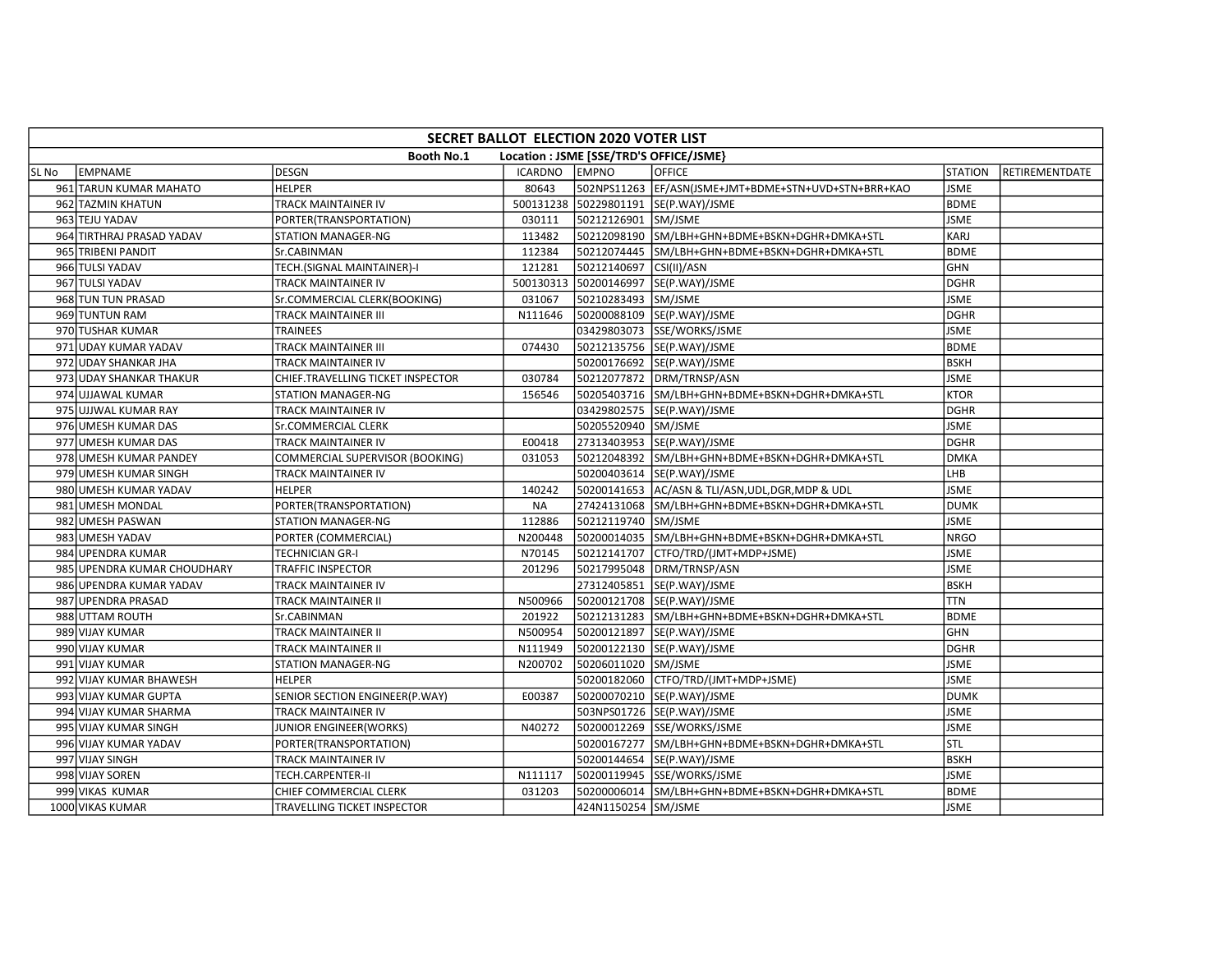| SECRET BALLOT ELECTION 2020 VOTER LIST                       |                             |                                   |                |                         |                                                      |                |                |  |  |  |  |  |  |
|--------------------------------------------------------------|-----------------------------|-----------------------------------|----------------|-------------------------|------------------------------------------------------|----------------|----------------|--|--|--|--|--|--|
| <b>Booth No.1</b><br>Location : JSME [SSE/TRD'S OFFICE/JSME} |                             |                                   |                |                         |                                                      |                |                |  |  |  |  |  |  |
| SL No                                                        | <b>LEMPNAME</b>             | <b>DESGN</b>                      | <b>ICARDNO</b> | <b>EMPNO</b>            | <b>OFFICE</b>                                        | <b>STATION</b> | RETIREMENTDATE |  |  |  |  |  |  |
|                                                              | 961 TARUN KUMAR MAHATO      | <b>HELPER</b>                     | 80643          |                         | 502NPS11263 EF/ASN(JSME+JMT+BDME+STN+UVD+STN+BRR+KAO | <b>JSME</b>    |                |  |  |  |  |  |  |
|                                                              | 962 TAZMIN KHATUN           | TRACK MAINTAINER IV               |                |                         | 500131238 50229801191 SE(P.WAY)/JSME                 | <b>BDME</b>    |                |  |  |  |  |  |  |
|                                                              | 963 TEJU YADAV              | PORTER(TRANSPORTATION)            | 030111         | 50212126901 SM/JSME     |                                                      | <b>JSME</b>    |                |  |  |  |  |  |  |
|                                                              | 964 TIRTHRAJ PRASAD YADAV   | STATION MANAGER-NG                | 113482         |                         | 50212098190 SM/LBH+GHN+BDME+BSKN+DGHR+DMKA+STL       | <b>KARJ</b>    |                |  |  |  |  |  |  |
|                                                              | 965 TRIBENI PANDIT          | Sr.CABINMAN                       | 112384         |                         | 50212074445 SM/LBH+GHN+BDME+BSKN+DGHR+DMKA+STL       | <b>BDME</b>    |                |  |  |  |  |  |  |
|                                                              | 966 TULSI YADAV             | TECH.(SIGNAL MAINTAINER)-I        | 121281         | 50212140697 CSI(II)/ASN |                                                      | GHN            |                |  |  |  |  |  |  |
|                                                              | 967 TULSI YADAV             | TRACK MAINTAINER IV               | 500130313      |                         | 50200146997  SE(P.WAY)/JSME                          | <b>DGHR</b>    |                |  |  |  |  |  |  |
|                                                              | 968 TUN TUN PRASAD          | Sr.COMMERCIAL CLERK(BOOKING)      | 031067         | 50210283493 SM/JSME     |                                                      | <b>JSME</b>    |                |  |  |  |  |  |  |
|                                                              | 969 TUNTUN RAM              | <b>TRACK MAINTAINER III</b>       | N111646        |                         | 50200088109 SE(P.WAY)/JSME                           | <b>DGHR</b>    |                |  |  |  |  |  |  |
|                                                              | 970 TUSHAR KUMAR            | TRAINEES                          |                |                         | 03429803073 SSE/WORKS/JSME                           | <b>JSME</b>    |                |  |  |  |  |  |  |
|                                                              | 971 UDAY KUMAR YADAV        | TRACK MAINTAINER III              | 074430         |                         | 50212135756 SE(P.WAY)/JSME                           | <b>BDME</b>    |                |  |  |  |  |  |  |
|                                                              | 972 UDAY SHANKAR JHA        | TRACK MAINTAINER IV               |                |                         | 50200176692 SE(P.WAY)/JSME                           | <b>BSKH</b>    |                |  |  |  |  |  |  |
|                                                              | 973 UDAY SHANKAR THAKUR     | CHIEF.TRAVELLING TICKET INSPECTOR | 030784         |                         | 50212077872 DRM/TRNSP/ASN                            | <b>JSME</b>    |                |  |  |  |  |  |  |
|                                                              | 974 UJJAWAL KUMAR           | <b>STATION MANAGER-NG</b>         | 156546         |                         | 50205403716 SM/LBH+GHN+BDME+BSKN+DGHR+DMKA+STL       | <b>KTOR</b>    |                |  |  |  |  |  |  |
|                                                              | 975 UJJWAL KUMAR RAY        | TRACK MAINTAINER IV               |                |                         | 03429802575 SE(P.WAY)/JSME                           | DGHR           |                |  |  |  |  |  |  |
|                                                              | 976 UMESH KUMAR DAS         | Sr.COMMERCIAL CLERK               |                | 50205520940 SM/JSME     |                                                      | <b>JSME</b>    |                |  |  |  |  |  |  |
|                                                              | 977 UMESH KUMAR DAS         | TRACK MAINTAINER IV               | E00418         |                         | 27313403953 SE(P.WAY)/JSME                           | DGHR           |                |  |  |  |  |  |  |
|                                                              | 978 UMESH KUMAR PANDEY      | COMMERCIAL SUPERVISOR (BOOKING)   | 031053         |                         | 50212048392 SM/LBH+GHN+BDME+BSKN+DGHR+DMKA+STL       | <b>DMKA</b>    |                |  |  |  |  |  |  |
|                                                              | 979 UMESH KUMAR SINGH       | TRACK MAINTAINER IV               |                |                         | 50200403614  SE(P.WAY)/JSME                          | LHB            |                |  |  |  |  |  |  |
|                                                              | 980 UMESH KUMAR YADAV       | <b>HELPER</b>                     | 140242         |                         | 50200141653 AC/ASN & TLI/ASN, UDL, DGR, MDP & UDL    | <b>JSME</b>    |                |  |  |  |  |  |  |
|                                                              | 981 UMESH MONDAL            | PORTER(TRANSPORTATION)            | <b>NA</b>      |                         | 27424131068 SM/LBH+GHN+BDME+BSKN+DGHR+DMKA+STL       | <b>DUMK</b>    |                |  |  |  |  |  |  |
|                                                              | 982 UMESH PASWAN            | <b>STATION MANAGER-NG</b>         | 112886         | 50212119740 SM/JSME     |                                                      | <b>JSME</b>    |                |  |  |  |  |  |  |
|                                                              | 983 UMESH YADAV             | PORTER (COMMERCIAL)               | N200448        |                         | 50200014035 SM/LBH+GHN+BDME+BSKN+DGHR+DMKA+STL       | <b>NRGO</b>    |                |  |  |  |  |  |  |
|                                                              | 984 UPENDRA KUMAR           | TECHNICIAN GR-I                   | N70145         | 50212141707             | CTFO/TRD/(JMT+MDP+JSME)                              | <b>JSME</b>    |                |  |  |  |  |  |  |
|                                                              | 985 UPENDRA KUMAR CHOUDHARY | TRAFFIC INSPECTOR                 | 201296         |                         | 50217995048 DRM/TRNSP/ASN                            | <b>JSME</b>    |                |  |  |  |  |  |  |
|                                                              | 986 UPENDRA KUMAR YADAV     | TRACK MAINTAINER IV               |                |                         | 27312405851 SE(P.WAY)/JSME                           | <b>BSKH</b>    |                |  |  |  |  |  |  |
|                                                              | 987 UPENDRA PRASAD          | TRACK MAINTAINER II               | N500966        |                         | 50200121708 SE(P.WAY)/JSME                           | <b>TTN</b>     |                |  |  |  |  |  |  |
|                                                              | 988 UTTAM ROUTH             | Sr.CABINMAN                       | 201922         |                         | 50212131283 SM/LBH+GHN+BDME+BSKN+DGHR+DMKA+STL       | <b>BDME</b>    |                |  |  |  |  |  |  |
|                                                              | 989 VIJAY KUMAR             | TRACK MAINTAINER II               | N500954        |                         | 50200121897  SE(P.WAY)/JSME                          | <b>GHN</b>     |                |  |  |  |  |  |  |
|                                                              | 990 VIJAY KUMAR             | <b>TRACK MAINTAINER II</b>        | N111949        |                         | 50200122130 SE(P.WAY)/JSME                           | <b>DGHR</b>    |                |  |  |  |  |  |  |
|                                                              | 991 VIJAY KUMAR             | <b>STATION MANAGER-NG</b>         | N200702        | 50206011020 SM/JSME     |                                                      | <b>JSME</b>    |                |  |  |  |  |  |  |
|                                                              | 992 VIJAY KUMAR BHAWESH     | <b>HELPER</b>                     |                |                         | 50200182060 CTFO/TRD/(JMT+MDP+JSME)                  | <b>JSME</b>    |                |  |  |  |  |  |  |
|                                                              | 993 VIJAY KUMAR GUPTA       | SENIOR SECTION ENGINEER(P.WAY)    | E00387         |                         | 50200070210 SE(P.WAY)/JSME                           | <b>DUMK</b>    |                |  |  |  |  |  |  |
|                                                              | 994 VIJAY KUMAR SHARMA      | TRACK MAINTAINER IV               |                |                         | 503NPS01726 SE(P.WAY)/JSME                           | <b>JSME</b>    |                |  |  |  |  |  |  |
|                                                              | 995 VIJAY KUMAR SINGH       | JUNIOR ENGINEER(WORKS)            | N40272         |                         | 50200012269 SSE/WORKS/JSME                           | <b>JSME</b>    |                |  |  |  |  |  |  |
|                                                              | 996 VIJAY KUMAR YADAV       | PORTER(TRANSPORTATION)            |                |                         | 50200167277 SM/LBH+GHN+BDME+BSKN+DGHR+DMKA+STL       | STL            |                |  |  |  |  |  |  |
|                                                              | 997 VIJAY SINGH             | TRACK MAINTAINER IV               |                |                         | 50200144654 SE(P.WAY)/JSME                           | <b>BSKH</b>    |                |  |  |  |  |  |  |
|                                                              | 998 VIJAY SOREN             | TECH.CARPENTER-II                 | N111117        |                         | 50200119945 SSE/WORKS/JSME                           | <b>JSME</b>    |                |  |  |  |  |  |  |
|                                                              | 999 VIKAS KUMAR             | CHIEF COMMERCIAL CLERK            | 031203         |                         | 50200006014 SM/LBH+GHN+BDME+BSKN+DGHR+DMKA+STL       | <b>BDME</b>    |                |  |  |  |  |  |  |
|                                                              | 1000 VIKAS KUMAR            | TRAVELLING TICKET INSPECTOR       |                | 424N1150254 SM/JSME     |                                                      | <b>JSME</b>    |                |  |  |  |  |  |  |